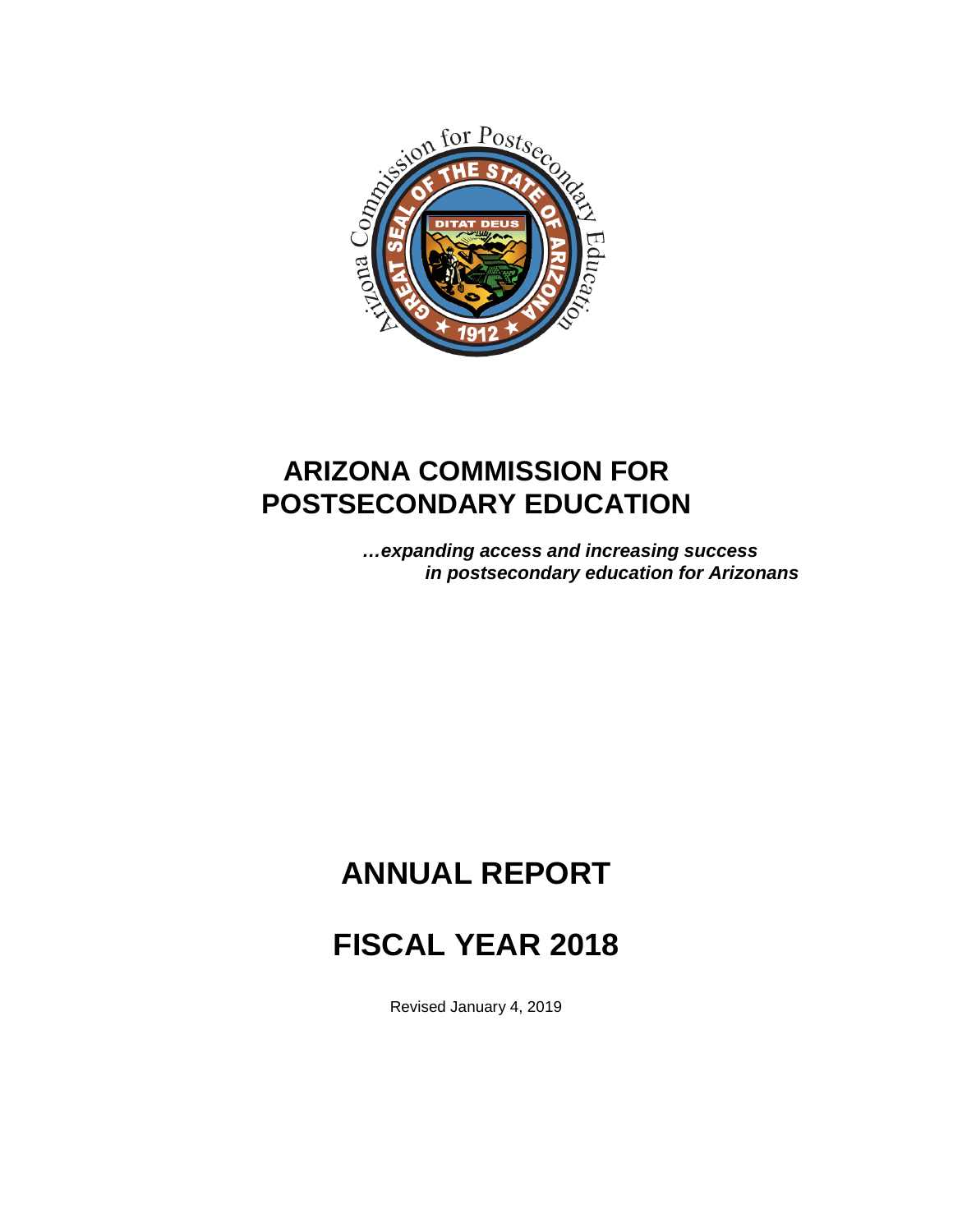

# **ARIZONA COMMISSION FOR POSTSECONDARY EDUCATION**

*…expanding access and increasing success in postsecondary education for Arizonans*

# **ANNUAL REPORT**

# **FISCAL YEAR 2018**

Revised January 4, 2019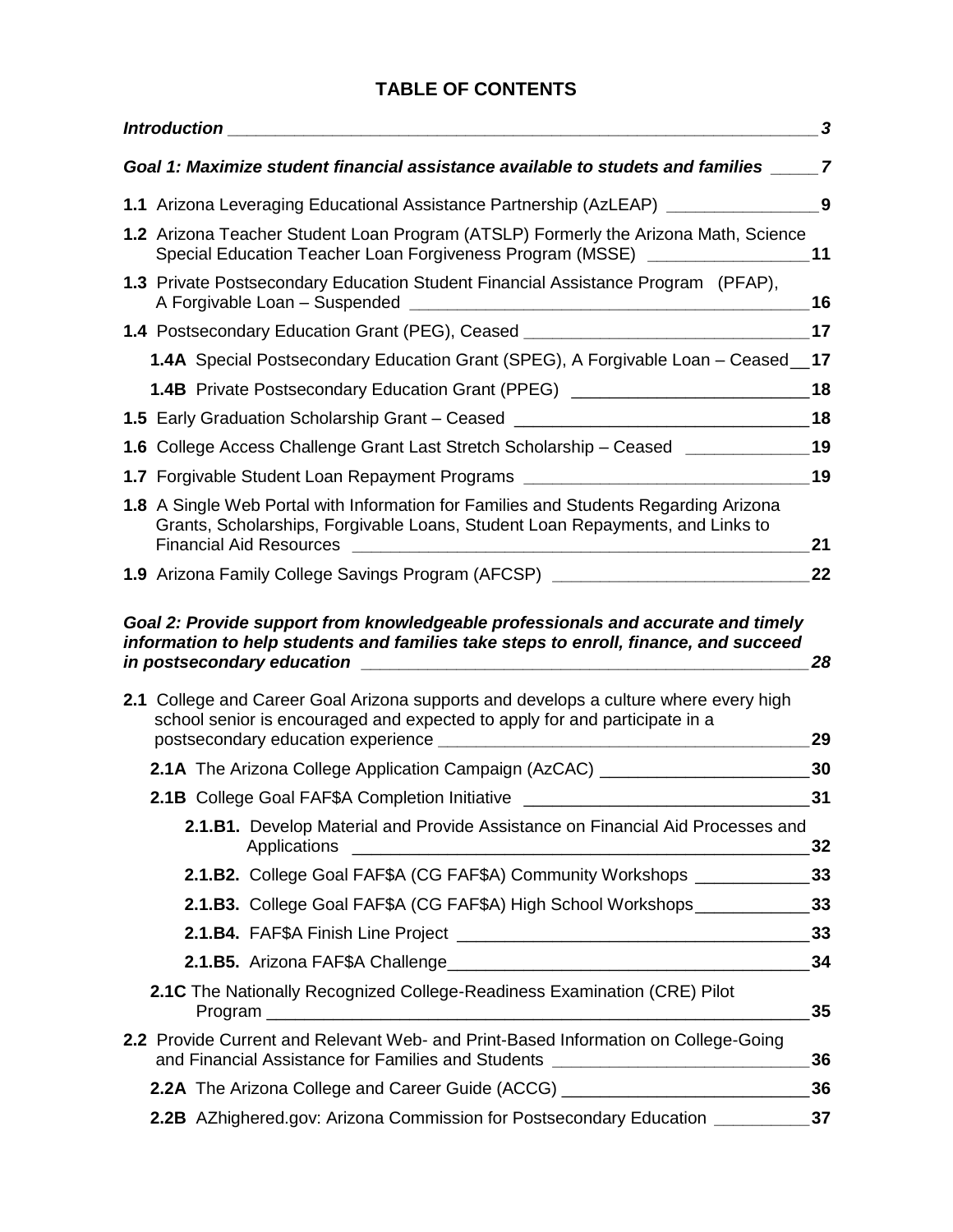# **TABLE OF CONTENTS**

| <b>Introduction</b>                                                                                                                                                                                                                                                                      | 3        |
|------------------------------------------------------------------------------------------------------------------------------------------------------------------------------------------------------------------------------------------------------------------------------------------|----------|
| Goal 1: Maximize student financial assistance available to studets and families                                                                                                                                                                                                          | 7        |
| 1.1 Arizona Leveraging Educational Assistance Partnership (AzLEAP) ___________________9                                                                                                                                                                                                  |          |
| 1.2 Arizona Teacher Student Loan Program (ATSLP) Formerly the Arizona Math, Science<br>Special Education Teacher Loan Forgiveness Program (MSSE)                                                                                                                                         | 11       |
| 1.3 Private Postsecondary Education Student Financial Assistance Program (PFAP),<br>A Forgivable Loan - Suspended<br><u> 1988 - Johann Stein, marwolaethau a bhann an t-Amhair Aonaichte ann an t-Amhair Aonaichte ann an t-Amhair Aon</u>                                               | 16       |
| 1.4 Postsecondary Education Grant (PEG), Ceased ________________________________                                                                                                                                                                                                         | 17       |
| 1.4A Special Postsecondary Education Grant (SPEG), A Forgivable Loan - Ceased                                                                                                                                                                                                            | 17       |
| 1.4B Private Postsecondary Education Grant (PPEG) ______________________________                                                                                                                                                                                                         | 18       |
| 1.5 Early Graduation Scholarship Grant – Ceased ________________________________                                                                                                                                                                                                         | 18       |
| 1.6 College Access Challenge Grant Last Stretch Scholarship – Ceased Letter College Access Challenge Grant Last                                                                                                                                                                          | 19       |
| 1.7 Forgivable Student Loan Repayment Programs _________________________________                                                                                                                                                                                                         | 19       |
| 1.8 A Single Web Portal with Information for Families and Students Regarding Arizona<br>Grants, Scholarships, Forgivable Loans, Student Loan Repayments, and Links to<br><b>Financial Aid Resources</b>                                                                                  | 21       |
| 1.9 Arizona Family College Savings Program (AFCSP) _____________________________                                                                                                                                                                                                         | 22       |
| information to help students and families take steps to enroll, finance, and succeed<br>in postsecondary education<br>2.1 College and Career Goal Arizona supports and develops a culture where every high<br>school senior is encouraged and expected to apply for and participate in a | 28       |
| postsecondary education experience ________                                                                                                                                                                                                                                              | 29       |
| <b>2.1A</b> The Arizona College Application Campaign (AzCAC) _________________________                                                                                                                                                                                                   | 30       |
| 2.1B College Goal FAF\$A Completion Initiative<br>2.1.B1. Develop Material and Provide Assistance on Financial Aid Processes and<br>Applications                                                                                                                                         | 31<br>32 |
| 2.1.B2. College Goal FAF\$A (CG FAF\$A) Community Workshops ___________                                                                                                                                                                                                                  | 33       |
| 2.1.B3. College Goal FAF\$A (CG FAF\$A) High School Workshops _____________                                                                                                                                                                                                              | 33       |
|                                                                                                                                                                                                                                                                                          | 33       |
|                                                                                                                                                                                                                                                                                          | 34       |
| 2.1C The Nationally Recognized College-Readiness Examination (CRE) Pilot                                                                                                                                                                                                                 | 35       |
| 2.2 Provide Current and Relevant Web- and Print-Based Information on College-Going<br>and Financial Assistance for Families and Students _____________________________                                                                                                                   | 36       |
| 2.2A The Arizona College and Career Guide (ACCG) _______________________________                                                                                                                                                                                                         | 36       |
| 2.2B AZhighered.gov: Arizona Commission for Postsecondary Education __________                                                                                                                                                                                                           | 37       |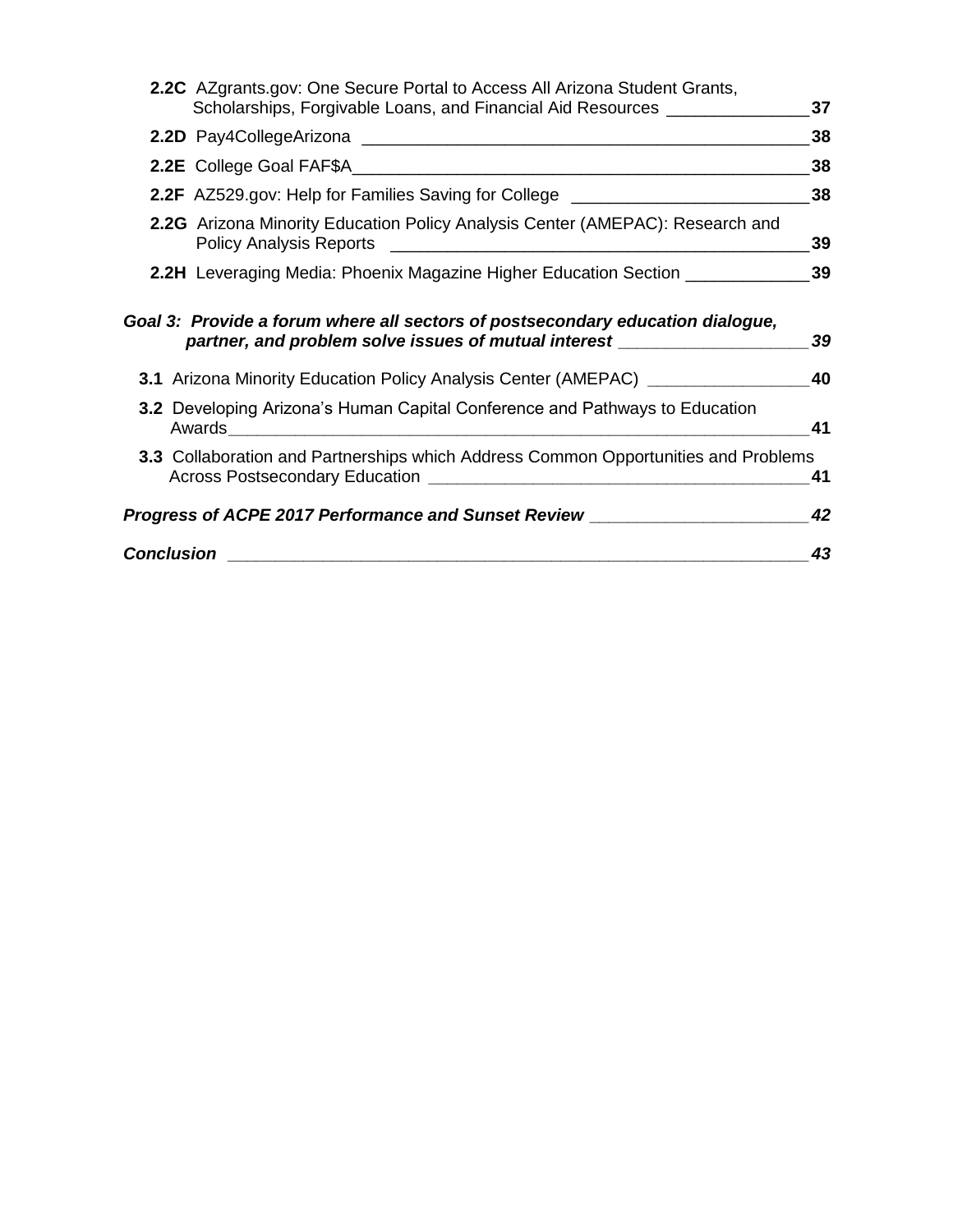| <b>Conclusion</b>                                                                                                                                                  | 43 |
|--------------------------------------------------------------------------------------------------------------------------------------------------------------------|----|
| Progress of ACPE 2017 Performance and Sunset Review ____________________________                                                                                   | 42 |
| <b>3.3</b> Collaboration and Partnerships which Address Common Opportunities and Problems                                                                          | 41 |
| 3.2 Developing Arizona's Human Capital Conference and Pathways to Education                                                                                        | 41 |
| 3.1 Arizona Minority Education Policy Analysis Center (AMEPAC) _________________                                                                                   | 40 |
| Goal 3: Provide a forum where all sectors of postsecondary education dialogue,<br>partner, and problem solve issues of mutual interest ___________________________ | 39 |
| <b>2.2H</b> Leveraging Media: Phoenix Magazine Higher Education Section ____________                                                                               | 39 |
| 2.2G Arizona Minority Education Policy Analysis Center (AMEPAC): Research and                                                                                      | 39 |
| <b>2.2F</b> AZ529.gov: Help for Families Saving for College __________________________                                                                             | 38 |
|                                                                                                                                                                    | 38 |
|                                                                                                                                                                    | 38 |
| 2.2C AZgrants.gov: One Secure Portal to Access All Arizona Student Grants,<br>Scholarships, Forgivable Loans, and Financial Aid Resources ______________           | 37 |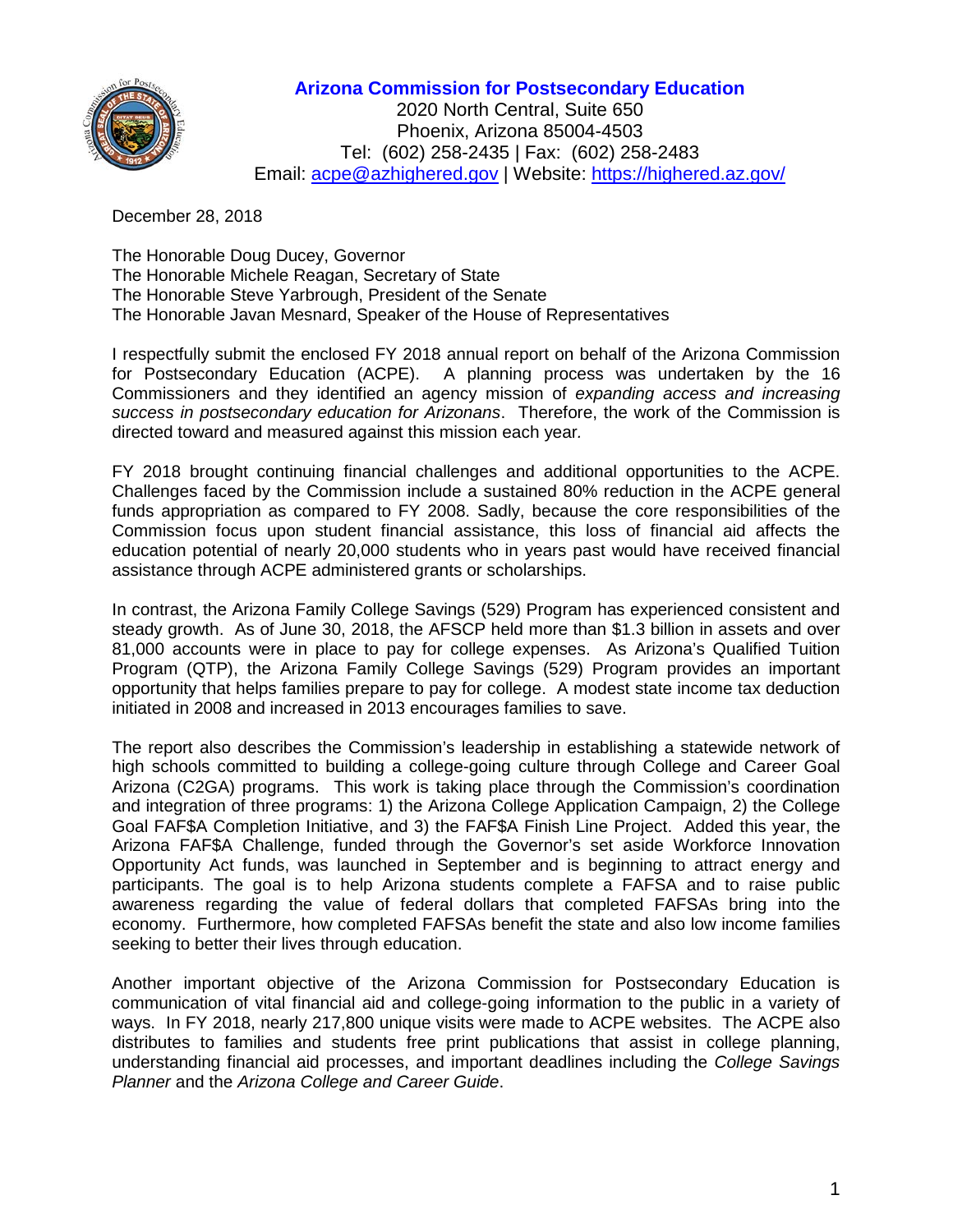

#### **Arizona Commission for Postsecondary Education**

2020 North Central, Suite 650 Phoenix, Arizona 85004-4503 Tel: (602) 258-2435 | Fax: (602) 258-2483 Email: [acpe@azhighered.gov](mailto:acpe@azhighered.gov) | Website:<https://highered.az.gov/>

December 28, 2018

The Honorable Doug Ducey, Governor The Honorable Michele Reagan, Secretary of State The Honorable Steve Yarbrough, President of the Senate The Honorable Javan Mesnard, Speaker of the House of Representatives

I respectfully submit the enclosed FY 2018 annual report on behalf of the Arizona Commission for Postsecondary Education (ACPE). A planning process was undertaken by the 16 Commissioners and they identified an agency mission of *expanding access and increasing success in postsecondary education for Arizonans*. Therefore, the work of the Commission is directed toward and measured against this mission each year*.*

FY 2018 brought continuing financial challenges and additional opportunities to the ACPE. Challenges faced by the Commission include a sustained 80% reduction in the ACPE general funds appropriation as compared to FY 2008. Sadly, because the core responsibilities of the Commission focus upon student financial assistance, this loss of financial aid affects the education potential of nearly 20,000 students who in years past would have received financial assistance through ACPE administered grants or scholarships.

In contrast, the Arizona Family College Savings (529) Program has experienced consistent and steady growth. As of June 30, 2018, the AFSCP held more than \$1.3 billion in assets and over 81,000 accounts were in place to pay for college expenses. As Arizona's Qualified Tuition Program (QTP), the Arizona Family College Savings (529) Program provides an important opportunity that helps families prepare to pay for college. A modest state income tax deduction initiated in 2008 and increased in 2013 encourages families to save.

The report also describes the Commission's leadership in establishing a statewide network of high schools committed to building a college-going culture through College and Career Goal Arizona (C2GA) programs. This work is taking place through the Commission's coordination and integration of three programs: 1) the Arizona College Application Campaign, 2) the College Goal FAF\$A Completion Initiative, and 3) the FAF\$A Finish Line Project. Added this year, the Arizona FAF\$A Challenge, funded through the Governor's set aside Workforce Innovation Opportunity Act funds, was launched in September and is beginning to attract energy and participants. The goal is to help Arizona students complete a FAFSA and to raise public awareness regarding the value of federal dollars that completed FAFSAs bring into the economy. Furthermore, how completed FAFSAs benefit the state and also low income families seeking to better their lives through education.

Another important objective of the Arizona Commission for Postsecondary Education is communication of vital financial aid and college-going information to the public in a variety of ways. In FY 2018, nearly 217,800 unique visits were made to ACPE websites. The ACPE also distributes to families and students free print publications that assist in college planning, understanding financial aid processes, and important deadlines including the *College Savings Planner* and the *Arizona College and Career Guide*.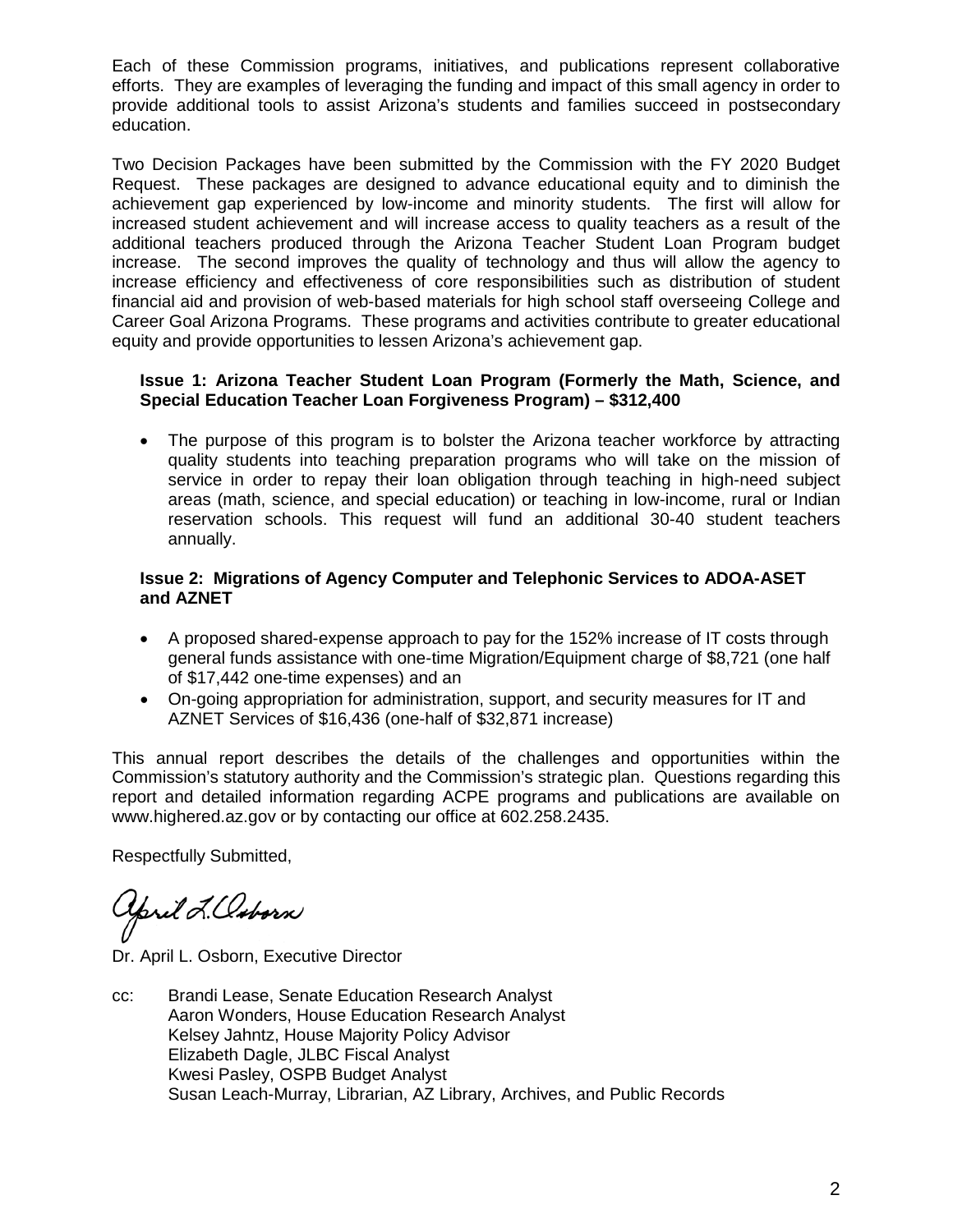Each of these Commission programs, initiatives, and publications represent collaborative efforts. They are examples of leveraging the funding and impact of this small agency in order to provide additional tools to assist Arizona's students and families succeed in postsecondary education.

Two Decision Packages have been submitted by the Commission with the FY 2020 Budget Request. These packages are designed to advance educational equity and to diminish the achievement gap experienced by low-income and minority students. The first will allow for increased student achievement and will increase access to quality teachers as a result of the additional teachers produced through the Arizona Teacher Student Loan Program budget increase. The second improves the quality of technology and thus will allow the agency to increase efficiency and effectiveness of core responsibilities such as distribution of student financial aid and provision of web-based materials for high school staff overseeing College and Career Goal Arizona Programs. These programs and activities contribute to greater educational equity and provide opportunities to lessen Arizona's achievement gap.

#### **Issue 1: Arizona Teacher Student Loan Program (Formerly the Math, Science, and Special Education Teacher Loan Forgiveness Program) – \$312,400**

• The purpose of this program is to bolster the Arizona teacher workforce by attracting quality students into teaching preparation programs who will take on the mission of service in order to repay their loan obligation through teaching in high-need subject areas (math, science, and special education) or teaching in low-income, rural or Indian reservation schools. This request will fund an additional 30-40 student teachers annually.

#### **Issue 2: Migrations of Agency Computer and Telephonic Services to ADOA-ASET and AZNET**

- A proposed shared-expense approach to pay for the 152% increase of IT costs through general funds assistance with one-time Migration/Equipment charge of \$8,721 (one half of \$17,442 one-time expenses) and an
- On-going appropriation for administration, support, and security measures for IT and AZNET Services of \$16,436 (one-half of \$32,871 increase)

This annual report describes the details of the challenges and opportunities within the Commission's statutory authority and the Commission's strategic plan. Questions regarding this report and detailed information regarding ACPE programs and publications are available on www.highered.az.gov or by contacting our office at 602.258.2435.

Respectfully Submitted,

Yoril L.Osborn

Dr. April L. Osborn, Executive Director

cc: Brandi Lease, Senate Education Research Analyst Aaron Wonders, House Education Research Analyst Kelsey Jahntz, House Majority Policy Advisor Elizabeth Dagle, JLBC Fiscal Analyst Kwesi Pasley, OSPB Budget Analyst Susan Leach-Murray, Librarian, AZ Library, Archives, and Public Records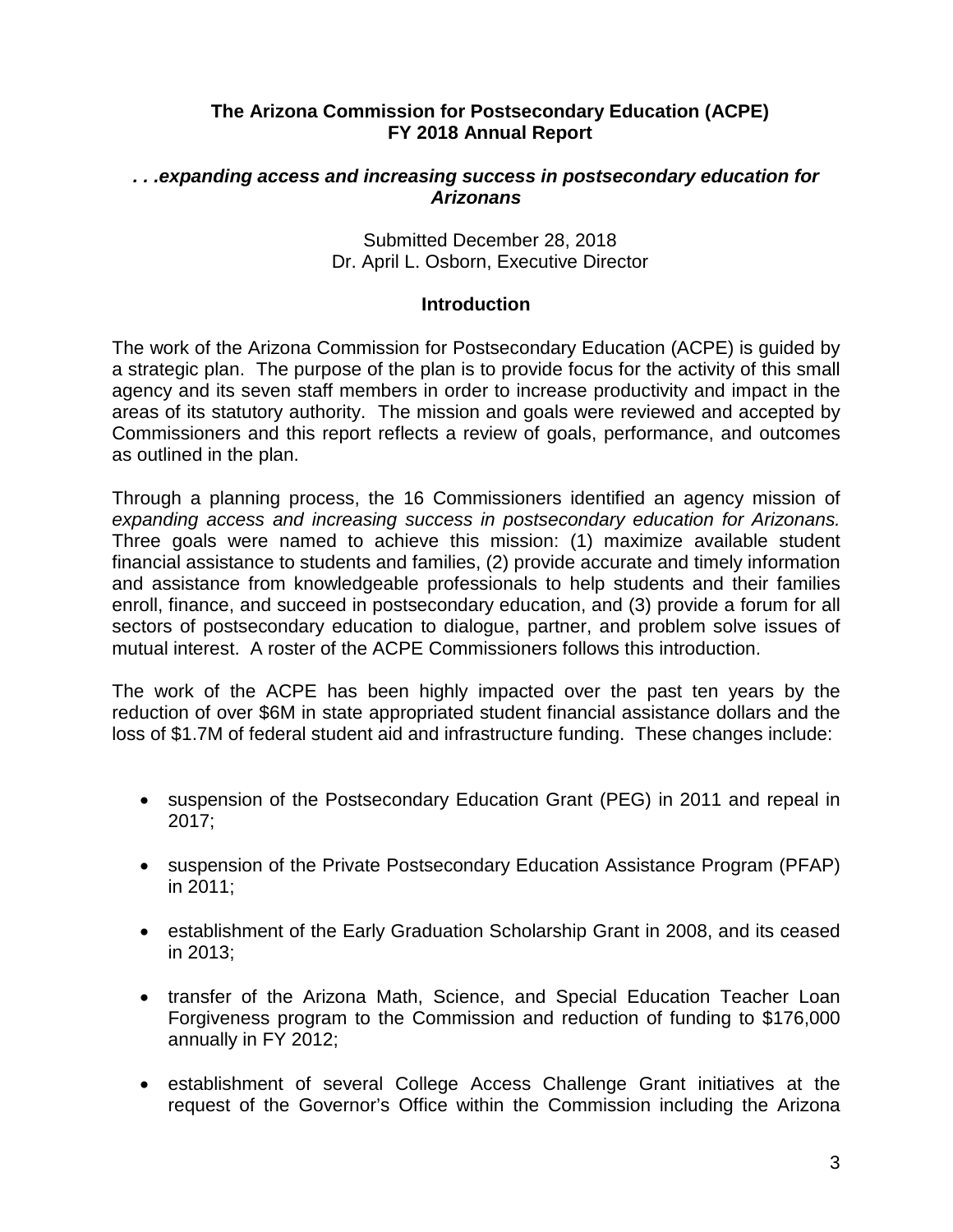# **The Arizona Commission for Postsecondary Education (ACPE) FY 2018 Annual Report**

#### *. . .expanding access and increasing success in postsecondary education for Arizonans*

Submitted December 28, 2018 Dr. April L. Osborn, Executive Director

#### **Introduction**

The work of the Arizona Commission for Postsecondary Education (ACPE) is guided by a strategic plan. The purpose of the plan is to provide focus for the activity of this small agency and its seven staff members in order to increase productivity and impact in the areas of its statutory authority. The mission and goals were reviewed and accepted by Commissioners and this report reflects a review of goals, performance, and outcomes as outlined in the plan.

Through a planning process, the 16 Commissioners identified an agency mission of *expanding access and increasing success in postsecondary education for Arizonans.* Three goals were named to achieve this mission: (1) maximize available student financial assistance to students and families, (2) provide accurate and timely information and assistance from knowledgeable professionals to help students and their families enroll, finance, and succeed in postsecondary education, and (3) provide a forum for all sectors of postsecondary education to dialogue, partner, and problem solve issues of mutual interest. A roster of the ACPE Commissioners follows this introduction.

The work of the ACPE has been highly impacted over the past ten years by the reduction of over \$6M in state appropriated student financial assistance dollars and the loss of \$1.7M of federal student aid and infrastructure funding. These changes include:

- suspension of the Postsecondary Education Grant (PEG) in 2011 and repeal in 2017;
- suspension of the Private Postsecondary Education Assistance Program (PFAP) in 2011;
- establishment of the Early Graduation Scholarship Grant in 2008, and its ceased in 2013;
- transfer of the Arizona Math, Science, and Special Education Teacher Loan Forgiveness program to the Commission and reduction of funding to \$176,000 annually in FY 2012;
- establishment of several College Access Challenge Grant initiatives at the request of the Governor's Office within the Commission including the Arizona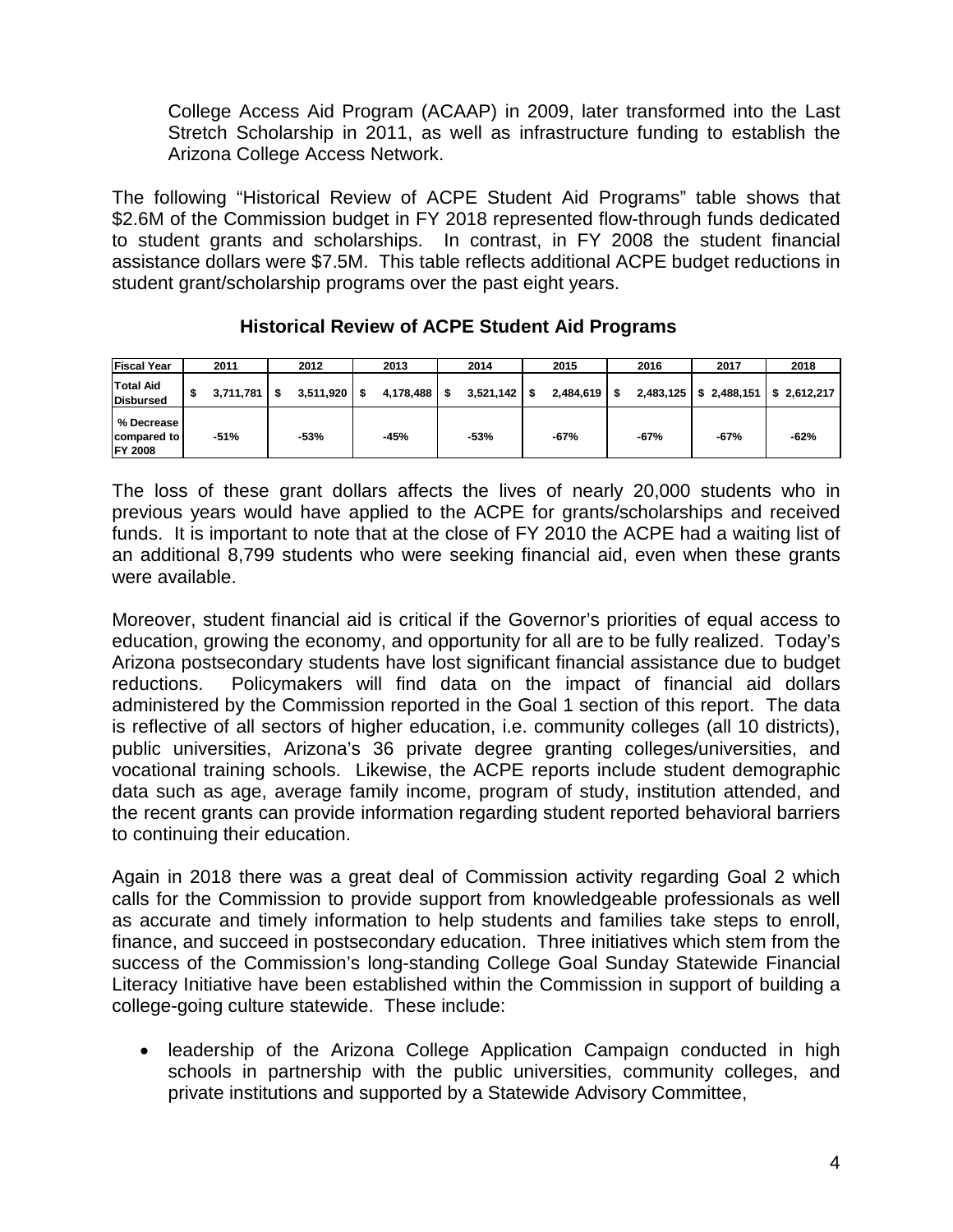College Access Aid Program (ACAAP) in 2009, later transformed into the Last Stretch Scholarship in 2011, as well as infrastructure funding to establish the Arizona College Access Network.

The following "Historical Review of ACPE Student Aid Programs" table shows that \$2.6M of the Commission budget in FY 2018 represented flow-through funds dedicated to student grants and scholarships. In contrast, in FY 2008 the student financial assistance dollars were \$7.5M. This table reflects additional ACPE budget reductions in student grant/scholarship programs over the past eight years.

| <b>Fiscal Year</b>                          | 2011            |   | 2012           | 2013      | 2014            |      | 2015           | 2016      | 2017   | 2018                              |
|---------------------------------------------|-----------------|---|----------------|-----------|-----------------|------|----------------|-----------|--------|-----------------------------------|
| Total Aid<br>Disbursed                      | \$<br>3.711.781 | S | $3,511,920$ \$ | 4,178,488 | \$<br>3,521,142 | - \$ | $2,484,619$ \$ | 2,483,125 |        | $$2,488,151 \mid $2,612,217 \mid$ |
| % Decrease<br>compared to<br><b>FY 2008</b> | $-51%$          |   | $-53%$         | $-45%$    | $-53%$          |      | $-67%$         | $-67%$    | $-67%$ | $-62%$                            |

# **Historical Review of ACPE Student Aid Programs**

The loss of these grant dollars affects the lives of nearly 20,000 students who in previous years would have applied to the ACPE for grants/scholarships and received funds. It is important to note that at the close of FY 2010 the ACPE had a waiting list of an additional 8,799 students who were seeking financial aid, even when these grants were available.

Moreover, student financial aid is critical if the Governor's priorities of equal access to education, growing the economy, and opportunity for all are to be fully realized. Today's Arizona postsecondary students have lost significant financial assistance due to budget reductions. Policymakers will find data on the impact of financial aid dollars administered by the Commission reported in the Goal 1 section of this report. The data is reflective of all sectors of higher education, i.e. community colleges (all 10 districts), public universities, Arizona's 36 private degree granting colleges/universities, and vocational training schools. Likewise, the ACPE reports include student demographic data such as age, average family income, program of study, institution attended, and the recent grants can provide information regarding student reported behavioral barriers to continuing their education.

Again in 2018 there was a great deal of Commission activity regarding Goal 2 which calls for the Commission to provide support from knowledgeable professionals as well as accurate and timely information to help students and families take steps to enroll, finance, and succeed in postsecondary education. Three initiatives which stem from the success of the Commission's long-standing College Goal Sunday Statewide Financial Literacy Initiative have been established within the Commission in support of building a college-going culture statewide. These include:

• leadership of the Arizona College Application Campaign conducted in high schools in partnership with the public universities, community colleges, and private institutions and supported by a Statewide Advisory Committee,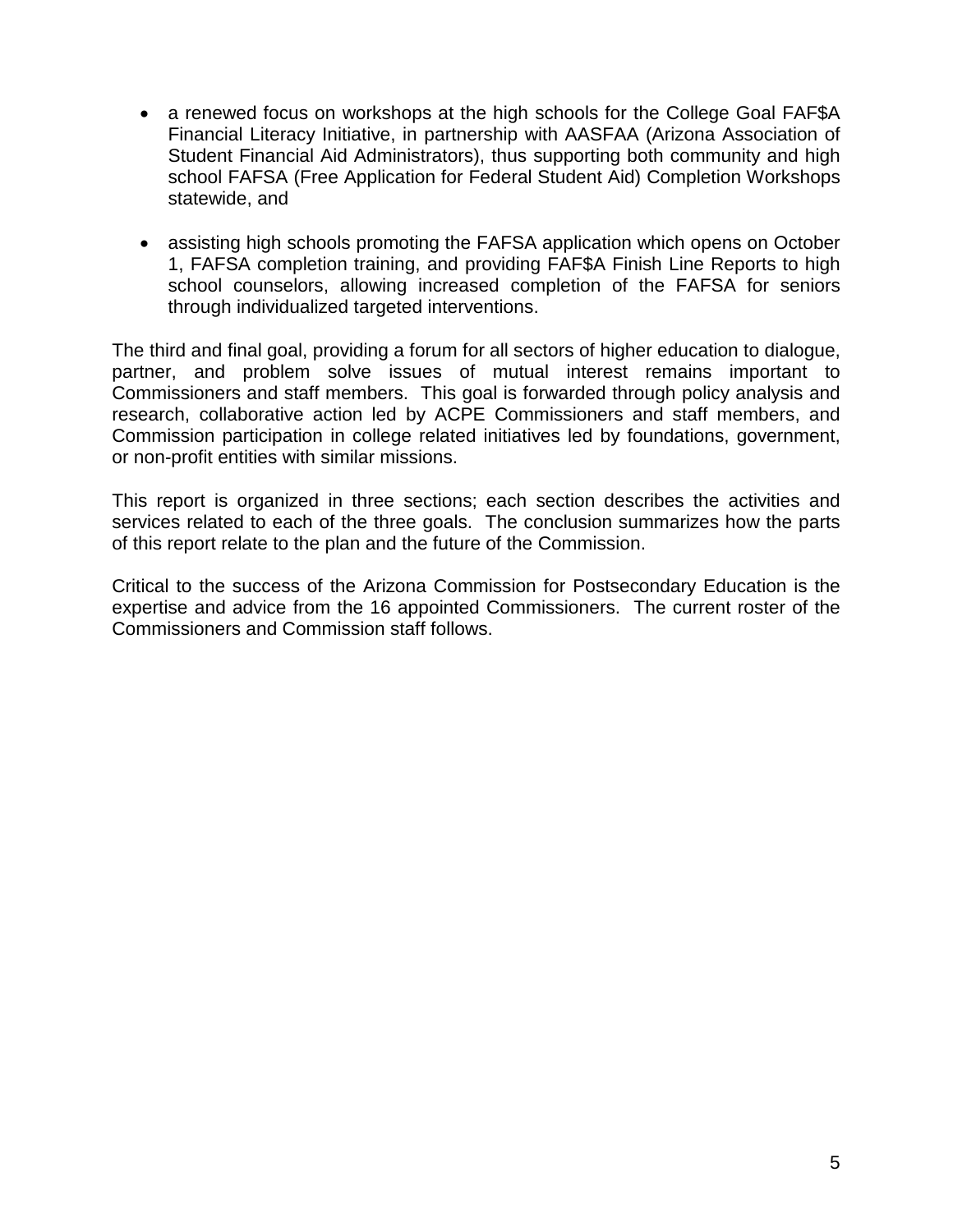- a renewed focus on workshops at the high schools for the College Goal FAF\$A Financial Literacy Initiative, in partnership with AASFAA (Arizona Association of Student Financial Aid Administrators), thus supporting both community and high school FAFSA (Free Application for Federal Student Aid) Completion Workshops statewide, and
- assisting high schools promoting the FAFSA application which opens on October 1, FAFSA completion training, and providing FAF\$A Finish Line Reports to high school counselors, allowing increased completion of the FAFSA for seniors through individualized targeted interventions.

The third and final goal, providing a forum for all sectors of higher education to dialogue, partner, and problem solve issues of mutual interest remains important to Commissioners and staff members. This goal is forwarded through policy analysis and research, collaborative action led by ACPE Commissioners and staff members, and Commission participation in college related initiatives led by foundations, government, or non-profit entities with similar missions.

This report is organized in three sections; each section describes the activities and services related to each of the three goals. The conclusion summarizes how the parts of this report relate to the plan and the future of the Commission.

Critical to the success of the Arizona Commission for Postsecondary Education is the expertise and advice from the 16 appointed Commissioners. The current roster of the Commissioners and Commission staff follows.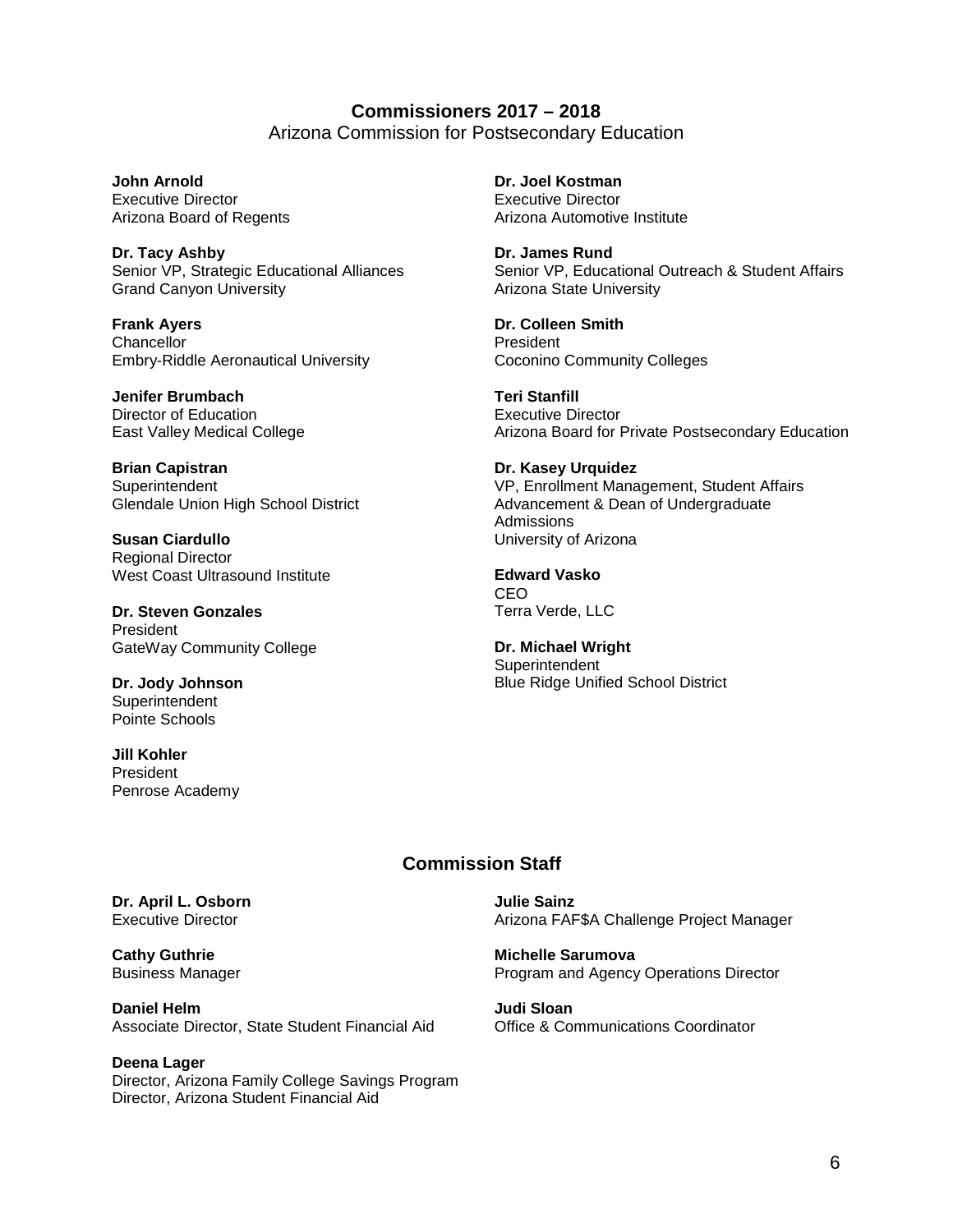**Commissioners 2017 – 2018** Arizona Commission for Postsecondary Education

**John Arnold**  Executive Director Arizona Board of Regents

**Dr. Tacy Ashby** Senior VP, Strategic Educational Alliances Grand Canyon University

**Frank Ayers Chancellor** Embry-Riddle Aeronautical University

**Jenifer Brumbach** Director of Education East Valley Medical College

**Brian Capistran** Superintendent Glendale Union High School District

**Susan Ciardullo** Regional Director West Coast Ultrasound Institute

**Dr. Steven Gonzales** President GateWay Community College

**Dr. Jody Johnson Superintendent** Pointe Schools

**Jill Kohler** President Penrose Academy **Dr. Joel Kostman** Executive Director Arizona Automotive Institute

**Dr. James Rund** Senior VP, Educational Outreach & Student Affairs Arizona State University

**Dr. Colleen Smith** President Coconino Community Colleges

**Teri Stanfill** Executive Director Arizona Board for Private Postsecondary Education

**Dr. Kasey Urquidez** VP, Enrollment Management, Student Affairs Advancement & Dean of Undergraduate Admissions University of Arizona

**Edward Vasko** CEO Terra Verde, LLC

**Dr. Michael Wright Superintendent** Blue Ridge Unified School District

#### **Commission Staff**

**Julie Sainz** Arizona FAF\$A Challenge Project Manager

**Michelle Sarumova** Program and Agency Operations Director

**Judi Sloan** Office & Communications Coordinator

**Dr. April L. Osborn** Executive Director

**Cathy Guthrie** Business Manager

**Daniel Helm** Associate Director, State Student Financial Aid

**Deena Lager**  Director, Arizona Family College Savings Program Director, Arizona Student Financial Aid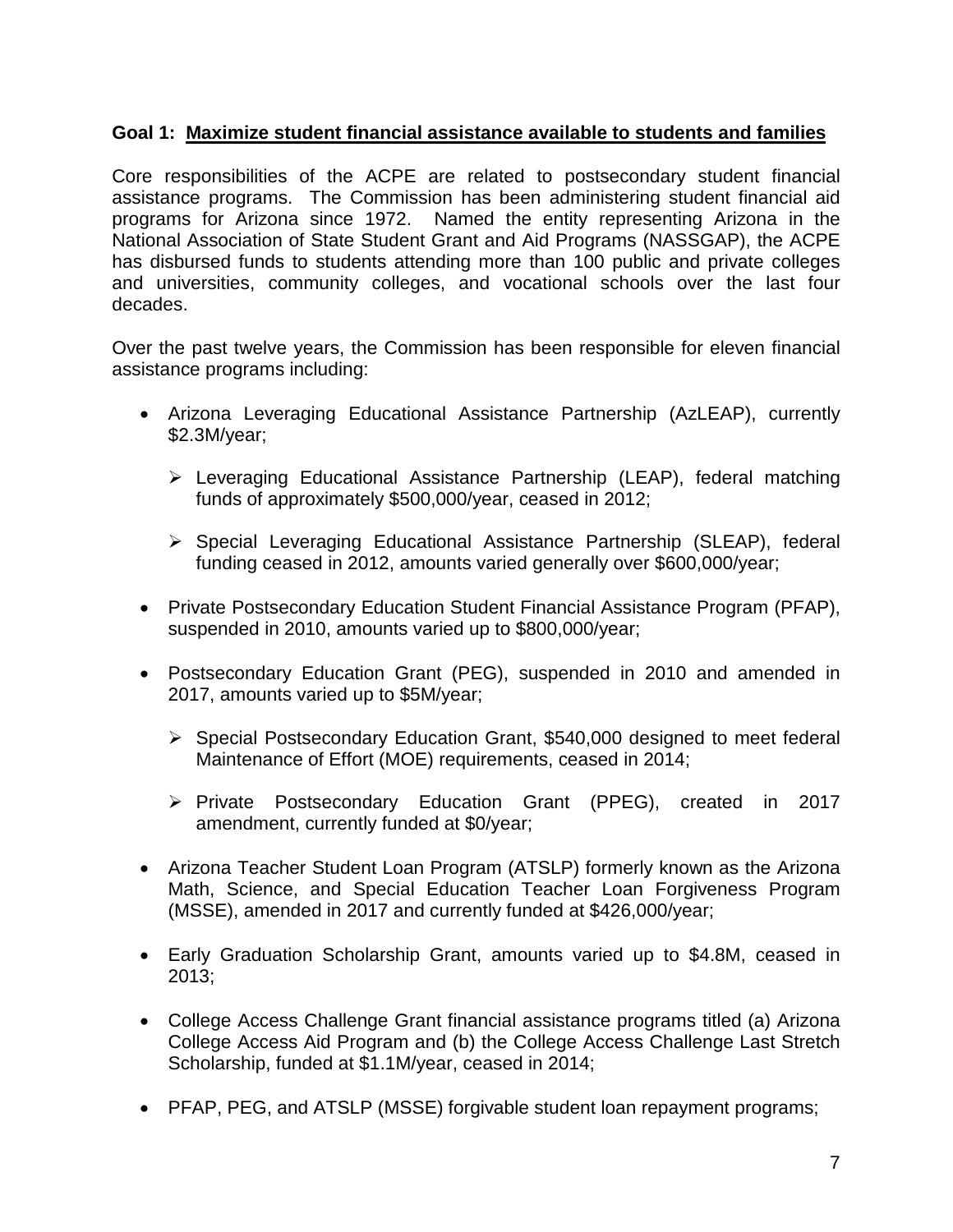# **Goal 1: Maximize student financial assistance available to students and families**

Core responsibilities of the ACPE are related to postsecondary student financial assistance programs. The Commission has been administering student financial aid programs for Arizona since 1972. Named the entity representing Arizona in the National Association of State Student Grant and Aid Programs (NASSGAP), the ACPE has disbursed funds to students attending more than 100 public and private colleges and universities, community colleges, and vocational schools over the last four decades.

Over the past twelve years, the Commission has been responsible for eleven financial assistance programs including:

- Arizona Leveraging Educational Assistance Partnership (AzLEAP), currently \$2.3M/year;
	- Leveraging Educational Assistance Partnership (LEAP), federal matching funds of approximately \$500,000/year, ceased in 2012;
	- Special Leveraging Educational Assistance Partnership (SLEAP), federal funding ceased in 2012, amounts varied generally over \$600,000/year;
- Private Postsecondary Education Student Financial Assistance Program (PFAP), suspended in 2010, amounts varied up to \$800,000/year;
- Postsecondary Education Grant (PEG), suspended in 2010 and amended in 2017, amounts varied up to \$5M/year;
	- Special Postsecondary Education Grant, \$540,000 designed to meet federal Maintenance of Effort (MOE) requirements, ceased in 2014;
	- ▶ Private Postsecondary Education Grant (PPEG), created in 2017 amendment, currently funded at \$0/year;
- Arizona Teacher Student Loan Program (ATSLP) formerly known as the Arizona Math, Science, and Special Education Teacher Loan Forgiveness Program (MSSE), amended in 2017 and currently funded at \$426,000/year;
- Early Graduation Scholarship Grant, amounts varied up to \$4.8M, ceased in 2013;
- College Access Challenge Grant financial assistance programs titled (a) Arizona College Access Aid Program and (b) the College Access Challenge Last Stretch Scholarship, funded at \$1.1M/year, ceased in 2014;
- PFAP, PEG, and ATSLP (MSSE) forgivable student loan repayment programs;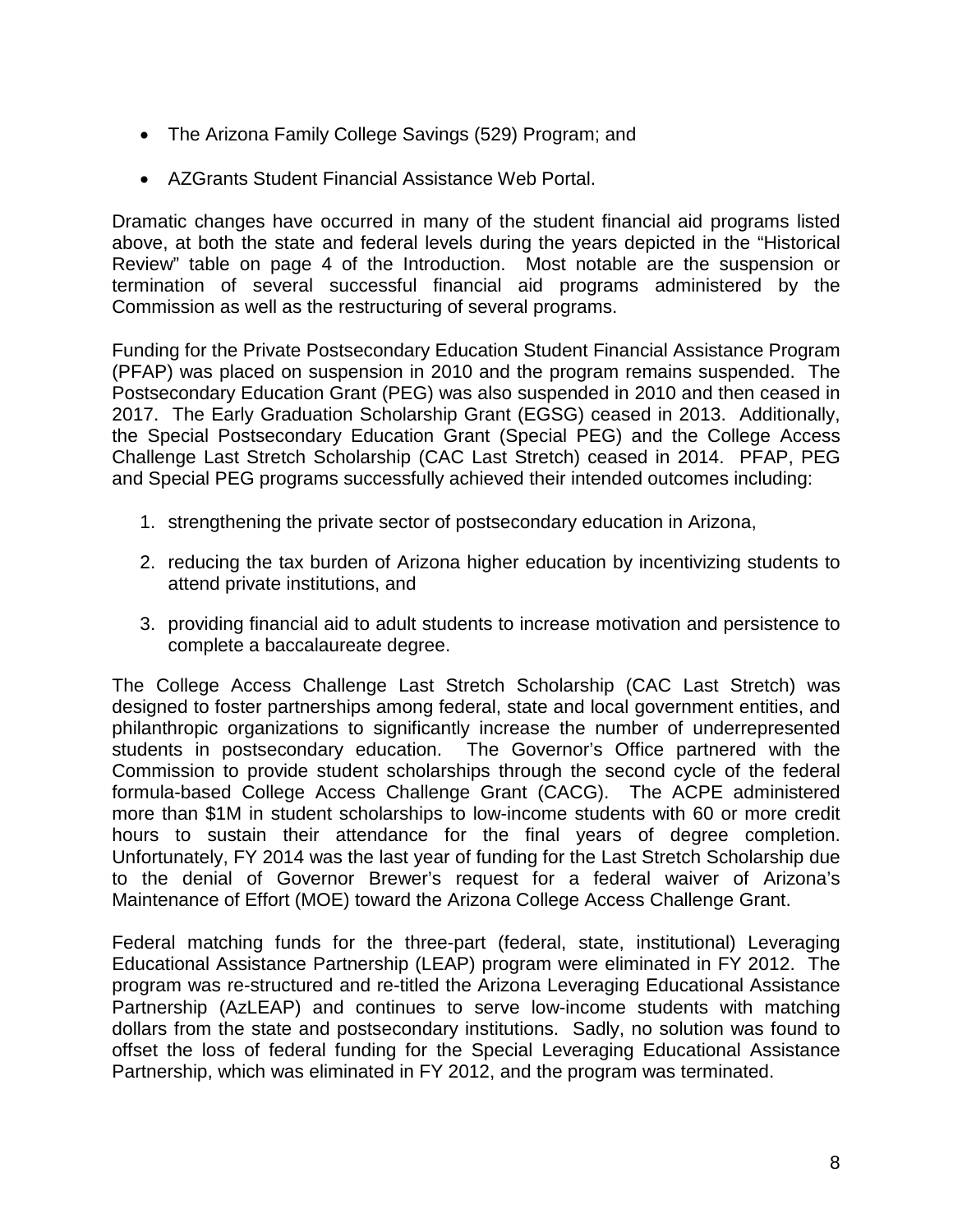- The Arizona Family College Savings (529) Program; and
- AZGrants Student Financial Assistance Web Portal.

Dramatic changes have occurred in many of the student financial aid programs listed above, at both the state and federal levels during the years depicted in the "Historical Review" table on page 4 of the Introduction. Most notable are the suspension or termination of several successful financial aid programs administered by the Commission as well as the restructuring of several programs.

Funding for the Private Postsecondary Education Student Financial Assistance Program (PFAP) was placed on suspension in 2010 and the program remains suspended. The Postsecondary Education Grant (PEG) was also suspended in 2010 and then ceased in 2017. The Early Graduation Scholarship Grant (EGSG) ceased in 2013. Additionally, the Special Postsecondary Education Grant (Special PEG) and the College Access Challenge Last Stretch Scholarship (CAC Last Stretch) ceased in 2014. PFAP, PEG and Special PEG programs successfully achieved their intended outcomes including:

- 1. strengthening the private sector of postsecondary education in Arizona,
- 2. reducing the tax burden of Arizona higher education by incentivizing students to attend private institutions, and
- 3. providing financial aid to adult students to increase motivation and persistence to complete a baccalaureate degree.

The College Access Challenge Last Stretch Scholarship (CAC Last Stretch) was designed to foster partnerships among federal, state and local government entities, and philanthropic organizations to significantly increase the number of underrepresented students in postsecondary education. The Governor's Office partnered with the Commission to provide student scholarships through the second cycle of the federal formula-based College Access Challenge Grant (CACG). The ACPE administered more than \$1M in student scholarships to low-income students with 60 or more credit hours to sustain their attendance for the final years of degree completion. Unfortunately, FY 2014 was the last year of funding for the Last Stretch Scholarship due to the denial of Governor Brewer's request for a federal waiver of Arizona's Maintenance of Effort (MOE) toward the Arizona College Access Challenge Grant.

Federal matching funds for the three-part (federal, state, institutional) Leveraging Educational Assistance Partnership (LEAP) program were eliminated in FY 2012. The program was re-structured and re-titled the Arizona Leveraging Educational Assistance Partnership (AzLEAP) and continues to serve low-income students with matching dollars from the state and postsecondary institutions. Sadly, no solution was found to offset the loss of federal funding for the Special Leveraging Educational Assistance Partnership, which was eliminated in FY 2012, and the program was terminated.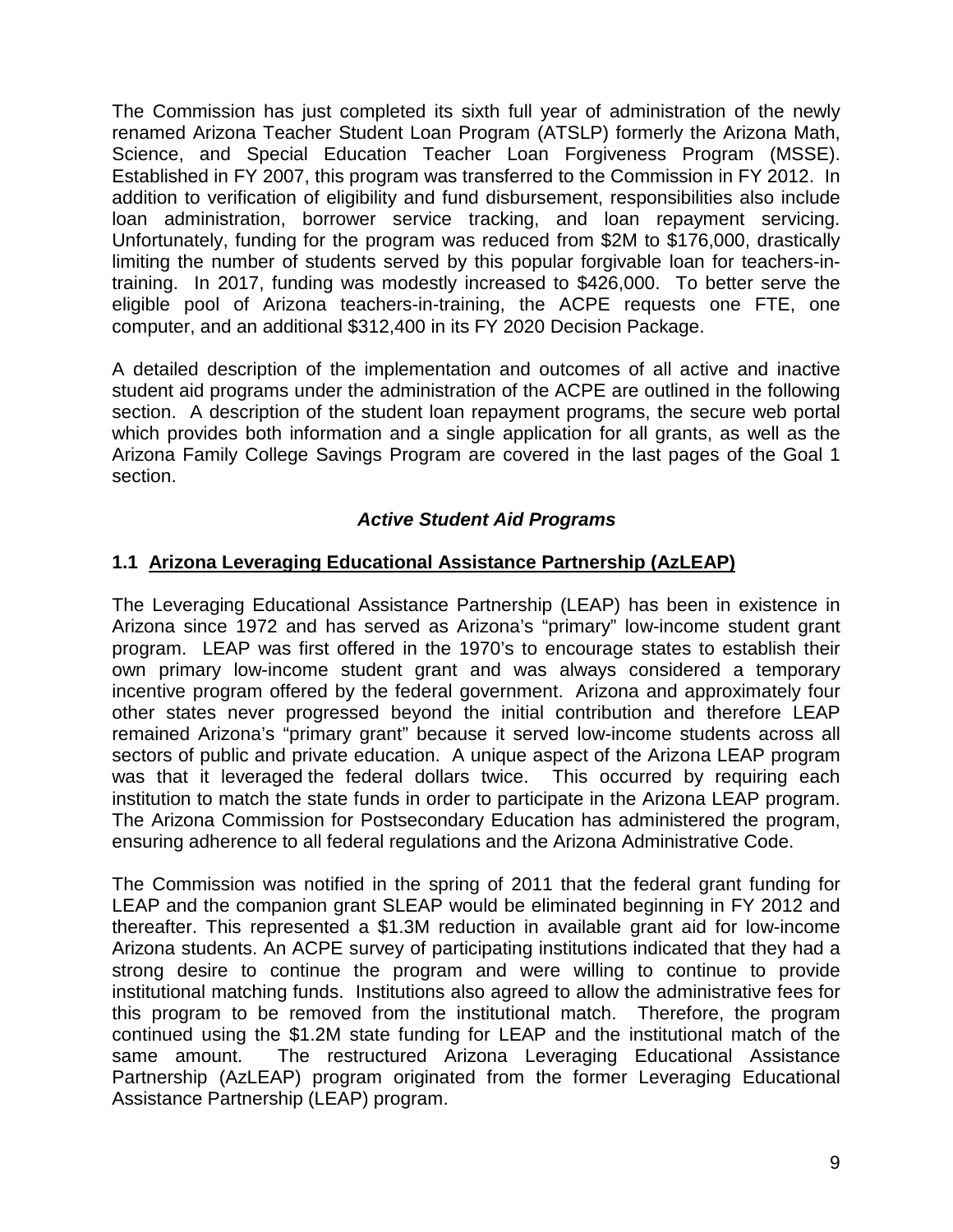The Commission has just completed its sixth full year of administration of the newly renamed Arizona Teacher Student Loan Program (ATSLP) formerly the Arizona Math, Science, and Special Education Teacher Loan Forgiveness Program (MSSE). Established in FY 2007, this program was transferred to the Commission in FY 2012. In addition to verification of eligibility and fund disbursement, responsibilities also include loan administration, borrower service tracking, and loan repayment servicing. Unfortunately, funding for the program was reduced from \$2M to \$176,000, drastically limiting the number of students served by this popular forgivable loan for teachers-intraining. In 2017, funding was modestly increased to \$426,000. To better serve the eligible pool of Arizona teachers-in-training, the ACPE requests one FTE, one computer, and an additional \$312,400 in its FY 2020 Decision Package.

A detailed description of the implementation and outcomes of all active and inactive student aid programs under the administration of the ACPE are outlined in the following section. A description of the student loan repayment programs, the secure web portal which provides both information and a single application for all grants, as well as the Arizona Family College Savings Program are covered in the last pages of the Goal 1 section.

# *Active Student Aid Programs*

#### **1.1 Arizona Leveraging Educational Assistance Partnership (AzLEAP)**

The Leveraging Educational Assistance Partnership (LEAP) has been in existence in Arizona since 1972 and has served as Arizona's "primary" low-income student grant program. LEAP was first offered in the 1970's to encourage states to establish their own primary low-income student grant and was always considered a temporary incentive program offered by the federal government. Arizona and approximately four other states never progressed beyond the initial contribution and therefore LEAP remained Arizona's "primary grant" because it served low-income students across all sectors of public and private education. A unique aspect of the Arizona LEAP program was that it leveraged the federal dollars twice. This occurred by requiring each institution to match the state funds in order to participate in the Arizona LEAP program. The Arizona Commission for Postsecondary Education has administered the program, ensuring adherence to all federal regulations and the Arizona Administrative Code.

The Commission was notified in the spring of 2011 that the federal grant funding for LEAP and the companion grant SLEAP would be eliminated beginning in FY 2012 and thereafter. This represented a \$1.3M reduction in available grant aid for low-income Arizona students. An ACPE survey of participating institutions indicated that they had a strong desire to continue the program and were willing to continue to provide institutional matching funds. Institutions also agreed to allow the administrative fees for this program to be removed from the institutional match. Therefore, the program continued using the \$1.2M state funding for LEAP and the institutional match of the same amount. The restructured Arizona Leveraging Educational Assistance Partnership (AzLEAP) program originated from the former Leveraging Educational Assistance Partnership (LEAP) program.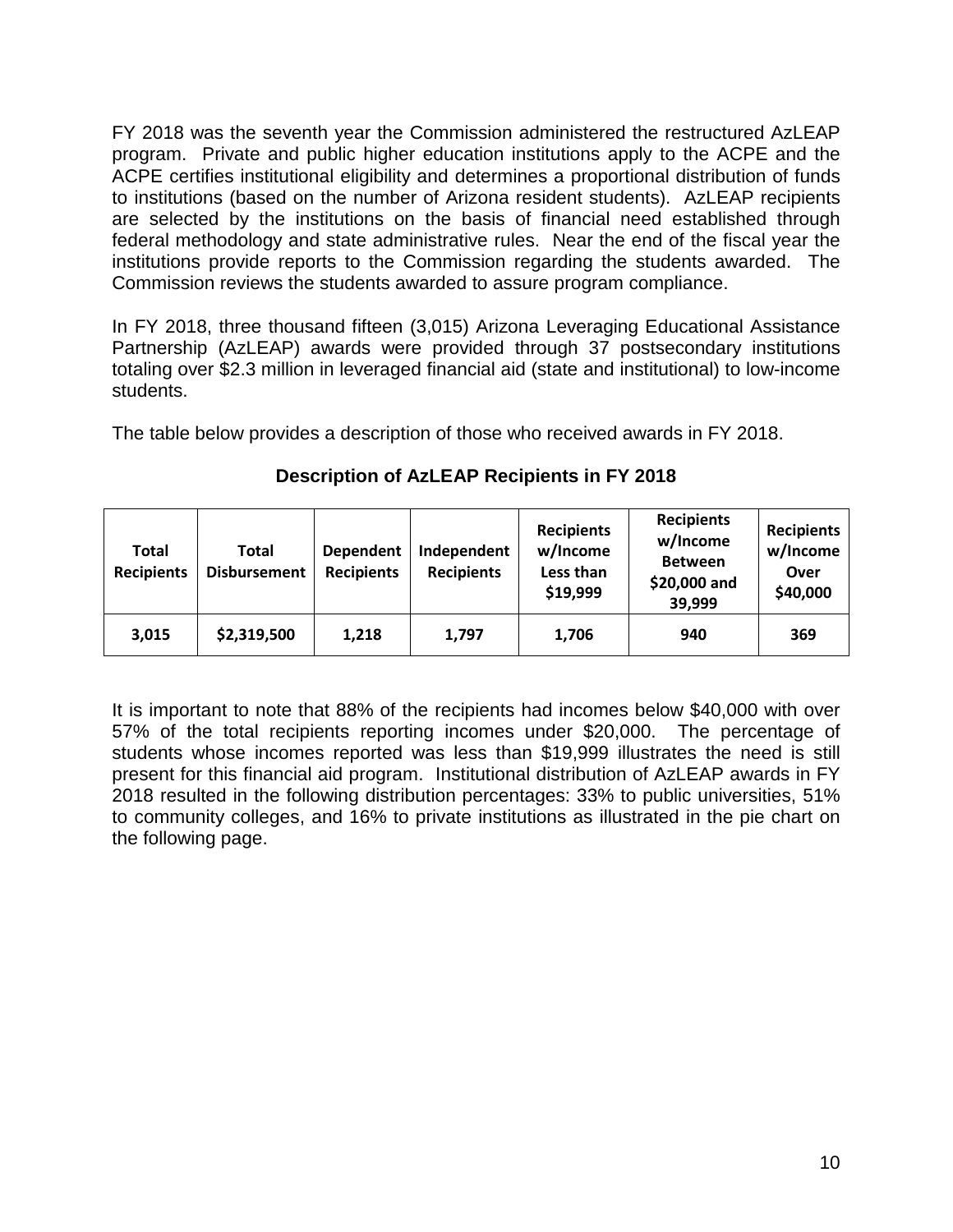FY 2018 was the seventh year the Commission administered the restructured AzLEAP program. Private and public higher education institutions apply to the ACPE and the ACPE certifies institutional eligibility and determines a proportional distribution of funds to institutions (based on the number of Arizona resident students). AzLEAP recipients are selected by the institutions on the basis of financial need established through federal methodology and state administrative rules. Near the end of the fiscal year the institutions provide reports to the Commission regarding the students awarded. The Commission reviews the students awarded to assure program compliance.

In FY 2018, three thousand fifteen (3,015) Arizona Leveraging Educational Assistance Partnership (AzLEAP) awards were provided through 37 postsecondary institutions totaling over \$2.3 million in leveraged financial aid (state and institutional) to low-income students.

The table below provides a description of those who received awards in FY 2018.

| Total<br><b>Recipients</b> | Total<br><b>Disbursement</b> | <b>Dependent</b><br><b>Recipients</b> | Independent<br><b>Recipients</b> | <b>Recipients</b><br>w/Income<br>Less than<br>\$19,999 | <b>Recipients</b><br>w/Income<br><b>Between</b><br>\$20,000 and<br>39,999 | <b>Recipients</b><br>w/Income<br>Over<br>\$40,000 |
|----------------------------|------------------------------|---------------------------------------|----------------------------------|--------------------------------------------------------|---------------------------------------------------------------------------|---------------------------------------------------|
| 3,015                      | \$2,319,500                  | 1,218                                 | 1,797                            | 1,706                                                  | 940                                                                       | 369                                               |

# **Description of AzLEAP Recipients in FY 2018**

It is important to note that 88% of the recipients had incomes below \$40,000 with over 57% of the total recipients reporting incomes under \$20,000. The percentage of students whose incomes reported was less than \$19,999 illustrates the need is still present for this financial aid program. Institutional distribution of AzLEAP awards in FY 2018 resulted in the following distribution percentages: 33% to public universities, 51% to community colleges, and 16% to private institutions as illustrated in the pie chart on the following page.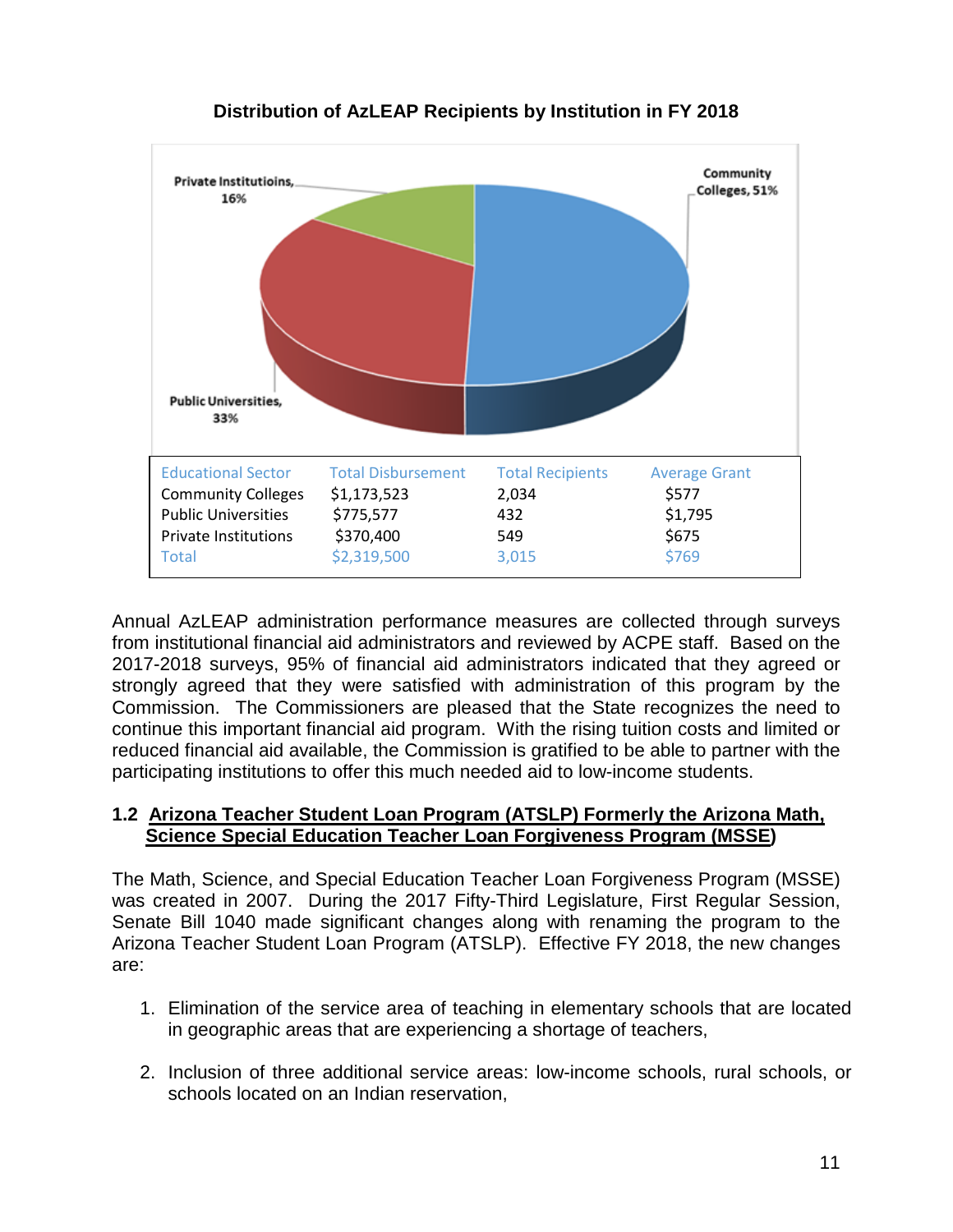

# **Distribution of AzLEAP Recipients by Institution in FY 2018**

Annual AzLEAP administration performance measures are collected through surveys from institutional financial aid administrators and reviewed by ACPE staff. Based on the 2017-2018 surveys, 95% of financial aid administrators indicated that they agreed or strongly agreed that they were satisfied with administration of this program by the Commission. The Commissioners are pleased that the State recognizes the need to continue this important financial aid program. With the rising tuition costs and limited or reduced financial aid available, the Commission is gratified to be able to partner with the participating institutions to offer this much needed aid to low-income students.

#### **1.2 Arizona Teacher Student Loan Program (ATSLP) Formerly the Arizona Math, Science Special Education Teacher Loan Forgiveness Program (MSSE)**

The Math, Science, and Special Education Teacher Loan Forgiveness Program (MSSE) was created in 2007. During the 2017 Fifty-Third Legislature, First Regular Session, Senate Bill 1040 made significant changes along with renaming the program to the Arizona Teacher Student Loan Program (ATSLP). Effective FY 2018, the new changes are:

- 1. Elimination of the service area of teaching in elementary schools that are located in geographic areas that are experiencing a shortage of teachers,
- 2. Inclusion of three additional service areas: low-income schools, rural schools, or schools located on an Indian reservation,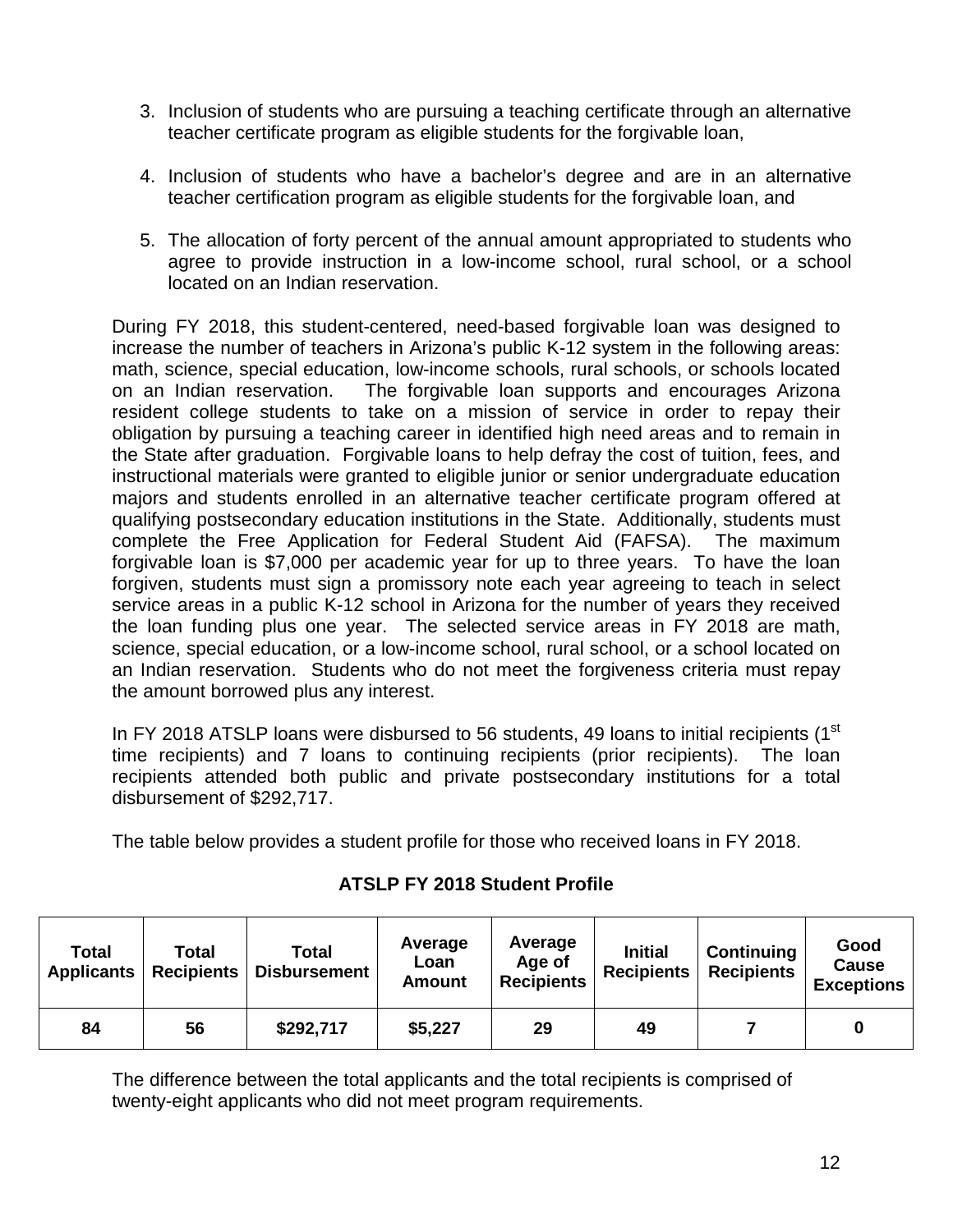- 3. Inclusion of students who are pursuing a teaching certificate through an alternative teacher certificate program as eligible students for the forgivable loan,
- 4. Inclusion of students who have a bachelor's degree and are in an alternative teacher certification program as eligible students for the forgivable loan, and
- 5. The allocation of forty percent of the annual amount appropriated to students who agree to provide instruction in a low-income school, rural school, or a school located on an Indian reservation.

During FY 2018, this student-centered, need-based forgivable loan was designed to increase the number of teachers in Arizona's public K-12 system in the following areas: math, science, special education, low-income schools, rural schools, or schools located on an Indian reservation. The forgivable loan supports and encourages Arizona resident college students to take on a mission of service in order to repay their obligation by pursuing a teaching career in identified high need areas and to remain in the State after graduation. Forgivable loans to help defray the cost of tuition, fees, and instructional materials were granted to eligible junior or senior undergraduate education majors and students enrolled in an alternative teacher certificate program offered at qualifying postsecondary education institutions in the State. Additionally, students must complete the Free Application for Federal Student Aid (FAFSA). The maximum forgivable loan is \$7,000 per academic year for up to three years. To have the loan forgiven, students must sign a promissory note each year agreeing to teach in select service areas in a public K-12 school in Arizona for the number of years they received the loan funding plus one year. The selected service areas in FY 2018 are math, science, special education, or a low-income school, rural school, or a school located on an Indian reservation. Students who do not meet the forgiveness criteria must repay the amount borrowed plus any interest.

In FY 2018 ATSLP loans were disbursed to 56 students, 49 loans to initial recipients (1<sup>st</sup> time recipients) and 7 loans to continuing recipients (prior recipients). The loan recipients attended both public and private postsecondary institutions for a total disbursement of \$292,717.

The table below provides a student profile for those who received loans in FY 2018.

| Total<br><b>Applicants</b> | Total<br><b>Recipients</b> | Total<br>Disbursement | Average<br>Loan<br><b>Amount</b> | Average<br>Age of<br><b>Recipients</b> | <b>Initial</b><br><b>Recipients</b> | <b>Continuing</b><br><b>Recipients</b> | Good<br><b>Cause</b><br><b>Exceptions</b> |
|----------------------------|----------------------------|-----------------------|----------------------------------|----------------------------------------|-------------------------------------|----------------------------------------|-------------------------------------------|
| 84                         | 56                         | \$292,717             | \$5,227                          | 29                                     | 49                                  |                                        |                                           |

# **ATSLP FY 2018 Student Profile**

The difference between the total applicants and the total recipients is comprised of twenty-eight applicants who did not meet program requirements.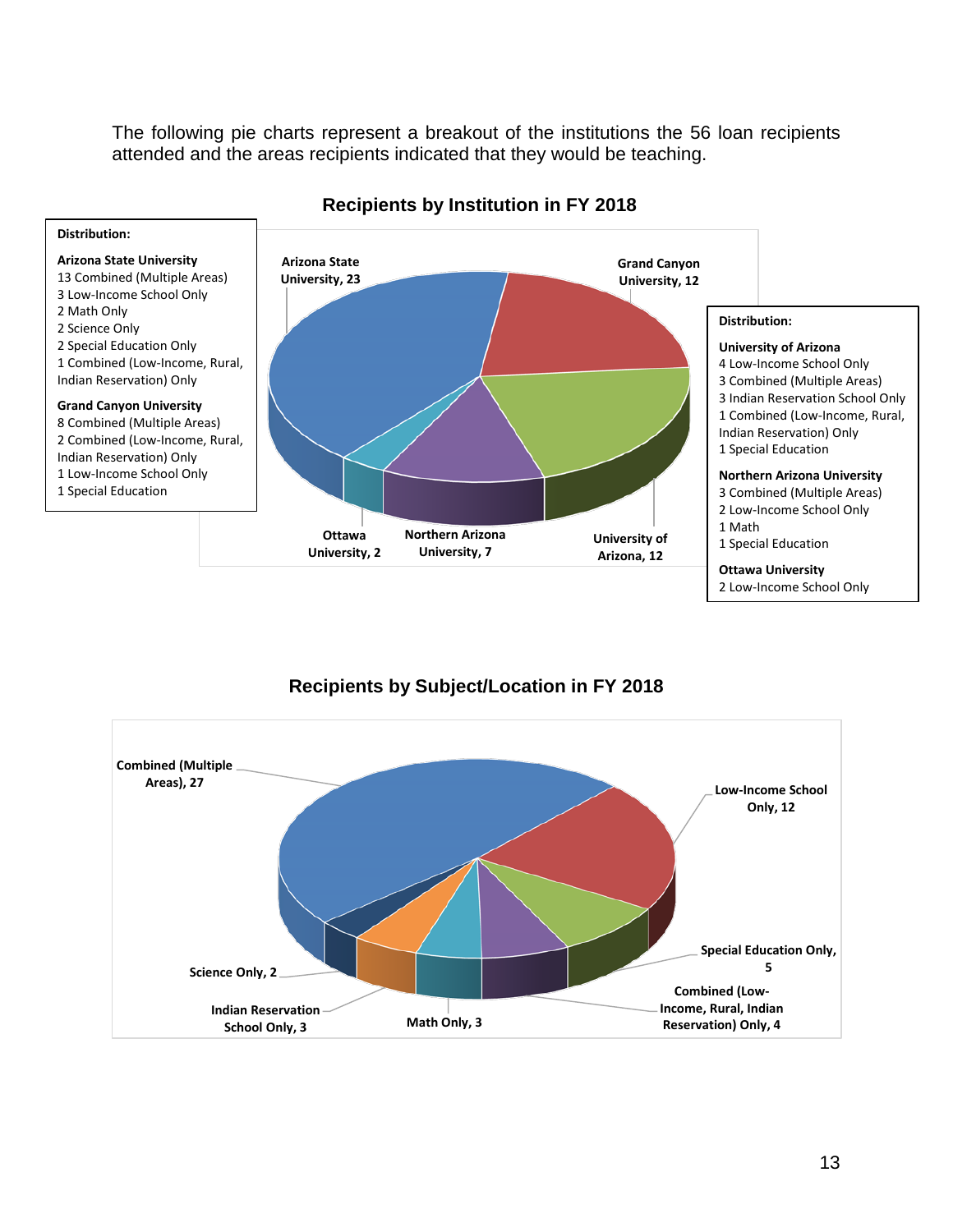The following pie charts represent a breakout of the institutions the 56 loan recipients attended and the areas recipients indicated that they would be teaching.



#### **Recipients by Institution in FY 2018**



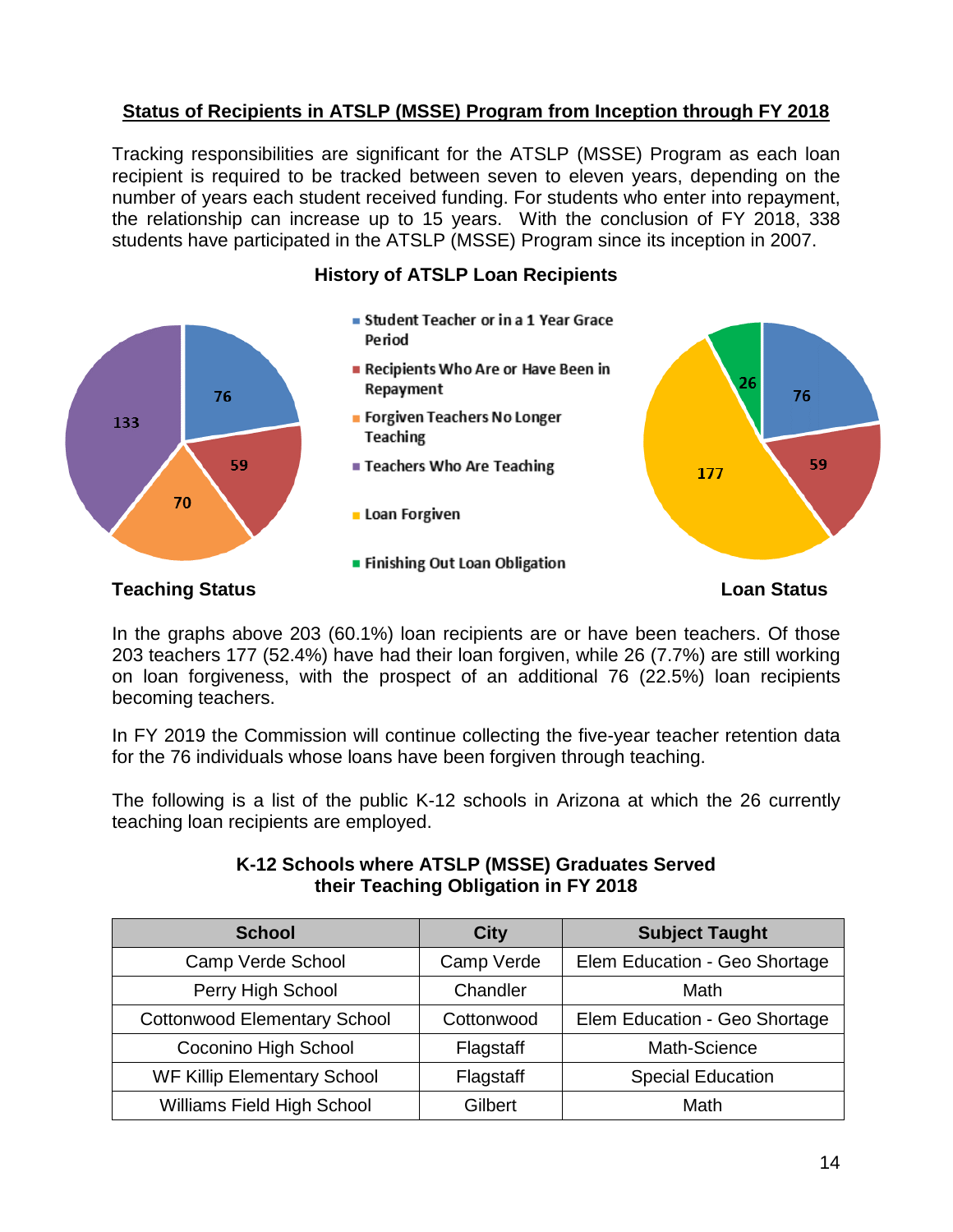# **Status of Recipients in ATSLP (MSSE) Program from Inception through FY 2018**

Tracking responsibilities are significant for the ATSLP (MSSE) Program as each loan recipient is required to be tracked between seven to eleven years, depending on the number of years each student received funding. For students who enter into repayment, the relationship can increase up to 15 years. With the conclusion of FY 2018, 338 students have participated in the ATSLP (MSSE) Program since its inception in 2007.



**History of ATSLP Loan Recipients**

In the graphs above 203 (60.1%) loan recipients are or have been teachers. Of those 203 teachers 177 (52.4%) have had their loan forgiven, while 26 (7.7%) are still working on loan forgiveness, with the prospect of an additional 76 (22.5%) loan recipients becoming teachers.

In FY 2019 the Commission will continue collecting the five-year teacher retention data for the 76 individuals whose loans have been forgiven through teaching.

The following is a list of the public K-12 schools in Arizona at which the 26 currently teaching loan recipients are employed.

| <b>School</b>                       | <b>City</b> | <b>Subject Taught</b>         |  |  |  |
|-------------------------------------|-------------|-------------------------------|--|--|--|
| Camp Verde School                   | Camp Verde  | Elem Education - Geo Shortage |  |  |  |
| Perry High School                   | Chandler    | Math                          |  |  |  |
| <b>Cottonwood Elementary School</b> | Cottonwood  | Elem Education - Geo Shortage |  |  |  |
| Coconino High School                | Flagstaff   | Math-Science                  |  |  |  |
| <b>WF Killip Elementary School</b>  | Flagstaff   | <b>Special Education</b>      |  |  |  |
| Williams Field High School          | Gilbert     | Math                          |  |  |  |

#### **K-12 Schools where ATSLP (MSSE) Graduates Served their Teaching Obligation in FY 2018**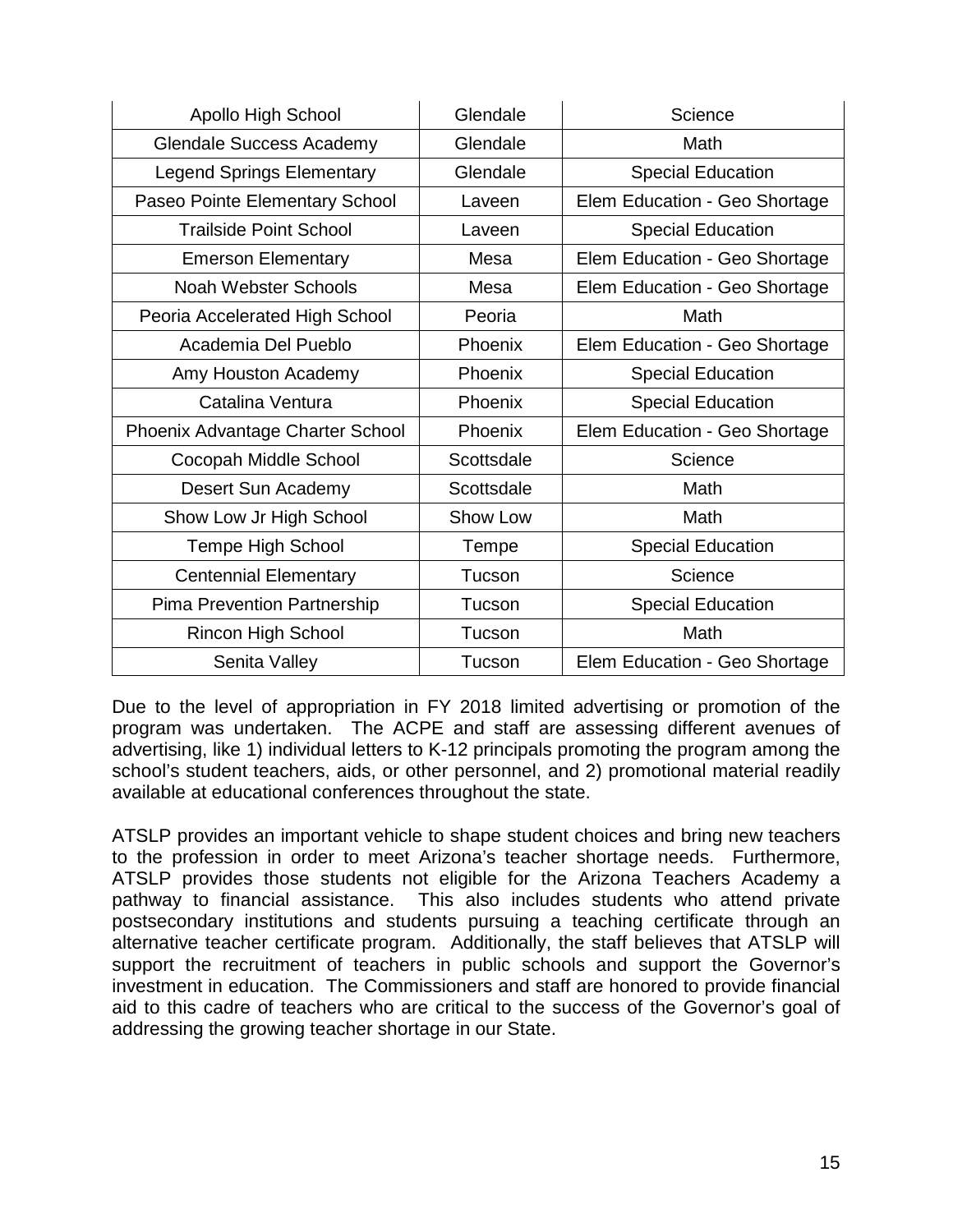| Apollo High School               | Glendale   | Science                       |
|----------------------------------|------------|-------------------------------|
| <b>Glendale Success Academy</b>  | Glendale   | Math                          |
| <b>Legend Springs Elementary</b> | Glendale   | <b>Special Education</b>      |
| Paseo Pointe Elementary School   | Laveen     | Elem Education - Geo Shortage |
| <b>Trailside Point School</b>    | Laveen     | <b>Special Education</b>      |
| <b>Emerson Elementary</b>        | Mesa       | Elem Education - Geo Shortage |
| <b>Noah Webster Schools</b>      | Mesa       | Elem Education - Geo Shortage |
| Peoria Accelerated High School   | Peoria     | Math                          |
| Academia Del Pueblo              | Phoenix    | Elem Education - Geo Shortage |
| Amy Houston Academy              | Phoenix    | <b>Special Education</b>      |
| Catalina Ventura                 | Phoenix    | <b>Special Education</b>      |
| Phoenix Advantage Charter School | Phoenix    | Elem Education - Geo Shortage |
| Cocopah Middle School            | Scottsdale | Science                       |
| Desert Sun Academy               | Scottsdale | Math                          |
| Show Low Jr High School          | Show Low   | Math                          |
| <b>Tempe High School</b>         | Tempe      | <b>Special Education</b>      |
| <b>Centennial Elementary</b>     | Tucson     | Science                       |
| Pima Prevention Partnership      | Tucson     | <b>Special Education</b>      |
| <b>Rincon High School</b>        | Tucson     | Math                          |
| Senita Valley                    | Tucson     | Elem Education - Geo Shortage |

Due to the level of appropriation in FY 2018 limited advertising or promotion of the program was undertaken. The ACPE and staff are assessing different avenues of advertising, like 1) individual letters to K-12 principals promoting the program among the school's student teachers, aids, or other personnel, and 2) promotional material readily available at educational conferences throughout the state.

ATSLP provides an important vehicle to shape student choices and bring new teachers to the profession in order to meet Arizona's teacher shortage needs. Furthermore, ATSLP provides those students not eligible for the Arizona Teachers Academy a pathway to financial assistance. This also includes students who attend private postsecondary institutions and students pursuing a teaching certificate through an alternative teacher certificate program. Additionally, the staff believes that ATSLP will support the recruitment of teachers in public schools and support the Governor's investment in education. The Commissioners and staff are honored to provide financial aid to this cadre of teachers who are critical to the success of the Governor's goal of addressing the growing teacher shortage in our State.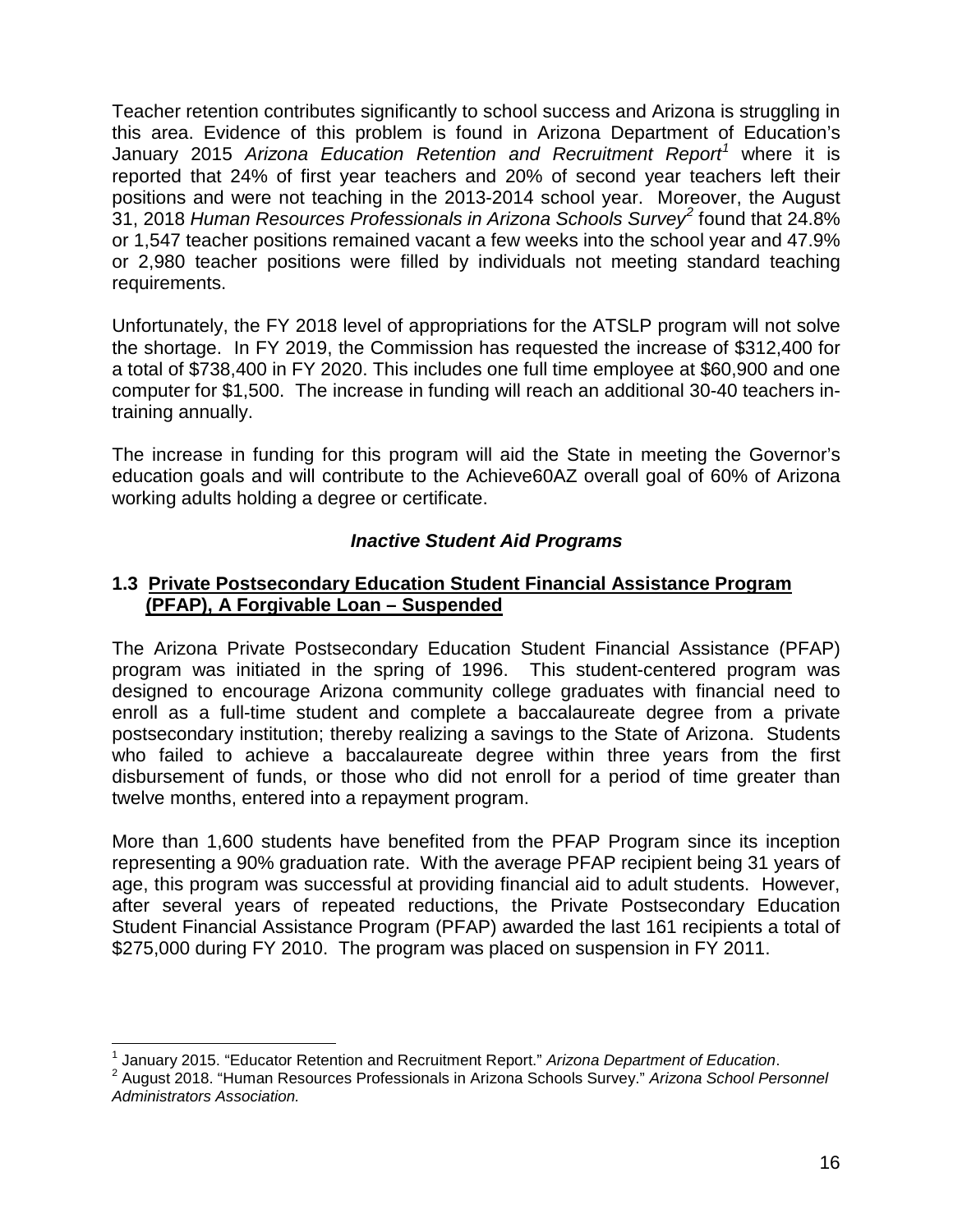Teacher retention contributes significantly to school success and Arizona is struggling in this area. Evidence of this problem is found in Arizona Department of Education's January 2015 *Arizona Education Retention and Recruitment Report[1](#page-18-0)* where it is reported that 24% of first year teachers and 20% of second year teachers left their positions and were not teaching in the 2013-2014 school year. Moreover, the August 31, 2018 *Human Resources Professionals in Arizona Schools Survey[2](#page-18-1)* found that 24.8% or 1,547 teacher positions remained vacant a few weeks into the school year and 47.9% or 2,980 teacher positions were filled by individuals not meeting standard teaching requirements.

Unfortunately, the FY 2018 level of appropriations for the ATSLP program will not solve the shortage. In FY 2019, the Commission has requested the increase of \$312,400 for a total of \$738,400 in FY 2020. This includes one full time employee at \$60,900 and one computer for \$1,500. The increase in funding will reach an additional 30-40 teachers intraining annually.

The increase in funding for this program will aid the State in meeting the Governor's education goals and will contribute to the Achieve60AZ overall goal of 60% of Arizona working adults holding a degree or certificate.

# *Inactive Student Aid Programs*

#### **1.3 Private Postsecondary Education Student Financial Assistance Program (PFAP), A Forgivable Loan – Suspended**

The Arizona Private Postsecondary Education Student Financial Assistance (PFAP) program was initiated in the spring of 1996. This student-centered program was designed to encourage Arizona community college graduates with financial need to enroll as a full-time student and complete a baccalaureate degree from a private postsecondary institution; thereby realizing a savings to the State of Arizona. Students who failed to achieve a baccalaureate degree within three years from the first disbursement of funds, or those who did not enroll for a period of time greater than twelve months, entered into a repayment program.

More than 1,600 students have benefited from the PFAP Program since its inception representing a 90% graduation rate. With the average PFAP recipient being 31 years of age, this program was successful at providing financial aid to adult students. However, after several years of repeated reductions, the Private Postsecondary Education Student Financial Assistance Program (PFAP) awarded the last 161 recipients a total of \$275,000 during FY 2010. The program was placed on suspension in FY 2011.

<span id="page-18-1"></span><span id="page-18-0"></span><sup>&</sup>lt;sup>1</sup> January 2015. "Educator Retention and Recruitment Report." *Arizona Department of Education.*<br><sup>2</sup> August 2018. "Human Resources Professionals in Arizona Schools Survey." *Arizona School Personnel Administrators Association.*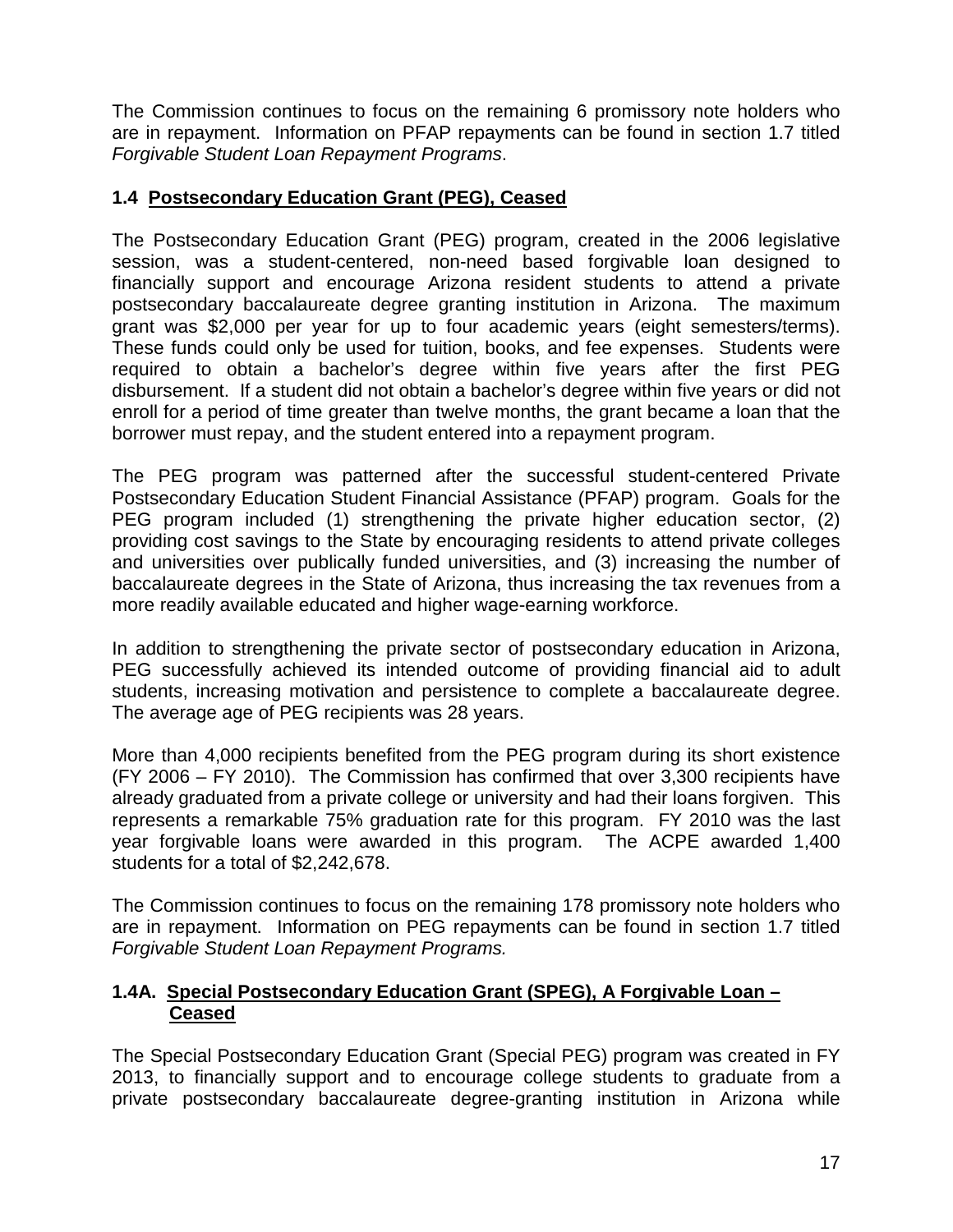The Commission continues to focus on the remaining 6 promissory note holders who are in repayment. Information on PFAP repayments can be found in section 1.7 titled *Forgivable Student Loan Repayment Programs*.

# **1.4 Postsecondary Education Grant (PEG), Ceased**

The Postsecondary Education Grant (PEG) program, created in the 2006 legislative session, was a student-centered, non-need based forgivable loan designed to financially support and encourage Arizona resident students to attend a private postsecondary baccalaureate degree granting institution in Arizona. The maximum grant was \$2,000 per year for up to four academic years (eight semesters/terms). These funds could only be used for tuition, books, and fee expenses. Students were required to obtain a bachelor's degree within five years after the first PEG disbursement. If a student did not obtain a bachelor's degree within five years or did not enroll for a period of time greater than twelve months, the grant became a loan that the borrower must repay, and the student entered into a repayment program.

The PEG program was patterned after the successful student-centered Private Postsecondary Education Student Financial Assistance (PFAP) program. Goals for the PEG program included (1) strengthening the private higher education sector, (2) providing cost savings to the State by encouraging residents to attend private colleges and universities over publically funded universities, and (3) increasing the number of baccalaureate degrees in the State of Arizona, thus increasing the tax revenues from a more readily available educated and higher wage-earning workforce.

In addition to strengthening the private sector of postsecondary education in Arizona, PEG successfully achieved its intended outcome of providing financial aid to adult students, increasing motivation and persistence to complete a baccalaureate degree. The average age of PEG recipients was 28 years.

More than 4,000 recipients benefited from the PEG program during its short existence (FY 2006 – FY 2010). The Commission has confirmed that over 3,300 recipients have already graduated from a private college or university and had their loans forgiven. This represents a remarkable 75% graduation rate for this program. FY 2010 was the last year forgivable loans were awarded in this program. The ACPE awarded 1,400 students for a total of \$2,242,678.

The Commission continues to focus on the remaining 178 promissory note holders who are in repayment. Information on PEG repayments can be found in section 1.7 titled *Forgivable Student Loan Repayment Programs.*

# **1.4A. Special Postsecondary Education Grant (SPEG), A Forgivable Loan – Ceased**

The Special Postsecondary Education Grant (Special PEG) program was created in FY 2013, to financially support and to encourage college students to graduate from a private postsecondary baccalaureate degree-granting institution in Arizona while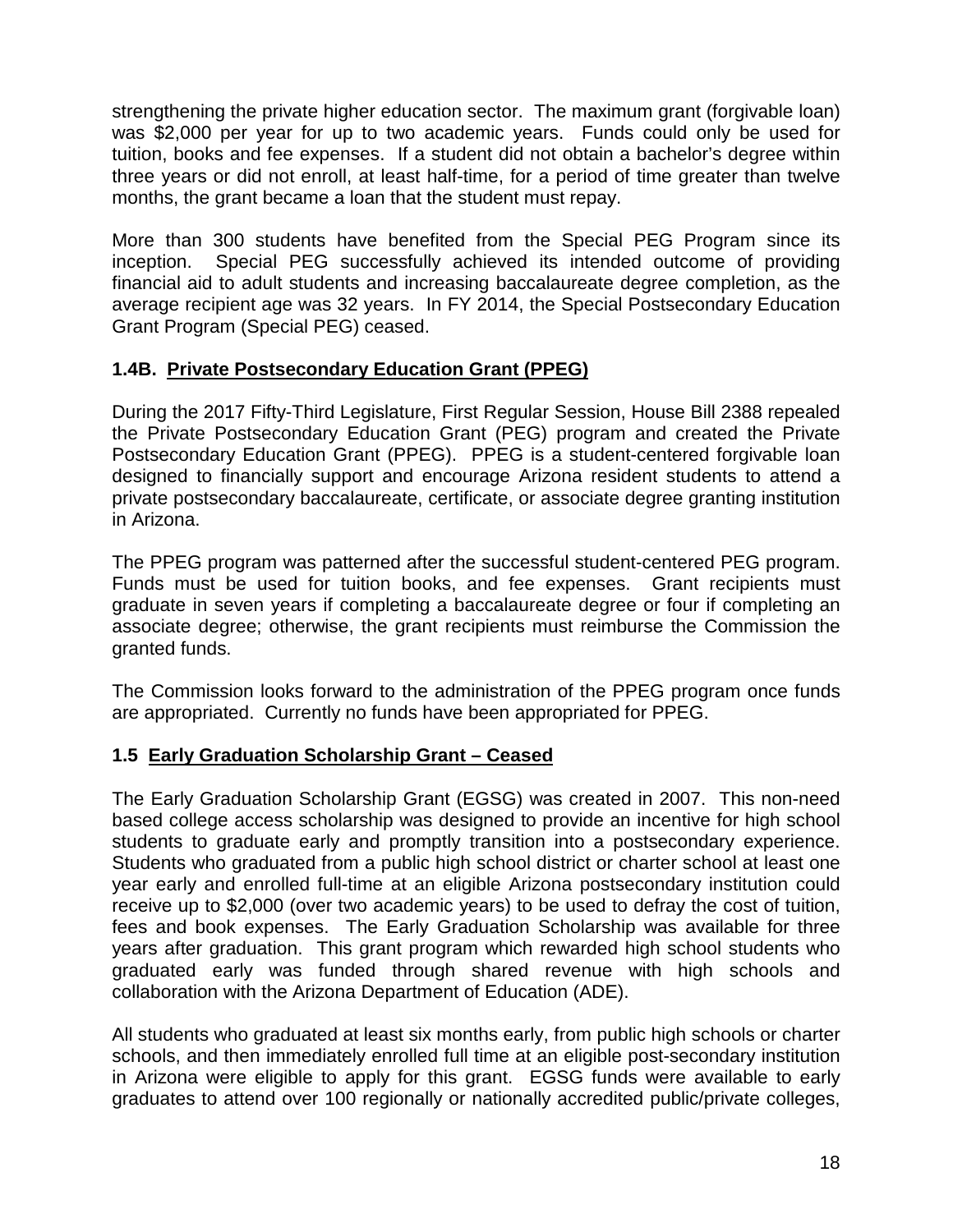strengthening the private higher education sector. The maximum grant (forgivable loan) was \$2,000 per year for up to two academic years. Funds could only be used for tuition, books and fee expenses. If a student did not obtain a bachelor's degree within three years or did not enroll, at least half-time, for a period of time greater than twelve months, the grant became a loan that the student must repay.

More than 300 students have benefited from the Special PEG Program since its inception. Special PEG successfully achieved its intended outcome of providing financial aid to adult students and increasing baccalaureate degree completion, as the average recipient age was 32 years. In FY 2014, the Special Postsecondary Education Grant Program (Special PEG) ceased.

# **1.4B. Private Postsecondary Education Grant (PPEG)**

During the 2017 Fifty-Third Legislature, First Regular Session, House Bill 2388 repealed the Private Postsecondary Education Grant (PEG) program and created the Private Postsecondary Education Grant (PPEG). PPEG is a student-centered forgivable loan designed to financially support and encourage Arizona resident students to attend a private postsecondary baccalaureate, certificate, or associate degree granting institution in Arizona.

The PPEG program was patterned after the successful student-centered PEG program. Funds must be used for tuition books, and fee expenses. Grant recipients must graduate in seven years if completing a baccalaureate degree or four if completing an associate degree; otherwise, the grant recipients must reimburse the Commission the granted funds.

The Commission looks forward to the administration of the PPEG program once funds are appropriated. Currently no funds have been appropriated for PPEG.

# **1.5 Early Graduation Scholarship Grant – Ceased**

The Early Graduation Scholarship Grant (EGSG) was created in 2007. This non-need based college access scholarship was designed to provide an incentive for high school students to graduate early and promptly transition into a postsecondary experience. Students who graduated from a public high school district or charter school at least one year early and enrolled full-time at an eligible Arizona postsecondary institution could receive up to \$2,000 (over two academic years) to be used to defray the cost of tuition, fees and book expenses. The Early Graduation Scholarship was available for three years after graduation. This grant program which rewarded high school students who graduated early was funded through shared revenue with high schools and collaboration with the Arizona Department of Education (ADE).

All students who graduated at least six months early, from public high schools or charter schools, and then immediately enrolled full time at an eligible post-secondary institution in Arizona were eligible to apply for this grant. EGSG funds were available to early graduates to attend over 100 regionally or nationally accredited public/private colleges,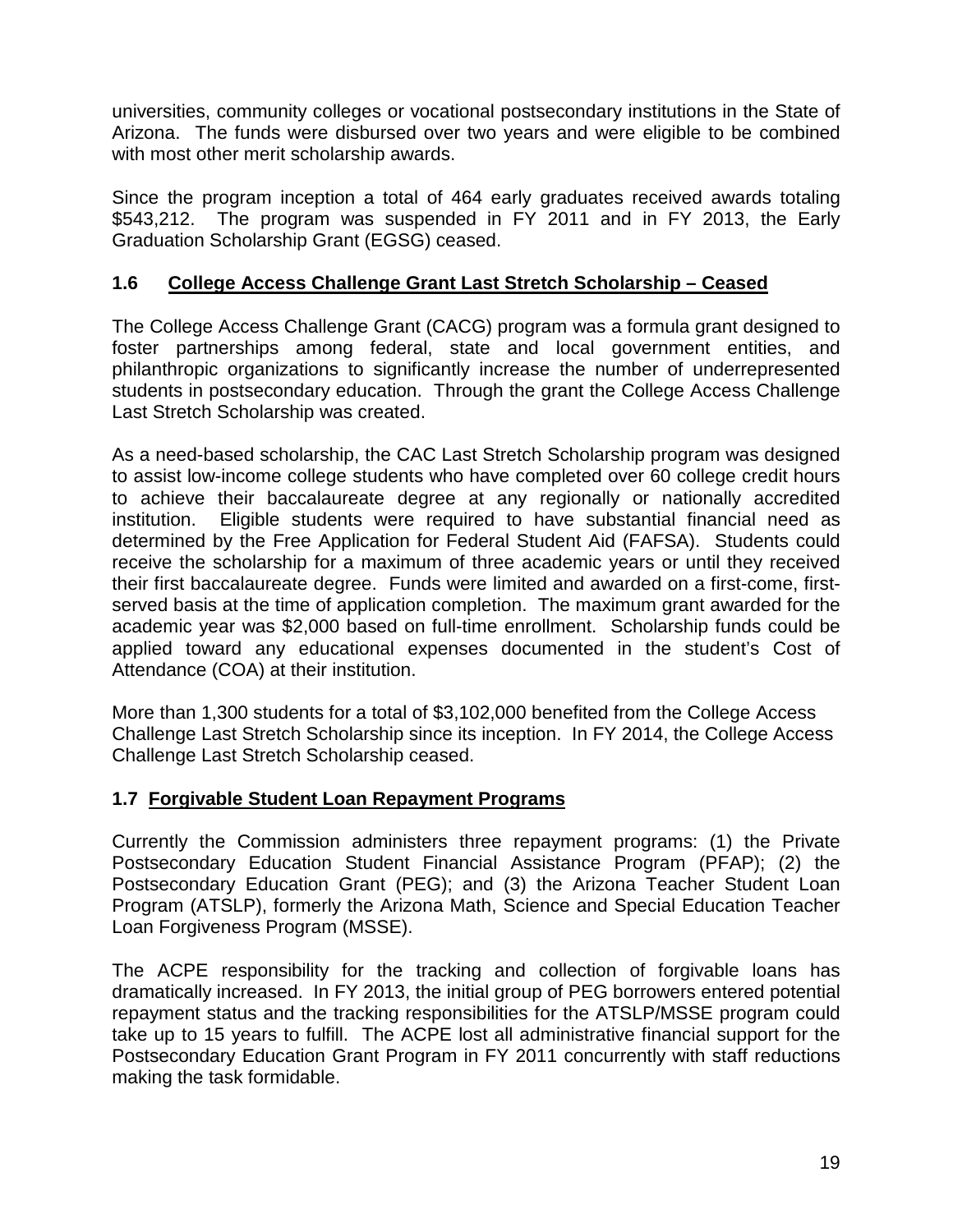universities, community colleges or vocational postsecondary institutions in the State of Arizona. The funds were disbursed over two years and were eligible to be combined with most other merit scholarship awards.

Since the program inception a total of 464 early graduates received awards totaling \$543,212. The program was suspended in FY 2011 and in FY 2013, the Early Graduation Scholarship Grant (EGSG) ceased.

# **1.6 College Access Challenge Grant Last Stretch Scholarship – Ceased**

The College Access Challenge Grant (CACG) program was a formula grant designed to foster partnerships among federal, state and local government entities, and philanthropic organizations to significantly increase the number of underrepresented students in postsecondary education. Through the grant the College Access Challenge Last Stretch Scholarship was created.

As a need-based scholarship, the CAC Last Stretch Scholarship program was designed to assist low-income college students who have completed over 60 college credit hours to achieve their baccalaureate degree at any regionally or nationally accredited institution. Eligible students were required to have substantial financial need as determined by the Free Application for Federal Student Aid (FAFSA). Students could receive the scholarship for a maximum of three academic years or until they received their first baccalaureate degree. Funds were limited and awarded on a first-come, firstserved basis at the time of application completion. The maximum grant awarded for the academic year was \$2,000 based on full-time enrollment. Scholarship funds could be applied toward any educational expenses documented in the student's Cost of Attendance (COA) at their institution.

More than 1,300 students for a total of \$3,102,000 benefited from the College Access Challenge Last Stretch Scholarship since its inception. In FY 2014, the College Access Challenge Last Stretch Scholarship ceased.

# **1.7 Forgivable Student Loan Repayment Programs**

Currently the Commission administers three repayment programs: (1) the Private Postsecondary Education Student Financial Assistance Program (PFAP); (2) the Postsecondary Education Grant (PEG); and (3) the Arizona Teacher Student Loan Program (ATSLP), formerly the Arizona Math, Science and Special Education Teacher Loan Forgiveness Program (MSSE).

The ACPE responsibility for the tracking and collection of forgivable loans has dramatically increased. In FY 2013, the initial group of PEG borrowers entered potential repayment status and the tracking responsibilities for the ATSLP/MSSE program could take up to 15 years to fulfill. The ACPE lost all administrative financial support for the Postsecondary Education Grant Program in FY 2011 concurrently with staff reductions making the task formidable.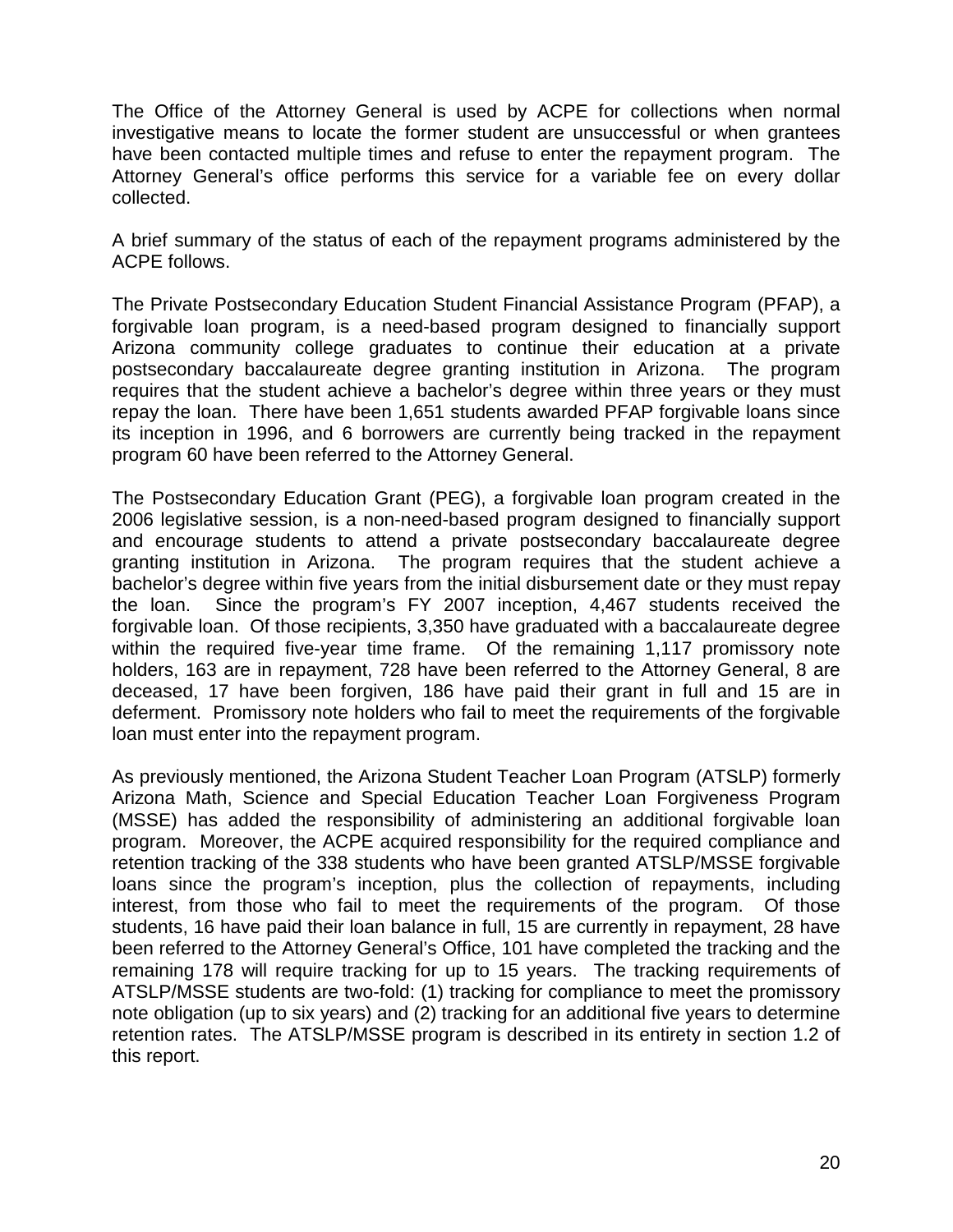The Office of the Attorney General is used by ACPE for collections when normal investigative means to locate the former student are unsuccessful or when grantees have been contacted multiple times and refuse to enter the repayment program. The Attorney General's office performs this service for a variable fee on every dollar collected.

A brief summary of the status of each of the repayment programs administered by the ACPE follows.

The Private Postsecondary Education Student Financial Assistance Program (PFAP), a forgivable loan program, is a need-based program designed to financially support Arizona community college graduates to continue their education at a private postsecondary baccalaureate degree granting institution in Arizona. The program requires that the student achieve a bachelor's degree within three years or they must repay the loan. There have been 1,651 students awarded PFAP forgivable loans since its inception in 1996, and 6 borrowers are currently being tracked in the repayment program 60 have been referred to the Attorney General.

The Postsecondary Education Grant (PEG), a forgivable loan program created in the 2006 legislative session, is a non-need-based program designed to financially support and encourage students to attend a private postsecondary baccalaureate degree granting institution in Arizona. The program requires that the student achieve a bachelor's degree within five years from the initial disbursement date or they must repay the loan. Since the program's FY 2007 inception, 4,467 students received the forgivable loan. Of those recipients, 3,350 have graduated with a baccalaureate degree within the required five-year time frame. Of the remaining 1,117 promissory note holders, 163 are in repayment, 728 have been referred to the Attorney General, 8 are deceased, 17 have been forgiven, 186 have paid their grant in full and 15 are in deferment. Promissory note holders who fail to meet the requirements of the forgivable loan must enter into the repayment program.

As previously mentioned, the Arizona Student Teacher Loan Program (ATSLP) formerly Arizona Math, Science and Special Education Teacher Loan Forgiveness Program (MSSE) has added the responsibility of administering an additional forgivable loan program. Moreover, the ACPE acquired responsibility for the required compliance and retention tracking of the 338 students who have been granted ATSLP/MSSE forgivable loans since the program's inception, plus the collection of repayments, including interest, from those who fail to meet the requirements of the program. Of those students, 16 have paid their loan balance in full, 15 are currently in repayment, 28 have been referred to the Attorney General's Office, 101 have completed the tracking and the remaining 178 will require tracking for up to 15 years. The tracking requirements of ATSLP/MSSE students are two-fold: (1) tracking for compliance to meet the promissory note obligation (up to six years) and (2) tracking for an additional five years to determine retention rates. The ATSLP/MSSE program is described in its entirety in section 1.2 of this report.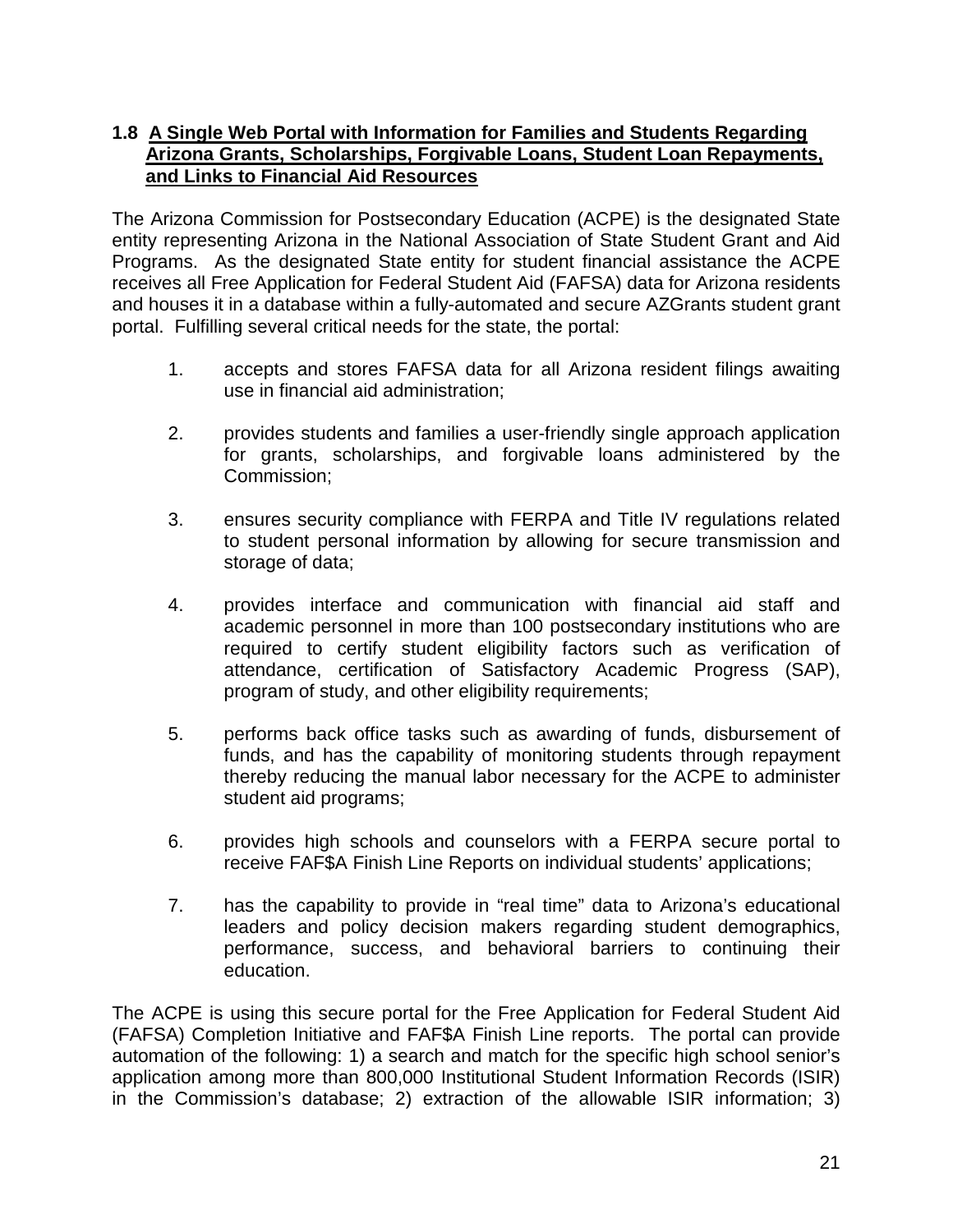# **1.8 A Single Web Portal with Information for Families and Students Regarding Arizona Grants, Scholarships, Forgivable Loans, Student Loan Repayments, and Links to Financial Aid Resources**

The Arizona Commission for Postsecondary Education (ACPE) is the designated State entity representing Arizona in the National Association of State Student Grant and Aid Programs. As the designated State entity for student financial assistance the ACPE receives all Free Application for Federal Student Aid (FAFSA) data for Arizona residents and houses it in a database within a fully-automated and secure AZGrants student grant portal. Fulfilling several critical needs for the state, the portal:

- 1. accepts and stores FAFSA data for all Arizona resident filings awaiting use in financial aid administration;
- 2. provides students and families a user-friendly single approach application for grants, scholarships, and forgivable loans administered by the Commission;
- 3. ensures security compliance with FERPA and Title IV regulations related to student personal information by allowing for secure transmission and storage of data;
- 4. provides interface and communication with financial aid staff and academic personnel in more than 100 postsecondary institutions who are required to certify student eligibility factors such as verification of attendance, certification of Satisfactory Academic Progress (SAP), program of study, and other eligibility requirements;
- 5. performs back office tasks such as awarding of funds, disbursement of funds, and has the capability of monitoring students through repayment thereby reducing the manual labor necessary for the ACPE to administer student aid programs;
- 6. provides high schools and counselors with a FERPA secure portal to receive FAF\$A Finish Line Reports on individual students' applications;
- 7. has the capability to provide in "real time" data to Arizona's educational leaders and policy decision makers regarding student demographics, performance, success, and behavioral barriers to continuing their education.

The ACPE is using this secure portal for the Free Application for Federal Student Aid (FAFSA) Completion Initiative and FAF\$A Finish Line reports. The portal can provide automation of the following: 1) a search and match for the specific high school senior's application among more than 800,000 Institutional Student Information Records (ISIR) in the Commission's database; 2) extraction of the allowable ISIR information; 3)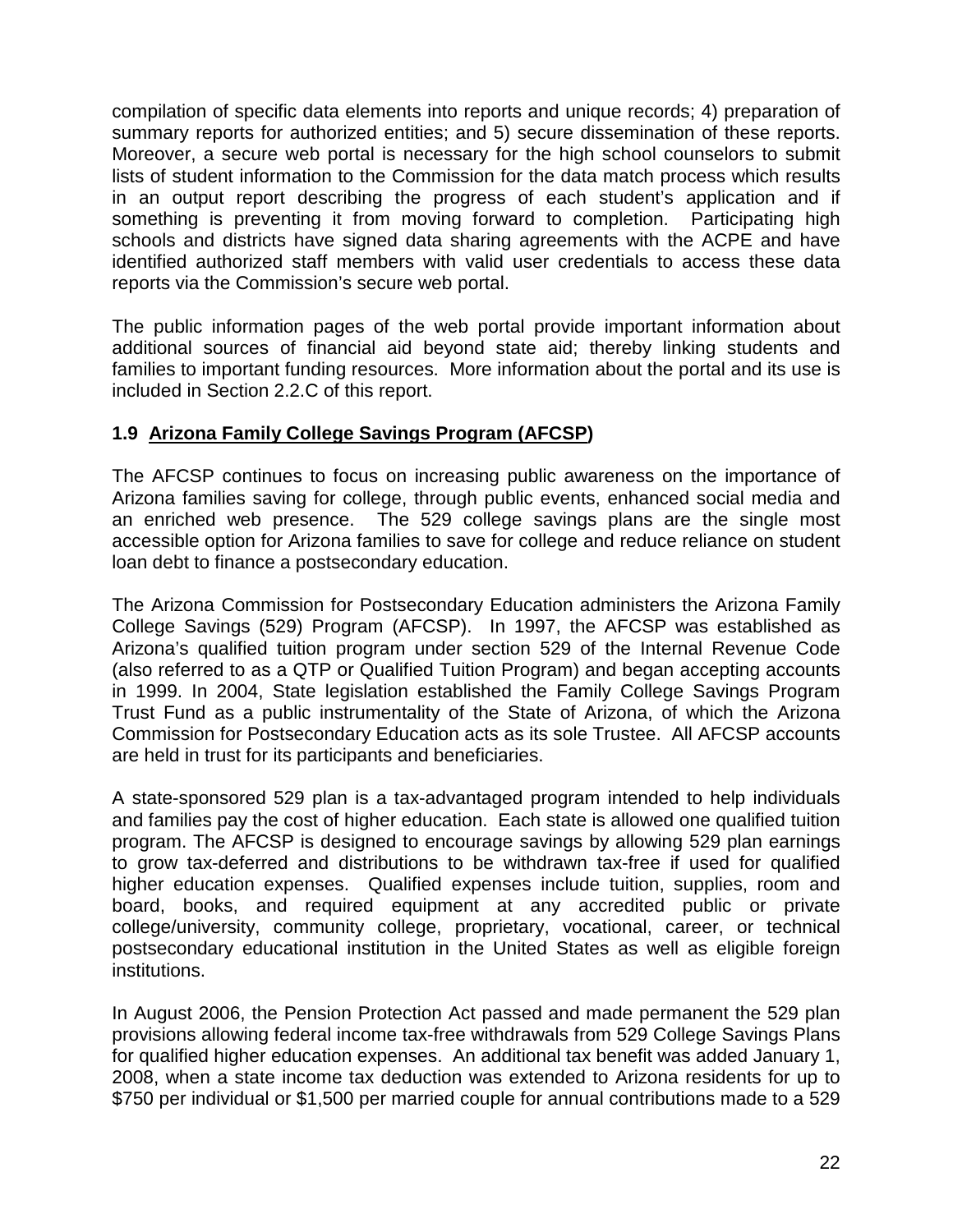compilation of specific data elements into reports and unique records; 4) preparation of summary reports for authorized entities; and 5) secure dissemination of these reports. Moreover, a secure web portal is necessary for the high school counselors to submit lists of student information to the Commission for the data match process which results in an output report describing the progress of each student's application and if something is preventing it from moving forward to completion. Participating high schools and districts have signed data sharing agreements with the ACPE and have identified authorized staff members with valid user credentials to access these data reports via the Commission's secure web portal.

The public information pages of the web portal provide important information about additional sources of financial aid beyond state aid; thereby linking students and families to important funding resources. More information about the portal and its use is included in Section 2.2.C of this report.

# **1.9 Arizona Family College Savings Program (AFCSP)**

The AFCSP continues to focus on increasing public awareness on the importance of Arizona families saving for college, through public events, enhanced social media and an enriched web presence. The 529 college savings plans are the single most accessible option for Arizona families to save for college and reduce reliance on student loan debt to finance a postsecondary education.

The Arizona Commission for Postsecondary Education administers the Arizona Family College Savings (529) Program (AFCSP). In 1997, the AFCSP was established as Arizona's qualified tuition program under section 529 of the Internal Revenue Code (also referred to as a QTP or Qualified Tuition Program) and began accepting accounts in 1999. In 2004, State legislation established the Family College Savings Program Trust Fund as a public instrumentality of the State of Arizona, of which the Arizona Commission for Postsecondary Education acts as its sole Trustee. All AFCSP accounts are held in trust for its participants and beneficiaries.

A state-sponsored 529 plan is a tax-advantaged program intended to help individuals and families pay the cost of higher education. Each state is allowed one qualified tuition program. The AFCSP is designed to encourage savings by allowing 529 plan earnings to grow tax-deferred and distributions to be withdrawn tax-free if used for qualified higher education expenses. Qualified expenses include tuition, supplies, room and board, books, and required equipment at any accredited public or private college/university, community college, proprietary, vocational, career, or technical postsecondary educational institution in the United States as well as eligible foreign institutions.

In August 2006, the Pension Protection Act passed and made permanent the 529 plan provisions allowing federal income tax-free withdrawals from 529 College Savings Plans for qualified higher education expenses. An additional tax benefit was added January 1, 2008, when a state income tax deduction was extended to Arizona residents for up to \$750 per individual or \$1,500 per married couple for annual contributions made to a 529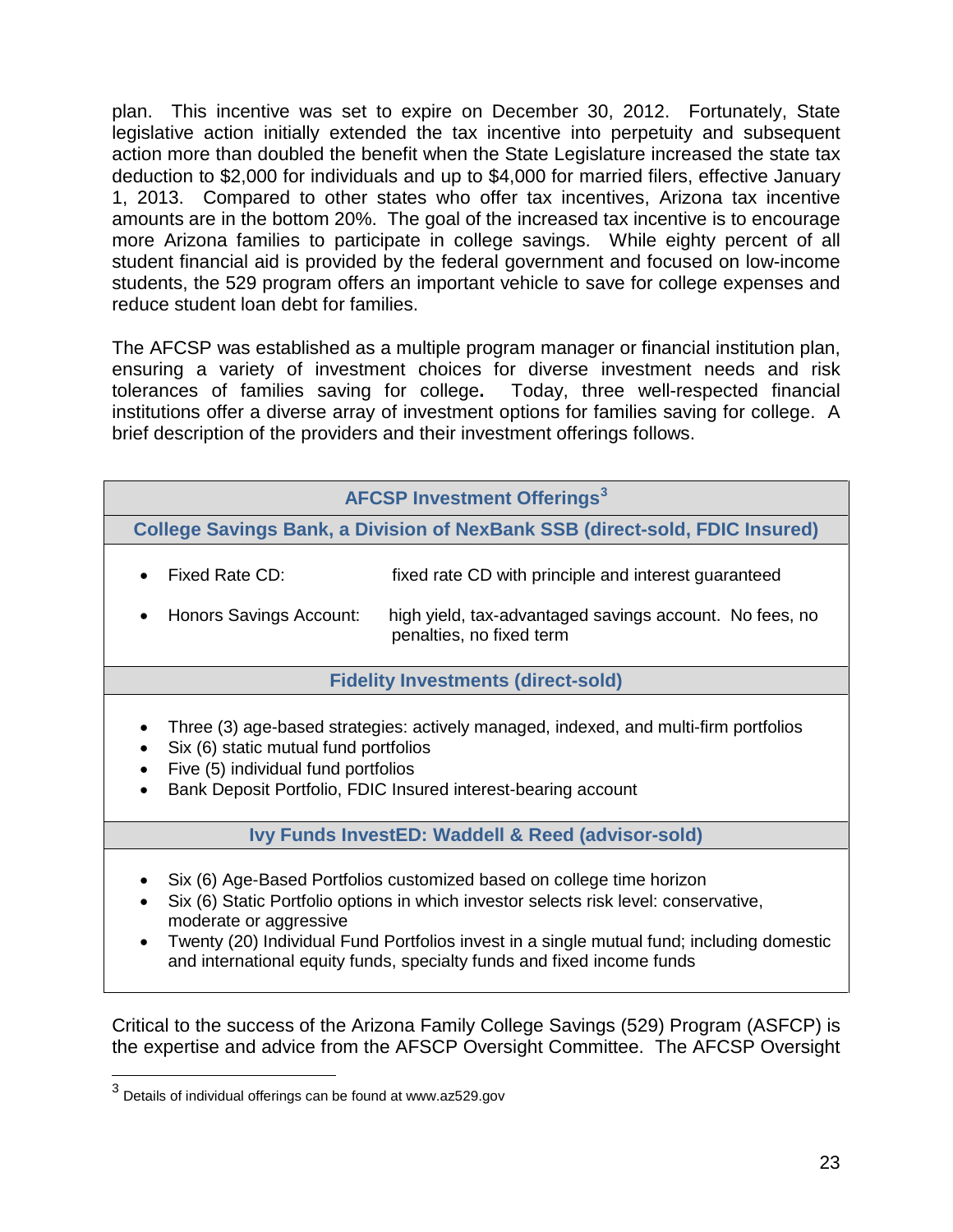plan. This incentive was set to expire on December 30, 2012. Fortunately, State legislative action initially extended the tax incentive into perpetuity and subsequent action more than doubled the benefit when the State Legislature increased the state tax deduction to \$2,000 for individuals and up to \$4,000 for married filers, effective January 1, 2013. Compared to other states who offer tax incentives, Arizona tax incentive amounts are in the bottom 20%. The goal of the increased tax incentive is to encourage more Arizona families to participate in college savings. While eighty percent of all student financial aid is provided by the federal government and focused on low-income students, the 529 program offers an important vehicle to save for college expenses and reduce student loan debt for families.

The AFCSP was established as a multiple program manager or financial institution plan, ensuring a variety of investment choices for diverse investment needs and risk tolerances of families saving for college**.** Today, three well-respected financial institutions offer a diverse array of investment options for families saving for college. A brief description of the providers and their investment offerings follows.

# **AFCSP Investment Offerings[3](#page-25-0)**

**College Savings Bank, a Division of NexBank SSB (direct-sold, FDIC Insured)**

- Fixed Rate CD: fixed rate CD with principle and interest guaranteed
- Honors Savings Account: high yield, tax-advantaged savings account. No fees, no penalties, no fixed term

#### **Fidelity Investments (direct-sold)**

- Three (3) age-based strategies: actively managed, indexed, and multi-firm portfolios
- Six (6) static mutual fund portfolios
- Five (5) individual fund portfolios
- Bank Deposit Portfolio, FDIC Insured interest-bearing account

**Ivy Funds InvestED: Waddell & Reed (advisor-sold)**

- Six (6) Age-Based Portfolios customized based on college time horizon
- Six (6) Static Portfolio options in which investor selects risk level: conservative, moderate or aggressive
- Twenty (20) Individual Fund Portfolios invest in a single mutual fund; including domestic and international equity funds, specialty funds and fixed income funds

Critical to the success of the Arizona Family College Savings (529) Program (ASFCP) is the expertise and advice from the AFSCP Oversight Committee. The AFCSP Oversight

<span id="page-25-0"></span> $3$  Details of individual offerings can be found at www.az529.gov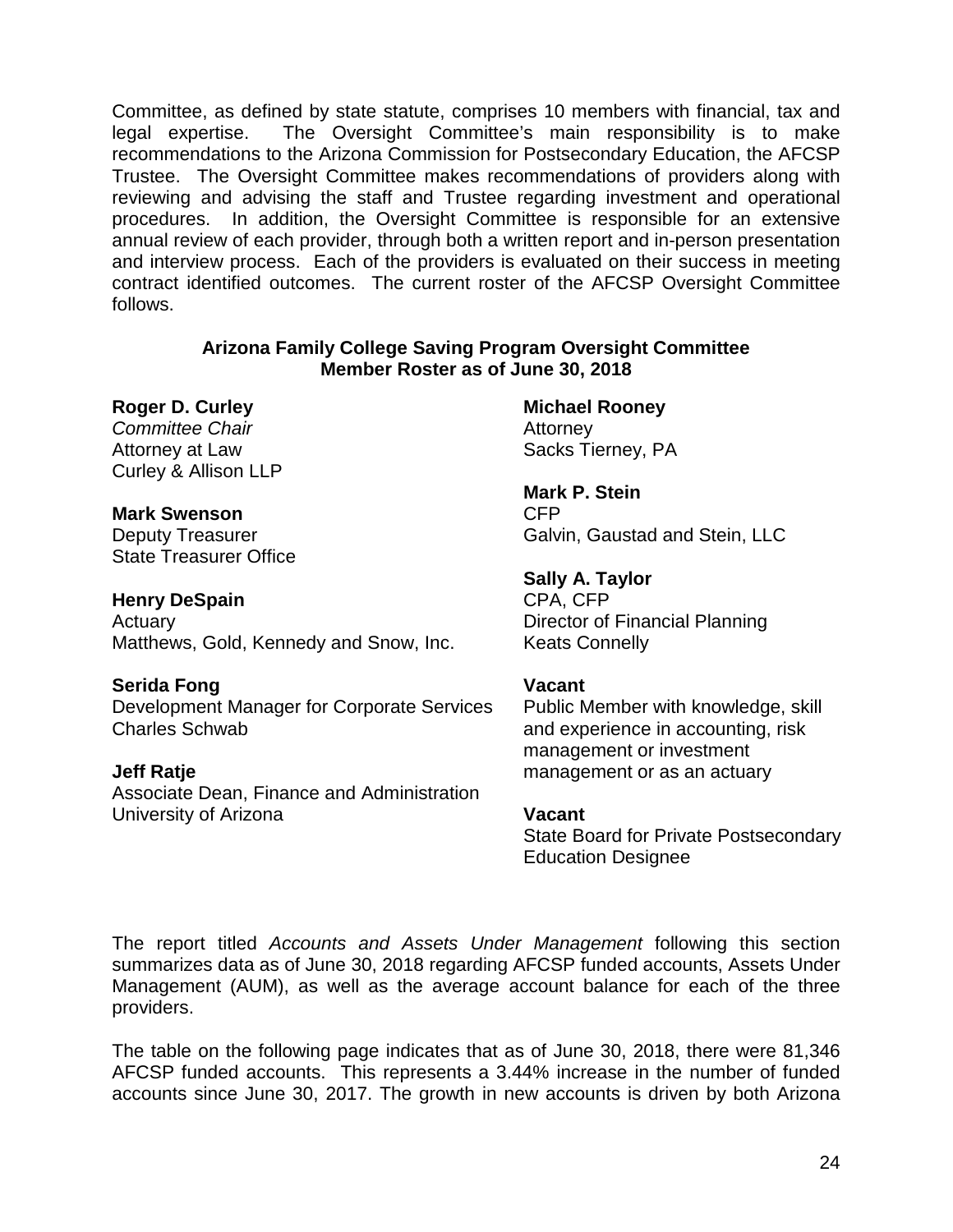Committee, as defined by state statute, comprises 10 members with financial, tax and legal expertise. The Oversight Committee's main responsibility is to make recommendations to the Arizona Commission for Postsecondary Education, the AFCSP Trustee. The Oversight Committee makes recommendations of providers along with reviewing and advising the staff and Trustee regarding investment and operational procedures. In addition, the Oversight Committee is responsible for an extensive annual review of each provider, through both a written report and in-person presentation and interview process. Each of the providers is evaluated on their success in meeting contract identified outcomes. The current roster of the AFCSP Oversight Committee follows.

#### **Arizona Family College Saving Program Oversight Committee Member Roster as of June 30, 2018**

#### **Roger D. Curley**

*Committee Chair* Attorney at Law Curley & Allison LLP

#### **Mark Swenson**

Deputy Treasurer State Treasurer Office

#### **Henry DeSpain**

Actuary Matthews, Gold, Kennedy and Snow, Inc.

#### **Serida Fong**

Development Manager for Corporate Services Charles Schwab

#### **Jeff Ratje**

Associate Dean, Finance and Administration University of Arizona

**Michael Rooney Attorney** Sacks Tierney, PA

**Mark P. Stein**  CFP Galvin, Gaustad and Stein, LLC

**Sally A. Taylor** CPA, CFP Director of Financial Planning Keats Connelly

#### **Vacant**

Public Member with knowledge, skill and experience in accounting, risk management or investment management or as an actuary

#### **Vacant**

State Board for Private Postsecondary Education Designee

The report titled *Accounts and Assets Under Management* following this section summarizes data as of June 30, 2018 regarding AFCSP funded accounts, Assets Under Management (AUM), as well as the average account balance for each of the three providers.

The table on the following page indicates that as of June 30, 2018, there were 81,346 AFCSP funded accounts. This represents a 3.44% increase in the number of funded accounts since June 30, 2017. The growth in new accounts is driven by both Arizona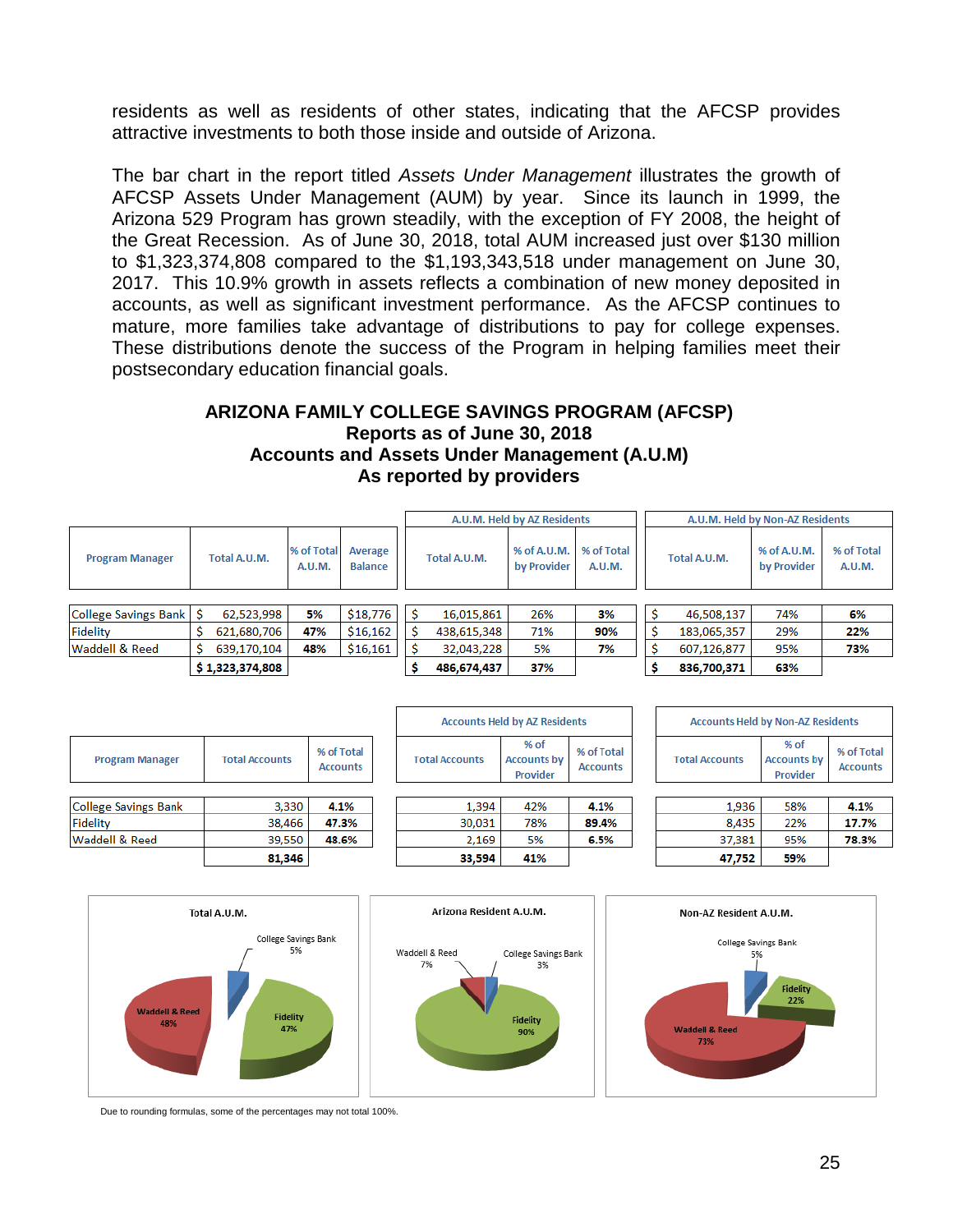residents as well as residents of other states, indicating that the AFCSP provides attractive investments to both those inside and outside of Arizona.

The bar chart in the report titled *Assets Under Management* illustrates the growth of AFCSP Assets Under Management (AUM) by year. Since its launch in 1999, the Arizona 529 Program has grown steadily, with the exception of FY 2008, the height of the Great Recession. As of June 30, 2018, total AUM increased just over \$130 million to \$1,323,374,808 compared to the \$1,193,343,518 under management on June 30, 2017. This 10.9% growth in assets reflects a combination of new money deposited in accounts, as well as significant investment performance. As the AFCSP continues to mature, more families take advantage of distributions to pay for college expenses. These distributions denote the success of the Program in helping families meet their postsecondary education financial goals.

#### **ARIZONA FAMILY COLLEGE SAVINGS PROGRAM (AFCSP) Reports as of June 30, 2018 Accounts and Assets Under Management (A.U.M) As reported by providers**

|                                                  |                 |              |                      |                           | A.U.M. Held by AZ Residents |              |                            |                      | A.U.M. Held by Non-AZ Residents |              |                            |                      |
|--------------------------------------------------|-----------------|--------------|----------------------|---------------------------|-----------------------------|--------------|----------------------------|----------------------|---------------------------------|--------------|----------------------------|----------------------|
| <b>Program Manager</b>                           |                 | Total A.U.M. | % of Total<br>A.U.M. | Average<br><b>Balance</b> |                             | Total A.U.M. | % of A.U.M.<br>by Provider | % of Total<br>A.U.M. |                                 | Total A.U.M. | % of A.U.M.<br>by Provider | % of Total<br>A.U.M. |
|                                                  |                 |              |                      |                           |                             |              |                            |                      |                                 |              |                            |                      |
| College Savings Bank   \$                        |                 | 62,523,998   | 5%                   | \$18,776                  |                             | 16,015,861   | 26%                        | 3%                   |                                 | 46,508,137   | 74%                        | 6%                   |
| Fidelity                                         |                 | 621,680,706  | 47%                  | \$16,162                  |                             | 438,615,348  | 71%                        | 90%                  |                                 | 183,065,357  | 29%                        | 22%                  |
| Waddell & Reed<br>48%<br>\$16,161<br>639,170,104 |                 |              | 32,043,228           | 5%                        | 7%                          |              | 607,126,877                | 95%                  | 73%                             |              |                            |                      |
|                                                  | \$1,323,374,808 |              |                      | 486,674,437               | 37%                         |              |                            | 836,700,371          | 63%                             |              |                            |                      |

| <b>Program Manager</b>    | <b>Total Accounts</b> | % of Total<br><b>Accounts</b> |
|---------------------------|-----------------------|-------------------------------|
| College Savings Bank      | 3.330                 | 4.1%                          |
| Fidelity                  | 38,466                | 47.3%                         |
| <b>Waddell &amp; Reed</b> | 39,550                | 48.6%                         |
|                           | 81,346                |                               |





**Accounts Held by AZ Residents** 



| <b>Accounts Held by Non-AZ Residents</b> |                                          |                               |  |  |  |  |  |  |  |  |  |
|------------------------------------------|------------------------------------------|-------------------------------|--|--|--|--|--|--|--|--|--|
| <b>Total Accounts</b>                    | $%$ of<br><b>Accounts by</b><br>Provider | % of Total<br><b>Accounts</b> |  |  |  |  |  |  |  |  |  |
|                                          |                                          |                               |  |  |  |  |  |  |  |  |  |
| 1,936                                    | 58%                                      | 4.1%                          |  |  |  |  |  |  |  |  |  |
|                                          | $\sim$ $\sim$ $\sim$                     |                               |  |  |  |  |  |  |  |  |  |

| 47.752 | 59%     |       |
|--------|---------|-------|
| 37,381 | 95%     | 78.3% |
|        | , , , , | 17.7% |



Due to rounding formulas, some of the percentages may not total 100%.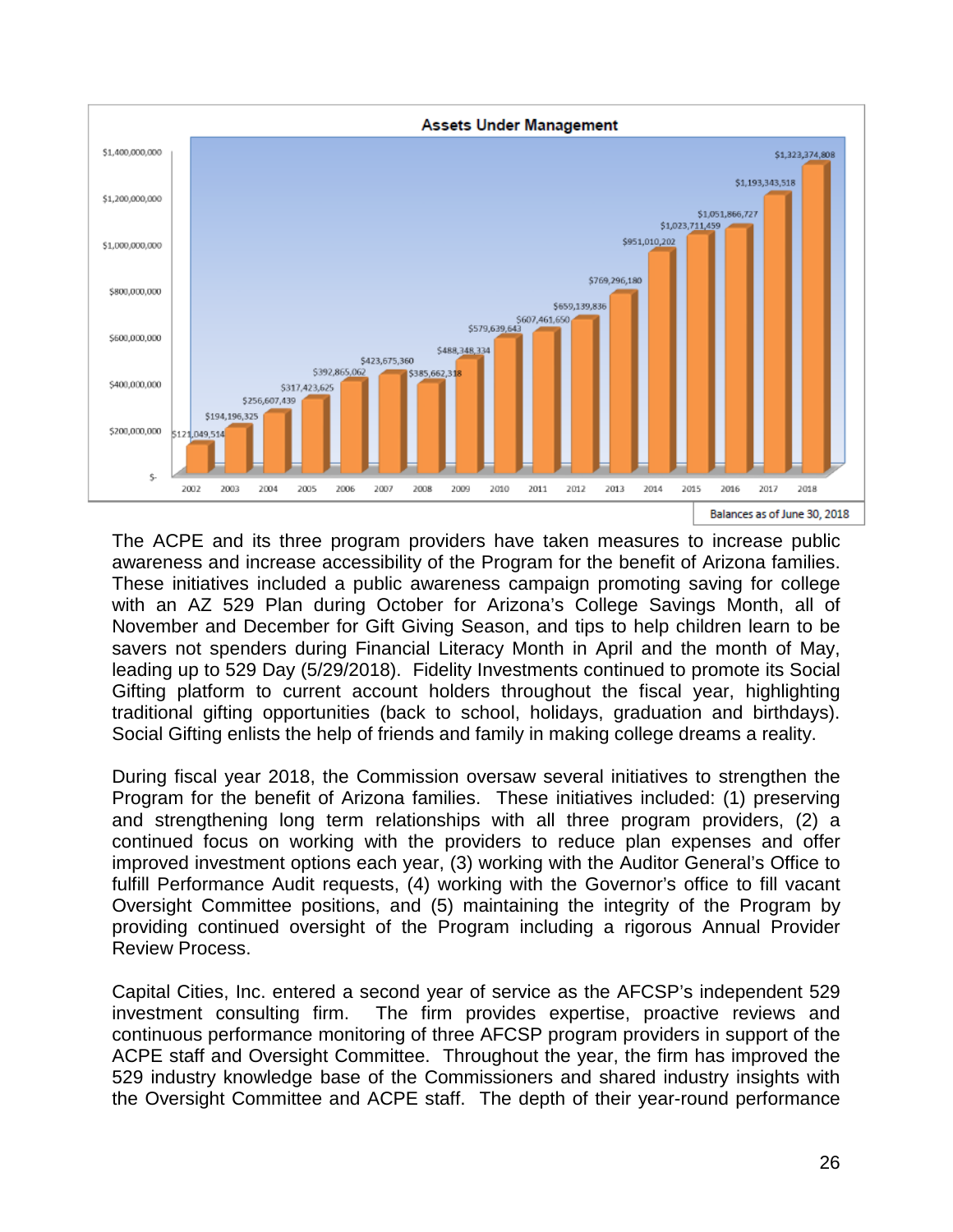

The ACPE and its three program providers have taken measures to increase public awareness and increase accessibility of the Program for the benefit of Arizona families. These initiatives included a public awareness campaign promoting saving for college with an AZ 529 Plan during October for Arizona's College Savings Month, all of November and December for Gift Giving Season, and tips to help children learn to be savers not spenders during Financial Literacy Month in April and the month of May, leading up to 529 Day (5/29/2018). Fidelity Investments continued to promote its Social Gifting platform to current account holders throughout the fiscal year, highlighting traditional gifting opportunities (back to school, holidays, graduation and birthdays). Social Gifting enlists the help of friends and family in making college dreams a reality.

During fiscal year 2018, the Commission oversaw several initiatives to strengthen the Program for the benefit of Arizona families. These initiatives included: (1) preserving and strengthening long term relationships with all three program providers, (2) a continued focus on working with the providers to reduce plan expenses and offer improved investment options each year, (3) working with the Auditor General's Office to fulfill Performance Audit requests, (4) working with the Governor's office to fill vacant Oversight Committee positions, and (5) maintaining the integrity of the Program by providing continued oversight of the Program including a rigorous Annual Provider Review Process.

Capital Cities, Inc. entered a second year of service as the AFCSP's independent 529 investment consulting firm. The firm provides expertise, proactive reviews and continuous performance monitoring of three AFCSP program providers in support of the ACPE staff and Oversight Committee. Throughout the year, the firm has improved the 529 industry knowledge base of the Commissioners and shared industry insights with the Oversight Committee and ACPE staff. The depth of their year-round performance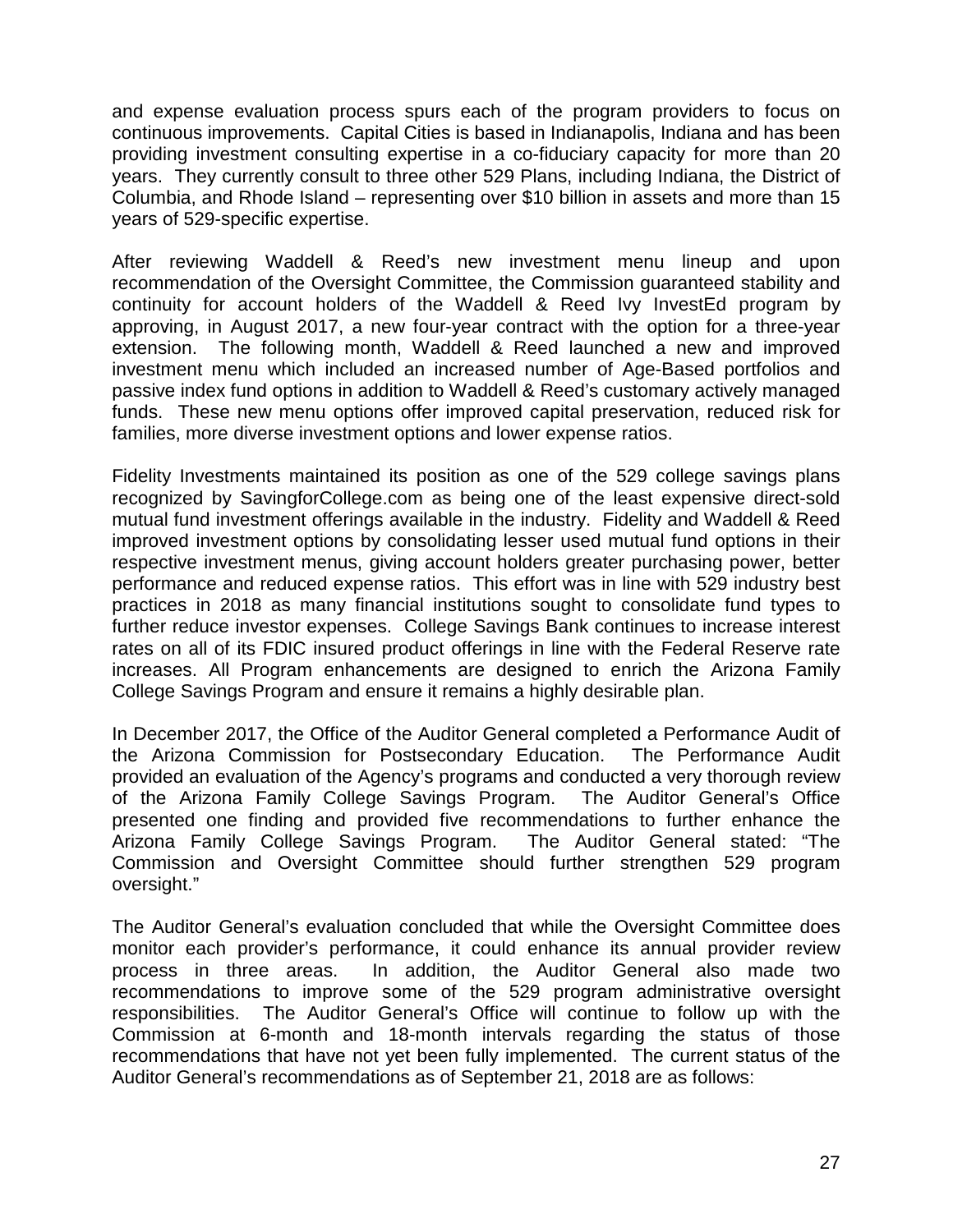and expense evaluation process spurs each of the program providers to focus on continuous improvements. Capital Cities is based in Indianapolis, Indiana and has been providing investment consulting expertise in a co-fiduciary capacity for more than 20 years. They currently consult to three other 529 Plans, including Indiana, the District of Columbia, and Rhode Island – representing over \$10 billion in assets and more than 15 years of 529-specific expertise.

After reviewing Waddell & Reed's new investment menu lineup and upon recommendation of the Oversight Committee, the Commission guaranteed stability and continuity for account holders of the Waddell & Reed Ivy InvestEd program by approving, in August 2017, a new four-year contract with the option for a three-year extension. The following month, Waddell & Reed launched a new and improved investment menu which included an increased number of Age-Based portfolios and passive index fund options in addition to Waddell & Reed's customary actively managed funds. These new menu options offer improved capital preservation, reduced risk for families, more diverse investment options and lower expense ratios.

Fidelity Investments maintained its position as one of the 529 college savings plans recognized by SavingforCollege.com as being one of the least expensive direct-sold mutual fund investment offerings available in the industry. Fidelity and Waddell & Reed improved investment options by consolidating lesser used mutual fund options in their respective investment menus, giving account holders greater purchasing power, better performance and reduced expense ratios. This effort was in line with 529 industry best practices in 2018 as many financial institutions sought to consolidate fund types to further reduce investor expenses. College Savings Bank continues to increase interest rates on all of its FDIC insured product offerings in line with the Federal Reserve rate increases. All Program enhancements are designed to enrich the Arizona Family College Savings Program and ensure it remains a highly desirable plan.

In December 2017, the Office of the Auditor General completed a Performance Audit of the Arizona Commission for Postsecondary Education. The Performance Audit provided an evaluation of the Agency's programs and conducted a very thorough review of the Arizona Family College Savings Program. The Auditor General's Office presented one finding and provided five recommendations to further enhance the<br>Arizona Family College Savings Program. The Auditor General stated: "The Arizona Family College Savings Program. Commission and Oversight Committee should further strengthen 529 program oversight."

The Auditor General's evaluation concluded that while the Oversight Committee does monitor each provider's performance, it could enhance its annual provider review process in three areas. In addition, the Auditor General also made two recommendations to improve some of the 529 program administrative oversight responsibilities. The Auditor General's Office will continue to follow up with the Commission at 6-month and 18-month intervals regarding the status of those recommendations that have not yet been fully implemented. The current status of the Auditor General's recommendations as of September 21, 2018 are as follows: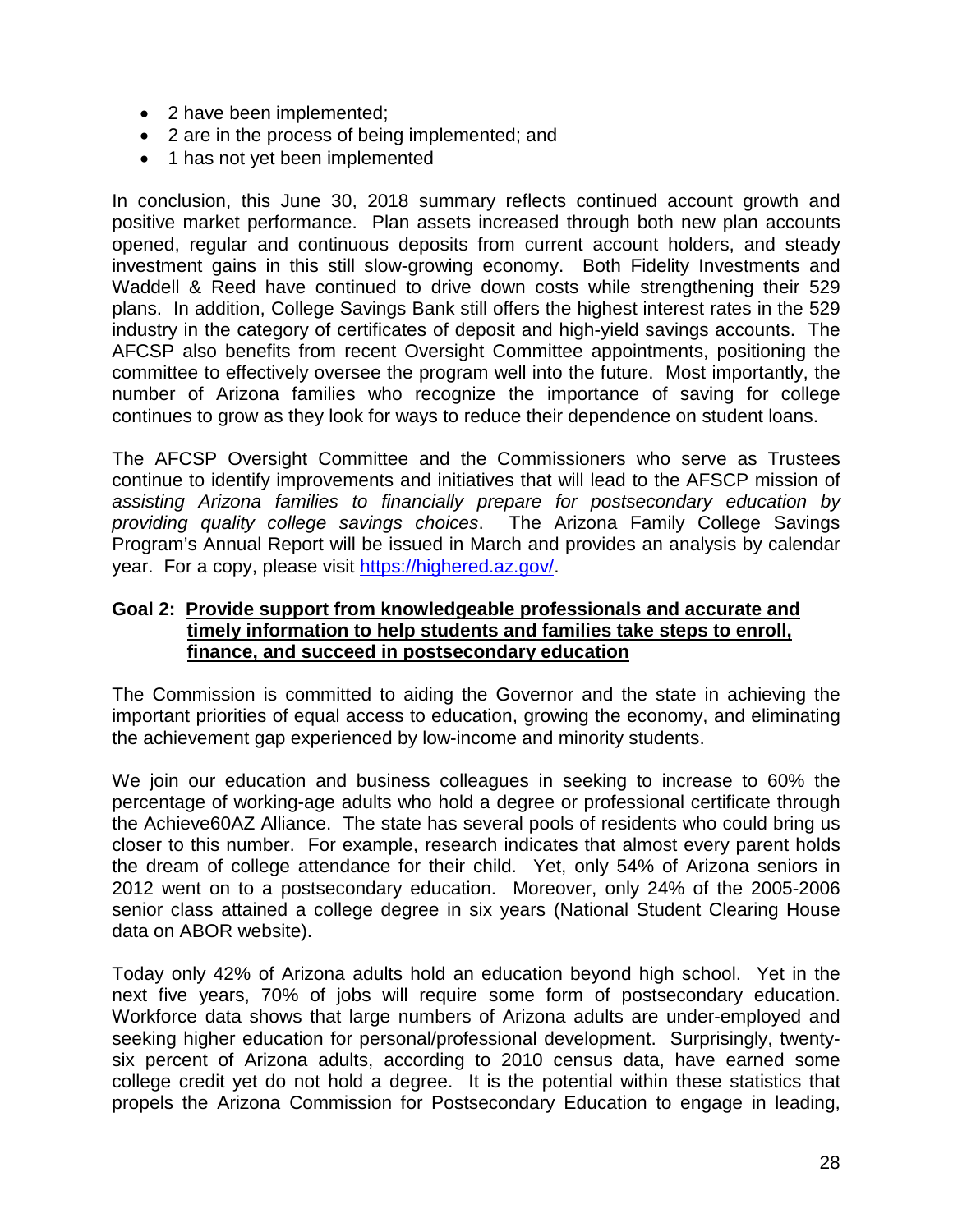- 2 have been implemented;
- 2 are in the process of being implemented; and
- 1 has not yet been implemented

In conclusion, this June 30, 2018 summary reflects continued account growth and positive market performance. Plan assets increased through both new plan accounts opened, regular and continuous deposits from current account holders, and steady investment gains in this still slow-growing economy. Both Fidelity Investments and Waddell & Reed have continued to drive down costs while strengthening their 529 plans. In addition, College Savings Bank still offers the highest interest rates in the 529 industry in the category of certificates of deposit and high-yield savings accounts. The AFCSP also benefits from recent Oversight Committee appointments, positioning the committee to effectively oversee the program well into the future. Most importantly, the number of Arizona families who recognize the importance of saving for college continues to grow as they look for ways to reduce their dependence on student loans.

The AFCSP Oversight Committee and the Commissioners who serve as Trustees continue to identify improvements and initiatives that will lead to the AFSCP mission of *assisting Arizona families to financially prepare for postsecondary education by providing quality college savings choices*. The Arizona Family College Savings Program's Annual Report will be issued in March and provides an analysis by calendar year. For a copy, please visit [https://highered.az.gov/.](https://highered.az.gov/)

#### **Goal 2: Provide support from knowledgeable professionals and accurate and timely information to help students and families take steps to enroll, finance, and succeed in postsecondary education**

The Commission is committed to aiding the Governor and the state in achieving the important priorities of equal access to education, growing the economy, and eliminating the achievement gap experienced by low-income and minority students.

We join our education and business colleagues in seeking to increase to 60% the percentage of working-age adults who hold a degree or professional certificate through the Achieve60AZ Alliance. The state has several pools of residents who could bring us closer to this number. For example, research indicates that almost every parent holds the dream of college attendance for their child. Yet, only 54% of Arizona seniors in 2012 went on to a postsecondary education. Moreover, only 24% of the 2005-2006 senior class attained a college degree in six years (National Student Clearing House data on ABOR website).

Today only 42% of Arizona adults hold an education beyond high school. Yet in the next five years, 70% of jobs will require some form of postsecondary education. Workforce data shows that large numbers of Arizona adults are under-employed and seeking higher education for personal/professional development. Surprisingly, twentysix percent of Arizona adults, according to 2010 census data, have earned some college credit yet do not hold a degree. It is the potential within these statistics that propels the Arizona Commission for Postsecondary Education to engage in leading,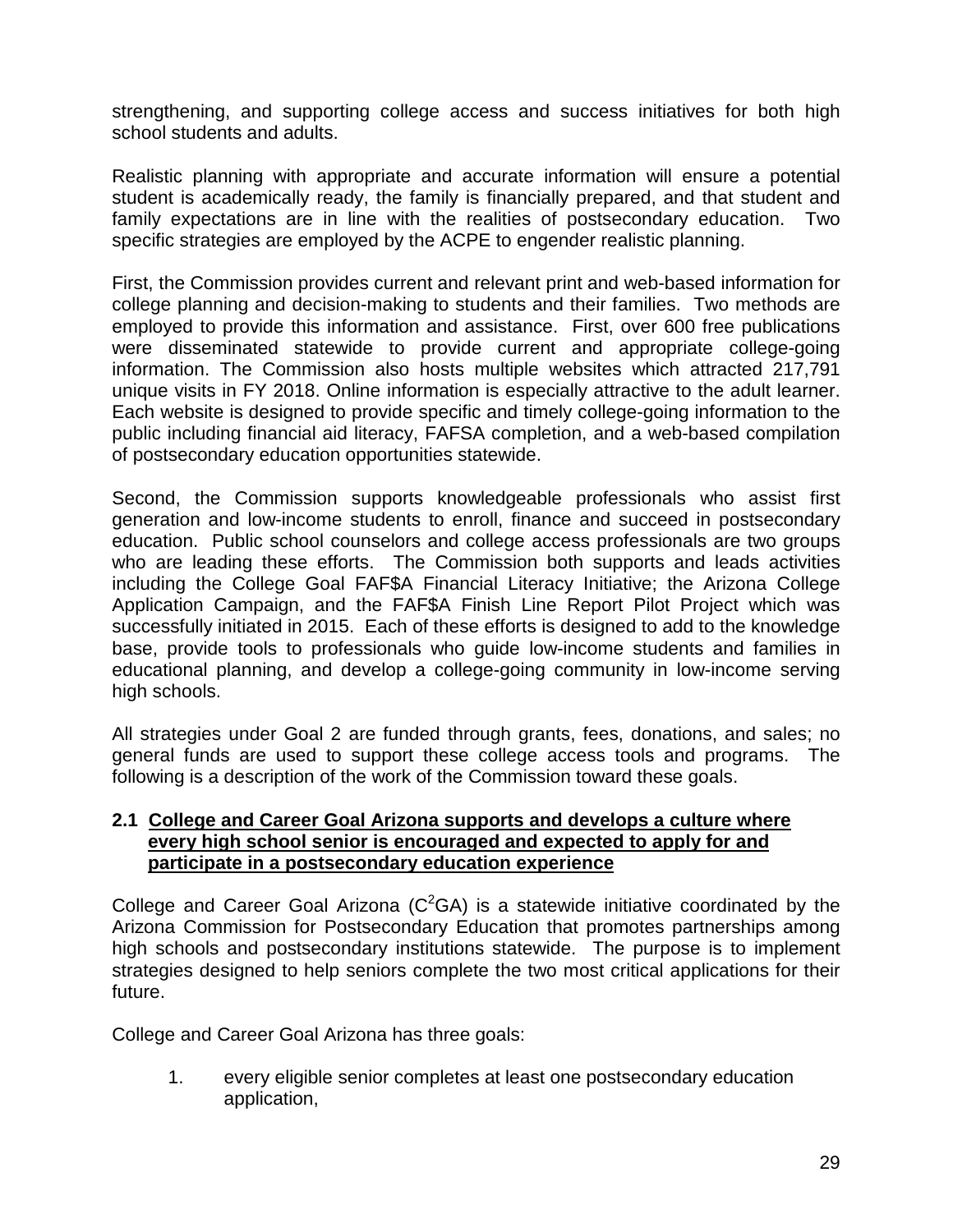strengthening, and supporting college access and success initiatives for both high school students and adults.

Realistic planning with appropriate and accurate information will ensure a potential student is academically ready, the family is financially prepared, and that student and family expectations are in line with the realities of postsecondary education. Two specific strategies are employed by the ACPE to engender realistic planning.

First, the Commission provides current and relevant print and web-based information for college planning and decision-making to students and their families. Two methods are employed to provide this information and assistance. First, over 600 free publications were disseminated statewide to provide current and appropriate college-going information. The Commission also hosts multiple websites which attracted 217,791 unique visits in FY 2018. Online information is especially attractive to the adult learner. Each website is designed to provide specific and timely college-going information to the public including financial aid literacy, FAFSA completion, and a web-based compilation of postsecondary education opportunities statewide.

Second, the Commission supports knowledgeable professionals who assist first generation and low-income students to enroll, finance and succeed in postsecondary education. Public school counselors and college access professionals are two groups who are leading these efforts. The Commission both supports and leads activities including the College Goal FAF\$A Financial Literacy Initiative; the Arizona College Application Campaign, and the FAF\$A Finish Line Report Pilot Project which was successfully initiated in 2015. Each of these efforts is designed to add to the knowledge base, provide tools to professionals who guide low-income students and families in educational planning, and develop a college-going community in low-income serving high schools.

All strategies under Goal 2 are funded through grants, fees, donations, and sales; no general funds are used to support these college access tools and programs. The following is a description of the work of the Commission toward these goals.

#### **2.1 College and Career Goal Arizona supports and develops a culture where every high school senior is encouraged and expected to apply for and participate in a postsecondary education experience**

College and Career Goal Arizona ( $C^2GA$ ) is a statewide initiative coordinated by the Arizona Commission for Postsecondary Education that promotes partnerships among high schools and postsecondary institutions statewide. The purpose is to implement strategies designed to help seniors complete the two most critical applications for their future.

College and Career Goal Arizona has three goals:

1. every eligible senior completes at least one postsecondary education application,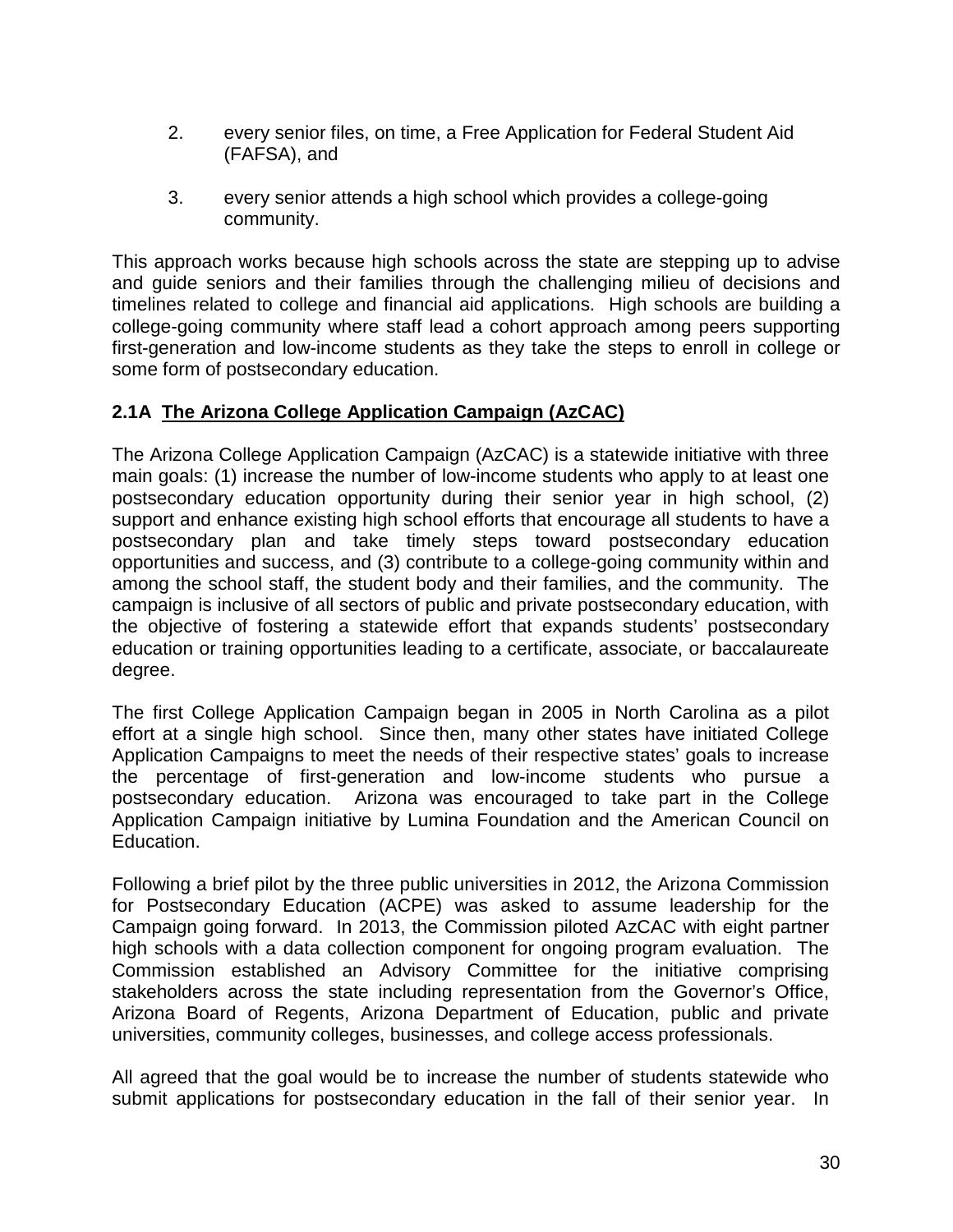- 2. every senior files, on time, a Free Application for Federal Student Aid (FAFSA), and
- 3. every senior attends a high school which provides a college-going community.

This approach works because high schools across the state are stepping up to advise and guide seniors and their families through the challenging milieu of decisions and timelines related to college and financial aid applications. High schools are building a college-going community where staff lead a cohort approach among peers supporting first-generation and low-income students as they take the steps to enroll in college or some form of postsecondary education.

# **2.1A The Arizona College Application Campaign (AzCAC)**

The Arizona College Application Campaign (AzCAC) is a statewide initiative with three main goals: (1) increase the number of low-income students who apply to at least one postsecondary education opportunity during their senior year in high school, (2) support and enhance existing high school efforts that encourage all students to have a postsecondary plan and take timely steps toward postsecondary education opportunities and success, and (3) contribute to a college-going community within and among the school staff, the student body and their families, and the community. The campaign is inclusive of all sectors of public and private postsecondary education, with the objective of fostering a statewide effort that expands students' postsecondary education or training opportunities leading to a certificate, associate, or baccalaureate degree.

The first College Application Campaign began in 2005 in North Carolina as a pilot effort at a single high school. Since then, many other states have initiated College Application Campaigns to meet the needs of their respective states' goals to increase the percentage of first-generation and low-income students who pursue a postsecondary education. Arizona was encouraged to take part in the College Application Campaign initiative by Lumina Foundation and the American Council on Education.

Following a brief pilot by the three public universities in 2012, the Arizona Commission for Postsecondary Education (ACPE) was asked to assume leadership for the Campaign going forward. In 2013, the Commission piloted AzCAC with eight partner high schools with a data collection component for ongoing program evaluation. The Commission established an Advisory Committee for the initiative comprising stakeholders across the state including representation from the Governor's Office, Arizona Board of Regents, Arizona Department of Education, public and private universities, community colleges, businesses, and college access professionals.

All agreed that the goal would be to increase the number of students statewide who submit applications for postsecondary education in the fall of their senior year. In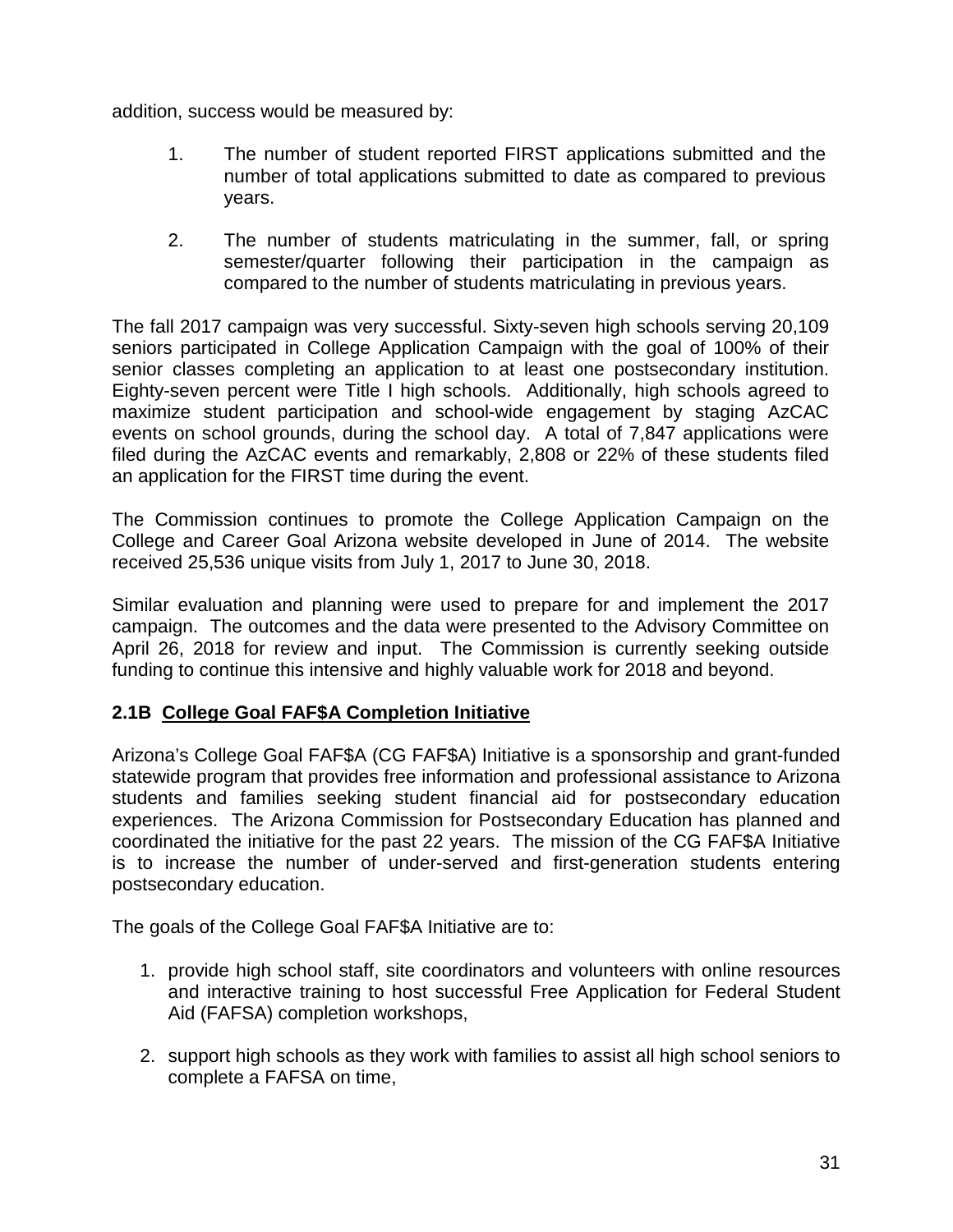addition, success would be measured by:

- 1. The number of student reported FIRST applications submitted and the number of total applications submitted to date as compared to previous years.
- 2. The number of students matriculating in the summer, fall, or spring semester/quarter following their participation in the campaign as compared to the number of students matriculating in previous years.

The fall 2017 campaign was very successful. Sixty-seven high schools serving 20,109 seniors participated in College Application Campaign with the goal of 100% of their senior classes completing an application to at least one postsecondary institution. Eighty-seven percent were Title I high schools. Additionally, high schools agreed to maximize student participation and school-wide engagement by staging AzCAC events on school grounds, during the school day. A total of 7,847 applications were filed during the AzCAC events and remarkably, 2,808 or 22% of these students filed an application for the FIRST time during the event.

The Commission continues to promote the College Application Campaign on the College and Career Goal Arizona website developed in June of 2014. The website received 25,536 unique visits from July 1, 2017 to June 30, 2018.

Similar evaluation and planning were used to prepare for and implement the 2017 campaign. The outcomes and the data were presented to the Advisory Committee on April 26, 2018 for review and input. The Commission is currently seeking outside funding to continue this intensive and highly valuable work for 2018 and beyond.

# **2.1B College Goal FAF\$A Completion Initiative**

Arizona's College Goal FAF\$A (CG FAF\$A) Initiative is a sponsorship and grant-funded statewide program that provides free information and professional assistance to Arizona students and families seeking student financial aid for postsecondary education experiences. The Arizona Commission for Postsecondary Education has planned and coordinated the initiative for the past 22 years. The mission of the CG FAF\$A Initiative is to increase the number of under-served and first-generation students entering postsecondary education.

The goals of the College Goal FAF\$A Initiative are to:

- 1. provide high school staff, site coordinators and volunteers with online resources and interactive training to host successful Free Application for Federal Student Aid (FAFSA) completion workshops,
- 2. support high schools as they work with families to assist all high school seniors to complete a FAFSA on time,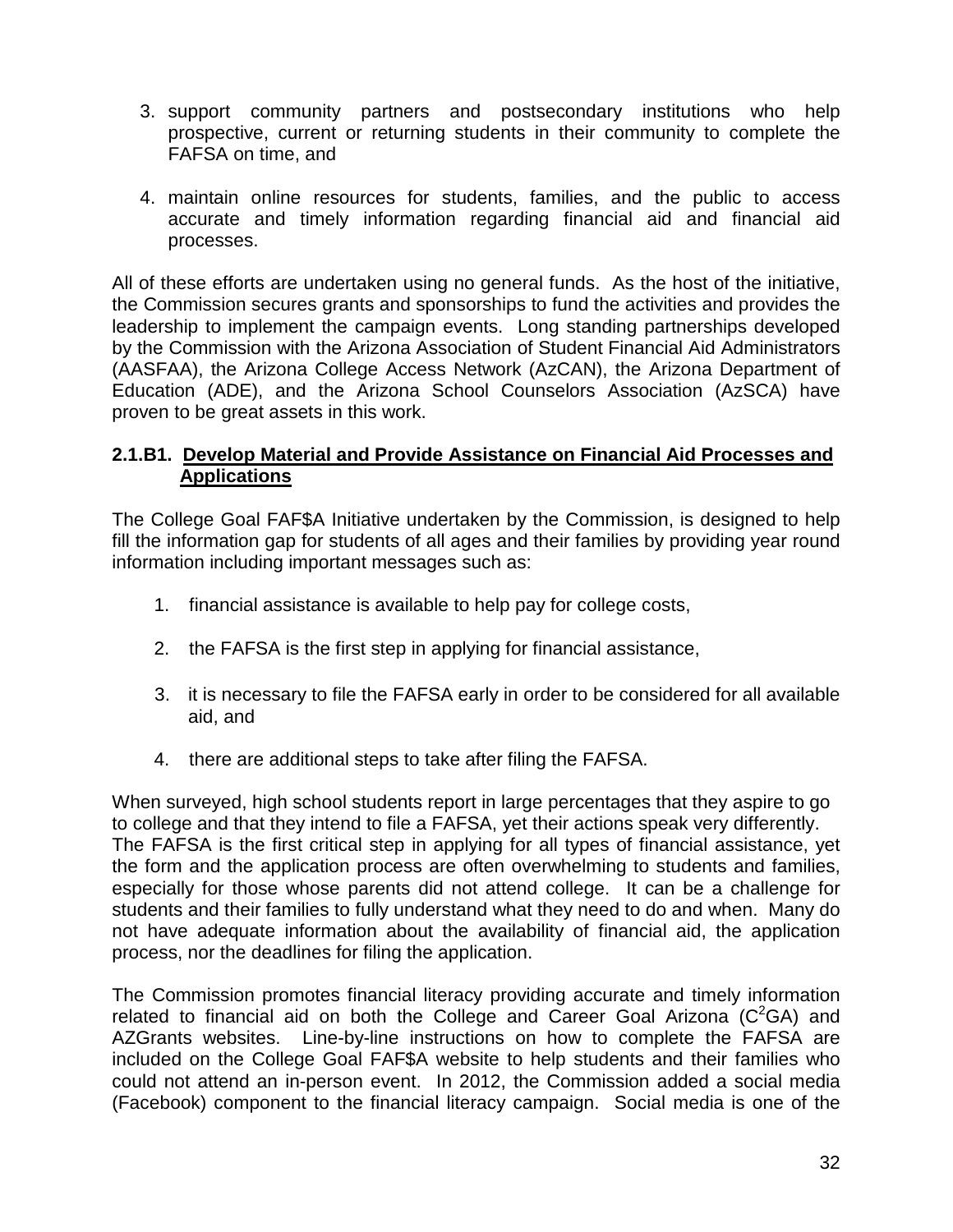- 3. support community partners and postsecondary institutions who help prospective, current or returning students in their community to complete the FAFSA on time, and
- 4. maintain online resources for students, families, and the public to access accurate and timely information regarding financial aid and financial aid processes.

All of these efforts are undertaken using no general funds. As the host of the initiative, the Commission secures grants and sponsorships to fund the activities and provides the leadership to implement the campaign events. Long standing partnerships developed by the Commission with the Arizona Association of Student Financial Aid Administrators (AASFAA), the Arizona College Access Network (AzCAN), the Arizona Department of Education (ADE), and the Arizona School Counselors Association (AzSCA) have proven to be great assets in this work.

# **2.1.B1. Develop Material and Provide Assistance on Financial Aid Processes and Applications**

The College Goal FAF\$A Initiative undertaken by the Commission, is designed to help fill the information gap for students of all ages and their families by providing year round information including important messages such as:

- 1. financial assistance is available to help pay for college costs,
- 2. the FAFSA is the first step in applying for financial assistance,
- 3. it is necessary to file the FAFSA early in order to be considered for all available aid, and
- 4. there are additional steps to take after filing the FAFSA.

When surveyed, high school students report in large percentages that they aspire to go to college and that they intend to file a FAFSA, yet their actions speak very differently. The FAFSA is the first critical step in applying for all types of financial assistance, yet the form and the application process are often overwhelming to students and families, especially for those whose parents did not attend college. It can be a challenge for students and their families to fully understand what they need to do and when. Many do not have adequate information about the availability of financial aid, the application process, nor the deadlines for filing the application.

The Commission promotes financial literacy providing accurate and timely information related to financial aid on both the College and Career Goal Arizona  $(C^2GA)$  and AZGrants websites. Line-by-line instructions on how to complete the FAFSA are included on the College Goal FAF\$A website to help students and their families who could not attend an in-person event. In 2012, the Commission added a social media (Facebook) component to the financial literacy campaign. Social media is one of the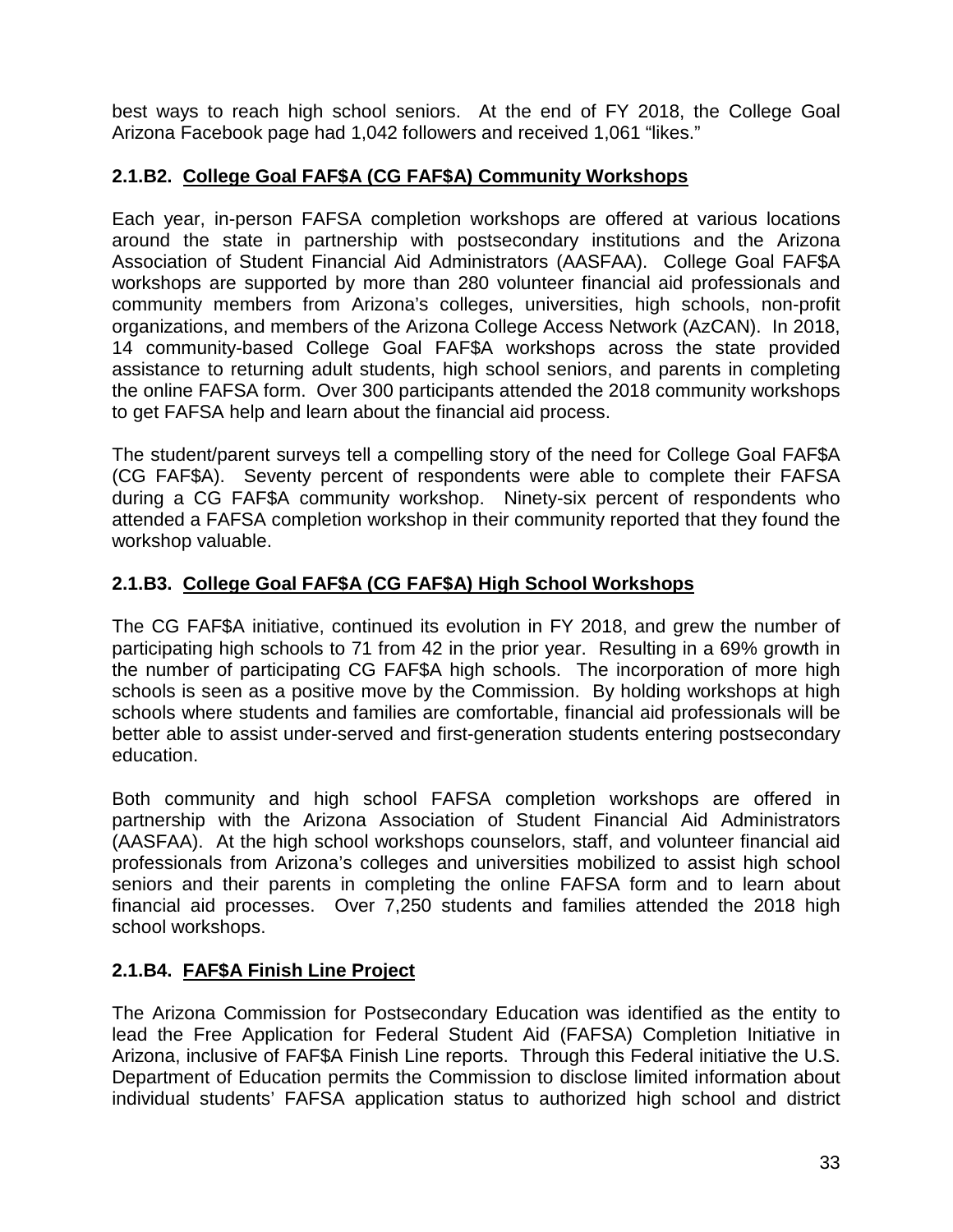best ways to reach high school seniors. At the end of FY 2018, the College Goal Arizona Facebook page had 1,042 followers and received 1,061 "likes."

# **2.1.B2. College Goal FAF\$A (CG FAF\$A) Community Workshops**

Each year, in-person FAFSA completion workshops are offered at various locations around the state in partnership with postsecondary institutions and the Arizona Association of Student Financial Aid Administrators (AASFAA). College Goal FAF\$A workshops are supported by more than 280 volunteer financial aid professionals and community members from Arizona's colleges, universities, high schools, non-profit organizations, and members of the Arizona College Access Network (AzCAN). In 2018, 14 community-based College Goal FAF\$A workshops across the state provided assistance to returning adult students, high school seniors, and parents in completing the online FAFSA form. Over 300 participants attended the 2018 community workshops to get FAFSA help and learn about the financial aid process.

The student/parent surveys tell a compelling story of the need for College Goal FAF\$A (CG FAF\$A). Seventy percent of respondents were able to complete their FAFSA during a CG FAF\$A community workshop. Ninety-six percent of respondents who attended a FAFSA completion workshop in their community reported that they found the workshop valuable.

# **2.1.B3. College Goal FAF\$A (CG FAF\$A) High School Workshops**

The CG FAF\$A initiative, continued its evolution in FY 2018, and grew the number of participating high schools to 71 from 42 in the prior year. Resulting in a 69% growth in the number of participating CG FAF\$A high schools. The incorporation of more high schools is seen as a positive move by the Commission. By holding workshops at high schools where students and families are comfortable, financial aid professionals will be better able to assist under-served and first-generation students entering postsecondary education.

Both community and high school FAFSA completion workshops are offered in partnership with the Arizona Association of Student Financial Aid Administrators (AASFAA). At the high school workshops counselors, staff, and volunteer financial aid professionals from Arizona's colleges and universities mobilized to assist high school seniors and their parents in completing the online FAFSA form and to learn about financial aid processes. Over 7,250 students and families attended the 2018 high school workshops.

# **2.1.B4. FAF\$A Finish Line Project**

The Arizona Commission for Postsecondary Education was identified as the entity to lead the Free Application for Federal Student Aid (FAFSA) Completion Initiative in Arizona, inclusive of FAF\$A Finish Line reports. Through this Federal initiative the U.S. Department of Education permits the Commission to disclose limited information about individual students' FAFSA application status to authorized high school and district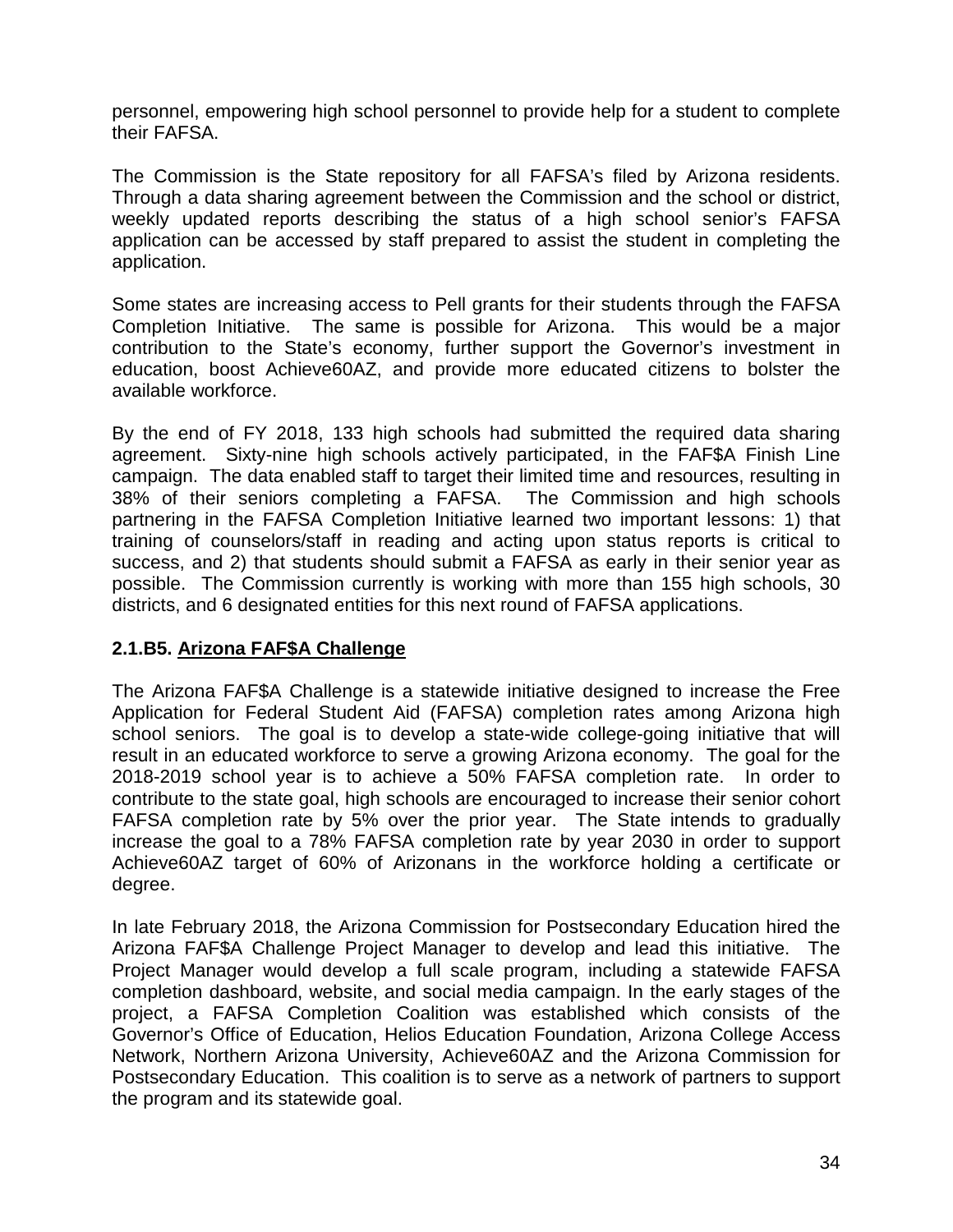personnel, empowering high school personnel to provide help for a student to complete their FAFSA.

The Commission is the State repository for all FAFSA's filed by Arizona residents. Through a data sharing agreement between the Commission and the school or district, weekly updated reports describing the status of a high school senior's FAFSA application can be accessed by staff prepared to assist the student in completing the application.

Some states are increasing access to Pell grants for their students through the FAFSA Completion Initiative. The same is possible for Arizona. This would be a major contribution to the State's economy, further support the Governor's investment in education, boost Achieve60AZ, and provide more educated citizens to bolster the available workforce.

By the end of FY 2018, 133 high schools had submitted the required data sharing agreement. Sixty-nine high schools actively participated, in the FAF\$A Finish Line campaign. The data enabled staff to target their limited time and resources, resulting in 38% of their seniors completing a FAFSA. The Commission and high schools partnering in the FAFSA Completion Initiative learned two important lessons: 1) that training of counselors/staff in reading and acting upon status reports is critical to success, and 2) that students should submit a FAFSA as early in their senior year as possible. The Commission currently is working with more than 155 high schools, 30 districts, and 6 designated entities for this next round of FAFSA applications.

# **2.1.B5. Arizona FAF\$A Challenge**

The Arizona FAF\$A Challenge is a statewide initiative designed to increase the Free Application for Federal Student Aid (FAFSA) completion rates among Arizona high school seniors. The goal is to develop a state-wide college-going initiative that will result in an educated workforce to serve a growing Arizona economy. The goal for the 2018-2019 school year is to achieve a 50% FAFSA completion rate. In order to contribute to the state goal, high schools are encouraged to increase their senior cohort FAFSA completion rate by 5% over the prior year. The State intends to gradually increase the goal to a 78% FAFSA completion rate by year 2030 in order to support Achieve60AZ target of 60% of Arizonans in the workforce holding a certificate or degree.

In late February 2018, the Arizona Commission for Postsecondary Education hired the Arizona FAF\$A Challenge Project Manager to develop and lead this initiative. The Project Manager would develop a full scale program, including a statewide FAFSA completion dashboard, website, and social media campaign. In the early stages of the project, a FAFSA Completion Coalition was established which consists of the Governor's Office of Education, Helios Education Foundation, Arizona College Access Network, Northern Arizona University, Achieve60AZ and the Arizona Commission for Postsecondary Education. This coalition is to serve as a network of partners to support the program and its statewide goal.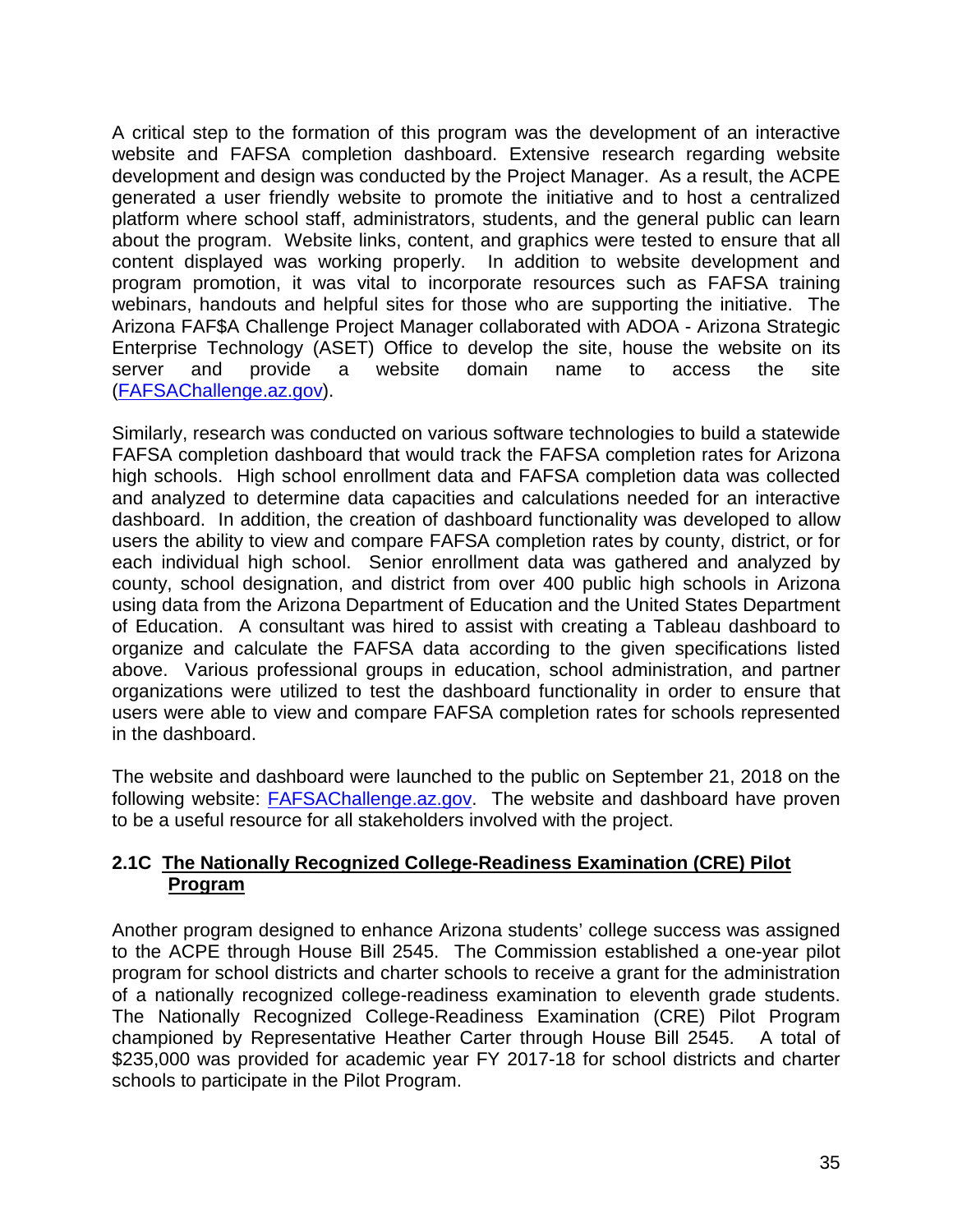A critical step to the formation of this program was the development of an interactive website and FAFSA completion dashboard. Extensive research regarding website development and design was conducted by the Project Manager. As a result, the ACPE generated a user friendly website to promote the initiative and to host a centralized platform where school staff, administrators, students, and the general public can learn about the program. Website links, content, and graphics were tested to ensure that all content displayed was working properly. In addition to website development and program promotion, it was vital to incorporate resources such as FAFSA training webinars, handouts and helpful sites for those who are supporting the initiative. The Arizona FAF\$A Challenge Project Manager collaborated with ADOA - Arizona Strategic Enterprise Technology (ASET) Office to develop the site, house the website on its server and provide a website domain name to access the site [\(FAFSAChallenge.az.gov\)](https://fafsachallenge.az.gov/).

Similarly, research was conducted on various software technologies to build a statewide FAFSA completion dashboard that would track the FAFSA completion rates for Arizona high schools. High school enrollment data and FAFSA completion data was collected and analyzed to determine data capacities and calculations needed for an interactive dashboard. In addition, the creation of dashboard functionality was developed to allow users the ability to view and compare FAFSA completion rates by county, district, or for each individual high school. Senior enrollment data was gathered and analyzed by county, school designation, and district from over 400 public high schools in Arizona using data from the Arizona Department of Education and the United States Department of Education. A consultant was hired to assist with creating a Tableau dashboard to organize and calculate the FAFSA data according to the given specifications listed above. Various professional groups in education, school administration, and partner organizations were utilized to test the dashboard functionality in order to ensure that users were able to view and compare FAFSA completion rates for schools represented in the dashboard.

The website and dashboard were launched to the public on September 21, 2018 on the following website: [FAFSAChallenge.az.gov.](https://fafsachallenge.az.gov/) The website and dashboard have proven to be a useful resource for all stakeholders involved with the project.

# **2.1C The Nationally Recognized College-Readiness Examination (CRE) Pilot Program**

Another program designed to enhance Arizona students' college success was assigned to the ACPE through House Bill 2545. The Commission established a one-year pilot program for school districts and charter schools to receive a grant for the administration of a nationally recognized college-readiness examination to eleventh grade students. The Nationally Recognized College-Readiness Examination (CRE) Pilot Program championed by Representative Heather Carter through House Bill 2545. A total of \$235,000 was provided for academic year FY 2017-18 for school districts and charter schools to participate in the Pilot Program.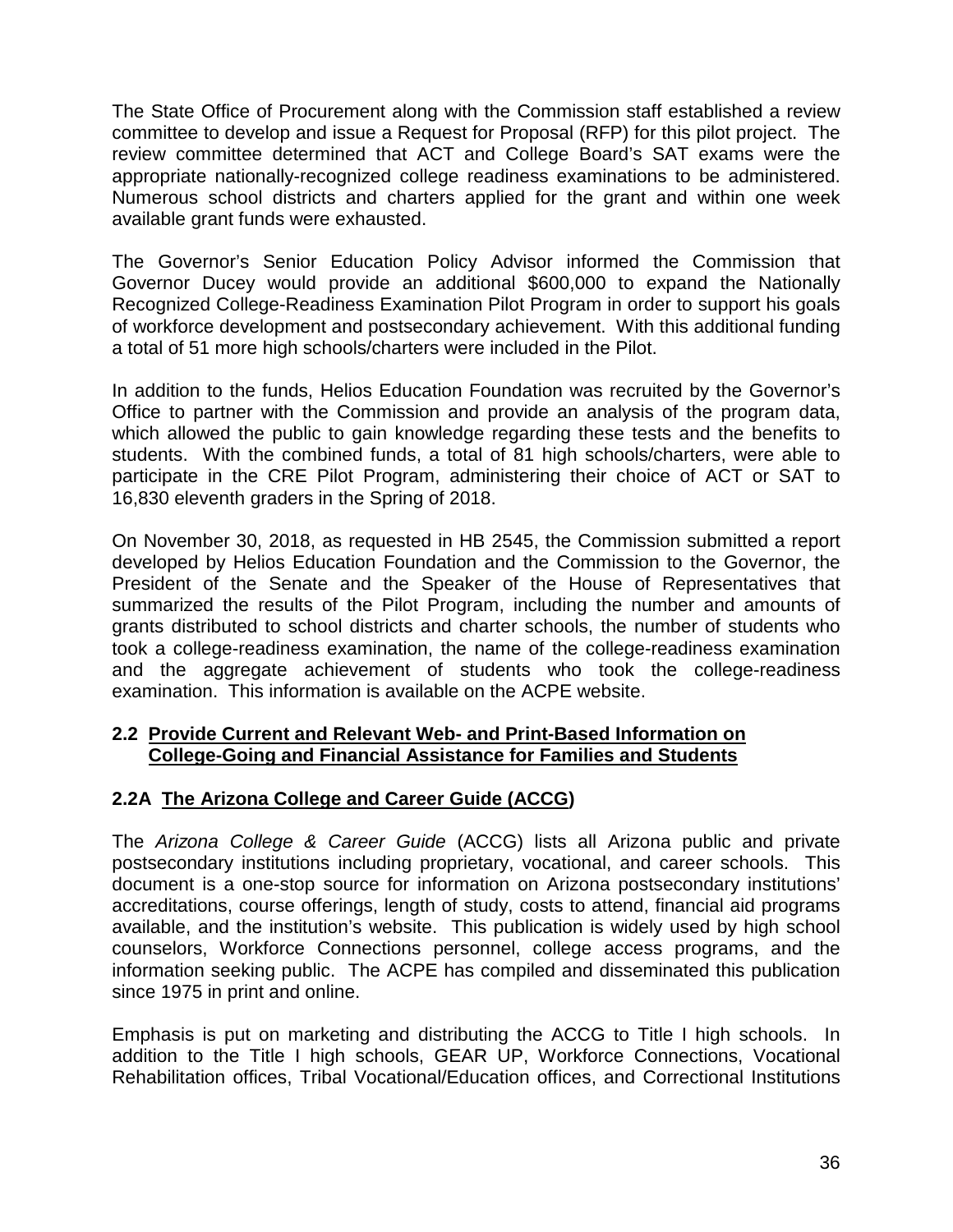The State Office of Procurement along with the Commission staff established a review committee to develop and issue a Request for Proposal (RFP) for this pilot project. The review committee determined that ACT and College Board's SAT exams were the appropriate nationally-recognized college readiness examinations to be administered. Numerous school districts and charters applied for the grant and within one week available grant funds were exhausted.

The Governor's Senior Education Policy Advisor informed the Commission that Governor Ducey would provide an additional \$600,000 to expand the Nationally Recognized College-Readiness Examination Pilot Program in order to support his goals of workforce development and postsecondary achievement. With this additional funding a total of 51 more high schools/charters were included in the Pilot.

In addition to the funds, Helios Education Foundation was recruited by the Governor's Office to partner with the Commission and provide an analysis of the program data, which allowed the public to gain knowledge regarding these tests and the benefits to students. With the combined funds, a total of 81 high schools/charters, were able to participate in the CRE Pilot Program, administering their choice of ACT or SAT to 16,830 eleventh graders in the Spring of 2018.

On November 30, 2018, as requested in HB 2545, the Commission submitted a report developed by Helios Education Foundation and the Commission to the Governor, the President of the Senate and the Speaker of the House of Representatives that summarized the results of the Pilot Program, including the number and amounts of grants distributed to school districts and charter schools, the number of students who took a college-readiness examination, the name of the college-readiness examination and the aggregate achievement of students who took the college-readiness examination. This information is available on the ACPE website.

# **2.2 Provide Current and Relevant Web- and Print-Based Information on College-Going and Financial Assistance for Families and Students**

# **2.2A The Arizona College and Career Guide (ACCG)**

The *Arizona College & Career Guide* (ACCG) lists all Arizona public and private postsecondary institutions including proprietary, vocational, and career schools. This document is a one-stop source for information on Arizona postsecondary institutions' accreditations, course offerings, length of study, costs to attend, financial aid programs available, and the institution's website. This publication is widely used by high school counselors, Workforce Connections personnel, college access programs, and the information seeking public. The ACPE has compiled and disseminated this publication since 1975 in print and online.

Emphasis is put on marketing and distributing the ACCG to Title I high schools. In addition to the Title I high schools, GEAR UP, Workforce Connections, Vocational Rehabilitation offices, Tribal Vocational/Education offices, and Correctional Institutions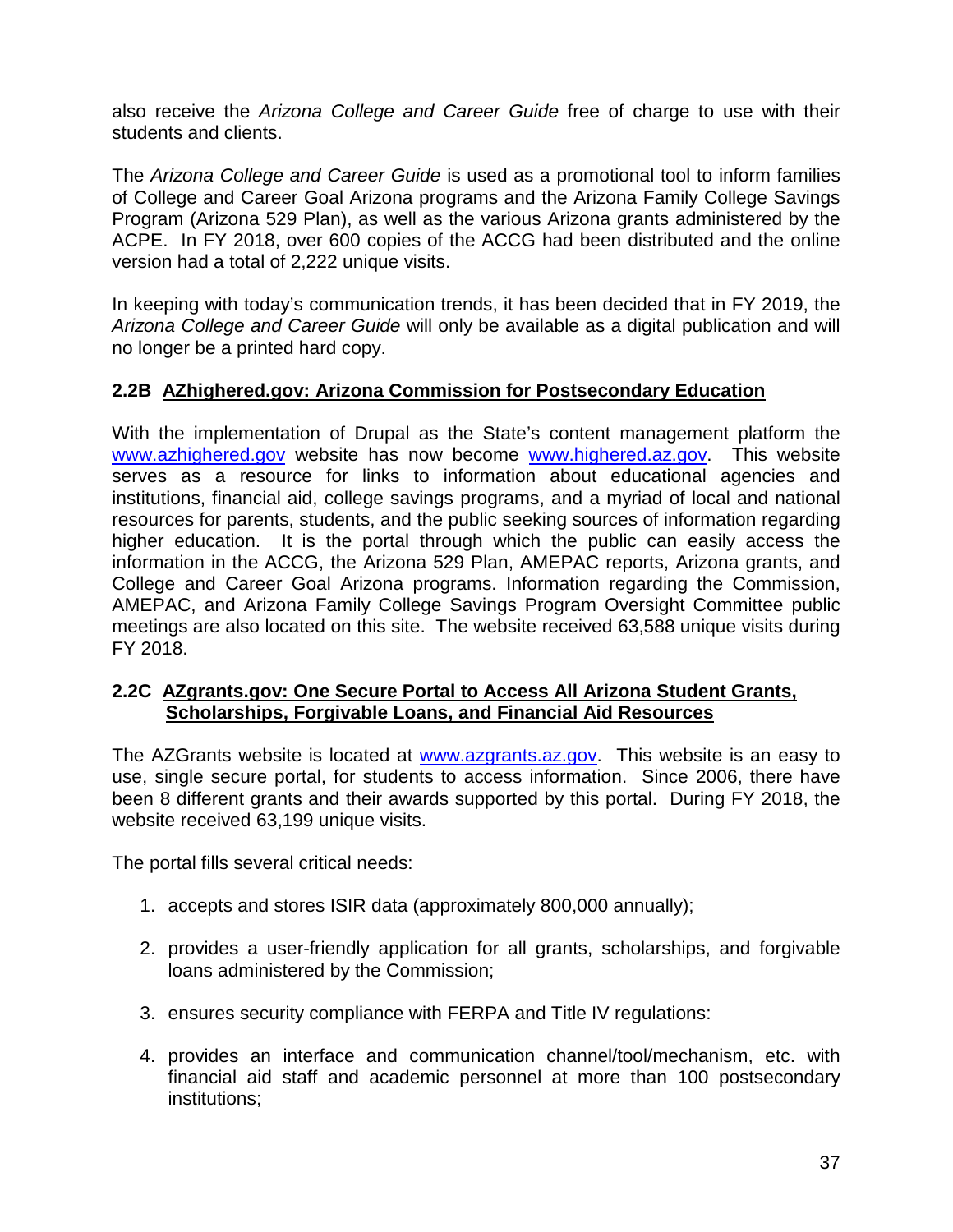also receive the *Arizona College and Career Guide* free of charge to use with their students and clients.

The *Arizona College and Career Guide* is used as a promotional tool to inform families of College and Career Goal Arizona programs and the Arizona Family College Savings Program (Arizona 529 Plan), as well as the various Arizona grants administered by the ACPE. In FY 2018, over 600 copies of the ACCG had been distributed and the online version had a total of 2,222 unique visits.

In keeping with today's communication trends, it has been decided that in FY 2019, the *Arizona College and Career Guide* will only be available as a digital publication and will no longer be a printed hard copy.

# **2.2B AZhighered.gov: Arizona Commission for Postsecondary Education**

With the implementation of Drupal as the State's content management platform the [www.azhighered.gov](http://www.azhighered.gov/) website has now become [www.highered.az.gov.](http://www.highered.az.gov/) This website serves as a resource for links to information about educational agencies and institutions, financial aid, college savings programs, and a myriad of local and national resources for parents, students, and the public seeking sources of information regarding higher education. It is the portal through which the public can easily access the information in the ACCG, the Arizona 529 Plan, AMEPAC reports, Arizona grants, and College and Career Goal Arizona programs. Information regarding the Commission, AMEPAC, and Arizona Family College Savings Program Oversight Committee public meetings are also located on this site. The website received 63,588 unique visits during FY 2018.

#### **2.2C AZgrants.gov: One Secure Portal to Access All Arizona Student Grants, Scholarships, Forgivable Loans, and Financial Aid Resources**

The AZGrants website is located at [www.azgrants.az.gov.](http://www.azgrants.az.gov/) This website is an easy to use, single secure portal, for students to access information. Since 2006, there have been 8 different grants and their awards supported by this portal. During FY 2018, the website received 63,199 unique visits.

The portal fills several critical needs:

- 1. accepts and stores ISIR data (approximately 800,000 annually);
- 2. provides a user-friendly application for all grants, scholarships, and forgivable loans administered by the Commission;
- 3. ensures security compliance with FERPA and Title IV regulations:
- 4. provides an interface and communication channel/tool/mechanism, etc. with financial aid staff and academic personnel at more than 100 postsecondary institutions;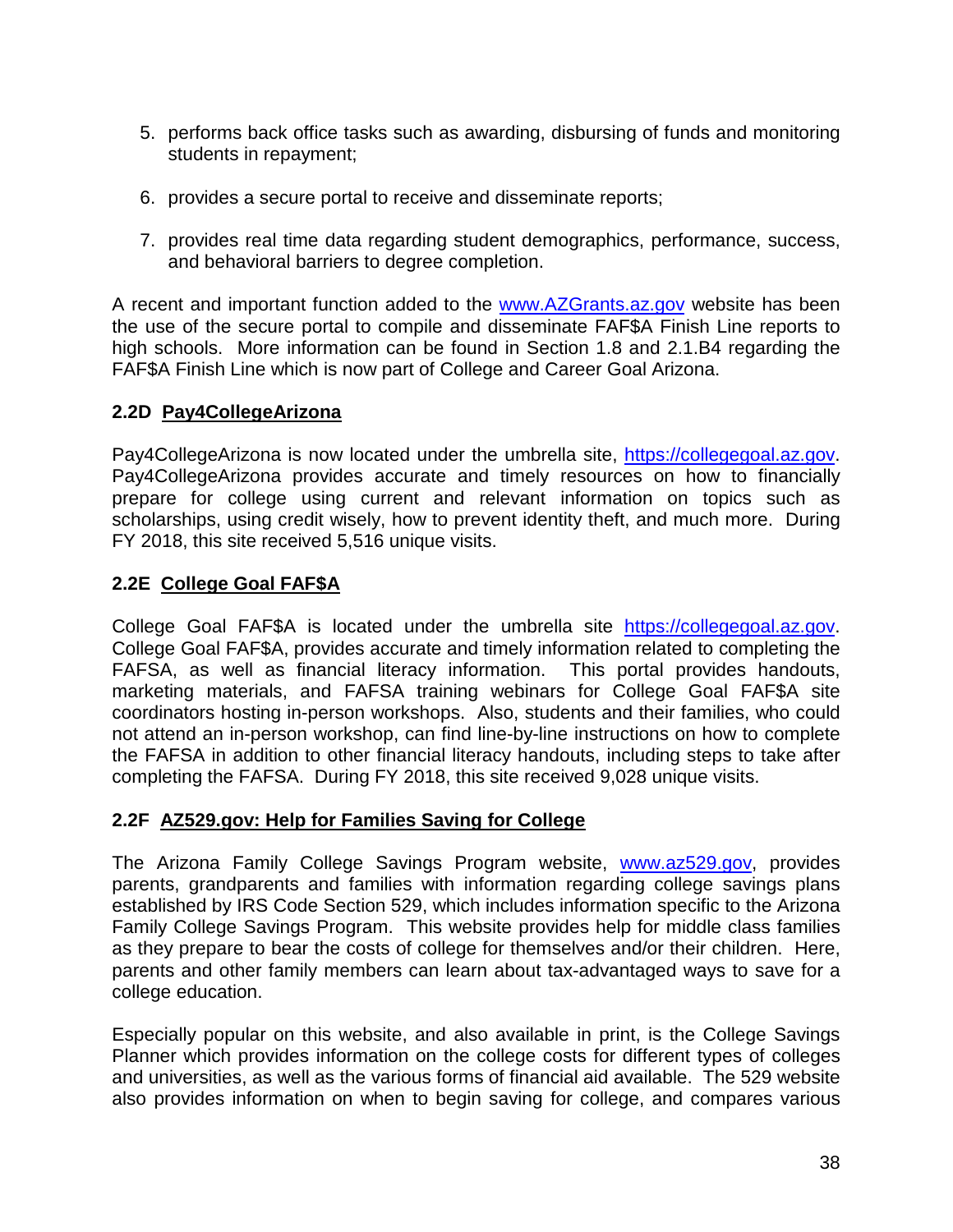- 5. performs back office tasks such as awarding, disbursing of funds and monitoring students in repayment;
- 6. provides a secure portal to receive and disseminate reports;
- 7. provides real time data regarding student demographics, performance, success, and behavioral barriers to degree completion.

A recent and important function added to the [www.AZGrants.az.gov](http://www.azgrants.az.gov/) website has been the use of the secure portal to compile and disseminate FAF\$A Finish Line reports to high schools. More information can be found in Section 1.8 and 2.1.B4 regarding the FAF\$A Finish Line which is now part of College and Career Goal Arizona.

#### **2.2D Pay4CollegeArizona**

Pay4CollegeArizona is now located under the umbrella site, [https://collegegoal.az.gov.](https://collegegoal.az.gov/) Pay4CollegeArizona provides accurate and timely resources on how to financially prepare for college using current and relevant information on topics such as scholarships, using credit wisely, how to prevent identity theft, and much more. During FY 2018, this site received 5,516 unique visits.

# **2.2E College Goal FAF\$A**

College Goal FAF\$A is located under the umbrella site [https://collegegoal.az.gov.](https://collegegoal.az.gov/) College Goal FAF\$A, provides accurate and timely information related to completing the FAFSA, as well as financial literacy information. This portal provides handouts, marketing materials, and FAFSA training webinars for College Goal FAF\$A site coordinators hosting in-person workshops. Also, students and their families, who could not attend an in-person workshop, can find line-by-line instructions on how to complete the FAFSA in addition to other financial literacy handouts, including steps to take after completing the FAFSA. During FY 2018, this site received 9,028 unique visits.

# **2.2F AZ529.gov: Help for Families Saving for College**

The Arizona Family College Savings Program website, [www.az529.gov,](http://www.az529.gov/) provides parents, grandparents and families with information regarding college savings plans established by IRS Code Section 529, which includes information specific to the Arizona Family College Savings Program. This website provides help for middle class families as they prepare to bear the costs of college for themselves and/or their children. Here, parents and other family members can learn about tax-advantaged ways to save for a college education.

Especially popular on this website, and also available in print, is the College Savings Planner which provides information on the college costs for different types of colleges and universities, as well as the various forms of financial aid available. The 529 website also provides information on when to begin saving for college, and compares various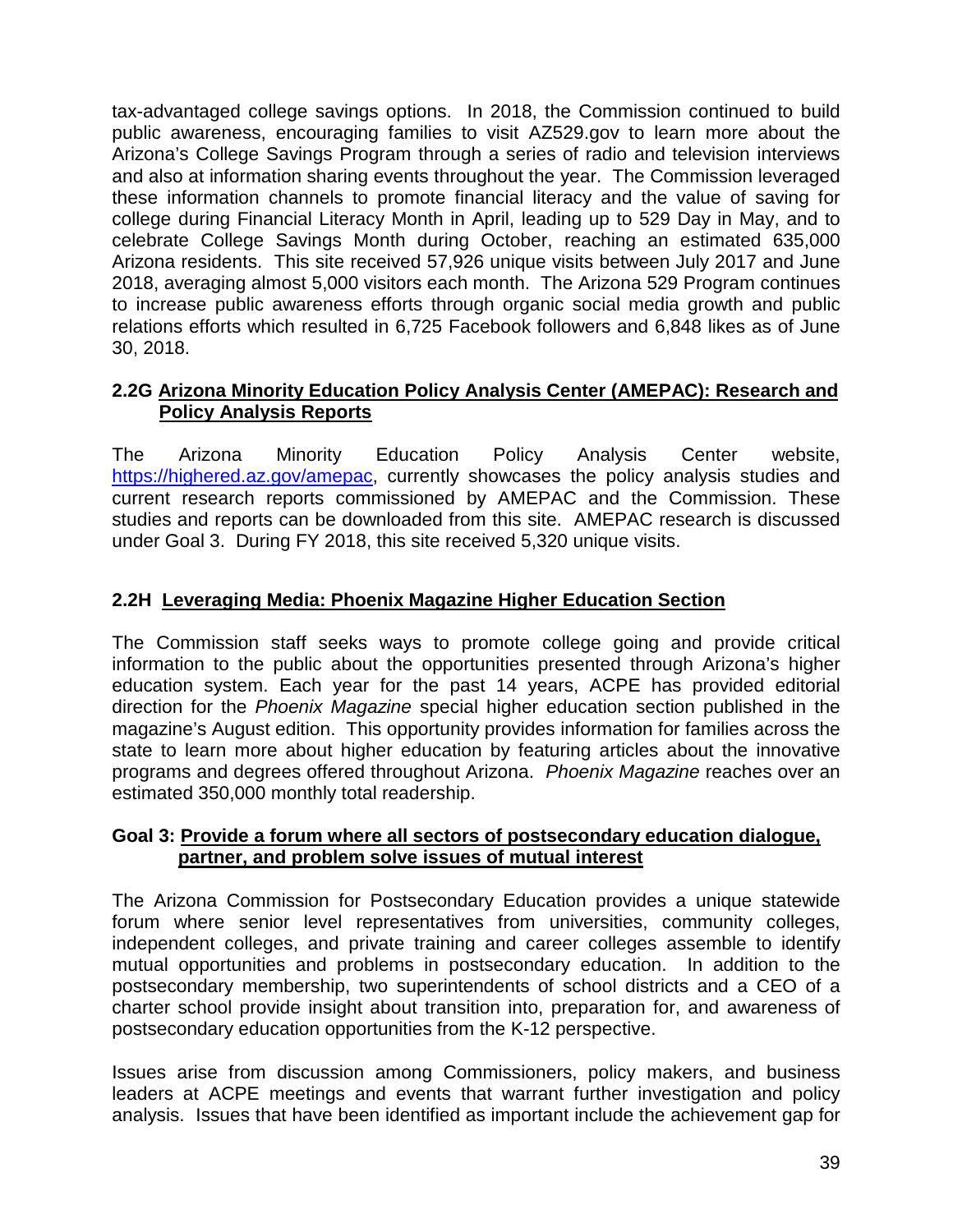tax-advantaged college savings options. In 2018, the Commission continued to build public awareness, encouraging families to visit AZ529.gov to learn more about the Arizona's College Savings Program through a series of radio and television interviews and also at information sharing events throughout the year. The Commission leveraged these information channels to promote financial literacy and the value of saving for college during Financial Literacy Month in April, leading up to 529 Day in May, and to celebrate College Savings Month during October, reaching an estimated 635,000 Arizona residents. This site received 57,926 unique visits between July 2017 and June 2018, averaging almost 5,000 visitors each month. The Arizona 529 Program continues to increase public awareness efforts through organic social media growth and public relations efforts which resulted in 6,725 Facebook followers and 6,848 likes as of June 30, 2018.

# **2.2G Arizona Minority Education Policy Analysis Center (AMEPAC): Research and Policy Analysis Reports**

The Arizona Minority Education Policy Analysis Center website, [https://highered.az.gov/amepac,](https://highered.az.gov/amepac) currently showcases the policy analysis studies and current research reports commissioned by AMEPAC and the Commission. These studies and reports can be downloaded from this site. AMEPAC research is discussed under Goal 3. During FY 2018, this site received 5,320 unique visits.

# **2.2H Leveraging Media: Phoenix Magazine Higher Education Section**

The Commission staff seeks ways to promote college going and provide critical information to the public about the opportunities presented through Arizona's higher education system. Each year for the past 14 years, ACPE has provided editorial direction for the *Phoenix Magazine* special higher education section published in the magazine's August edition. This opportunity provides information for families across the state to learn more about higher education by featuring articles about the innovative programs and degrees offered throughout Arizona. *Phoenix Magazine* reaches over an estimated 350,000 monthly total readership.

# **Goal 3: Provide a forum where all sectors of postsecondary education dialogue, partner, and problem solve issues of mutual interest**

The Arizona Commission for Postsecondary Education provides a unique statewide forum where senior level representatives from universities, community colleges, independent colleges, and private training and career colleges assemble to identify mutual opportunities and problems in postsecondary education. In addition to the postsecondary membership, two superintendents of school districts and a CEO of a charter school provide insight about transition into, preparation for, and awareness of postsecondary education opportunities from the K-12 perspective.

Issues arise from discussion among Commissioners, policy makers, and business leaders at ACPE meetings and events that warrant further investigation and policy analysis. Issues that have been identified as important include the achievement gap for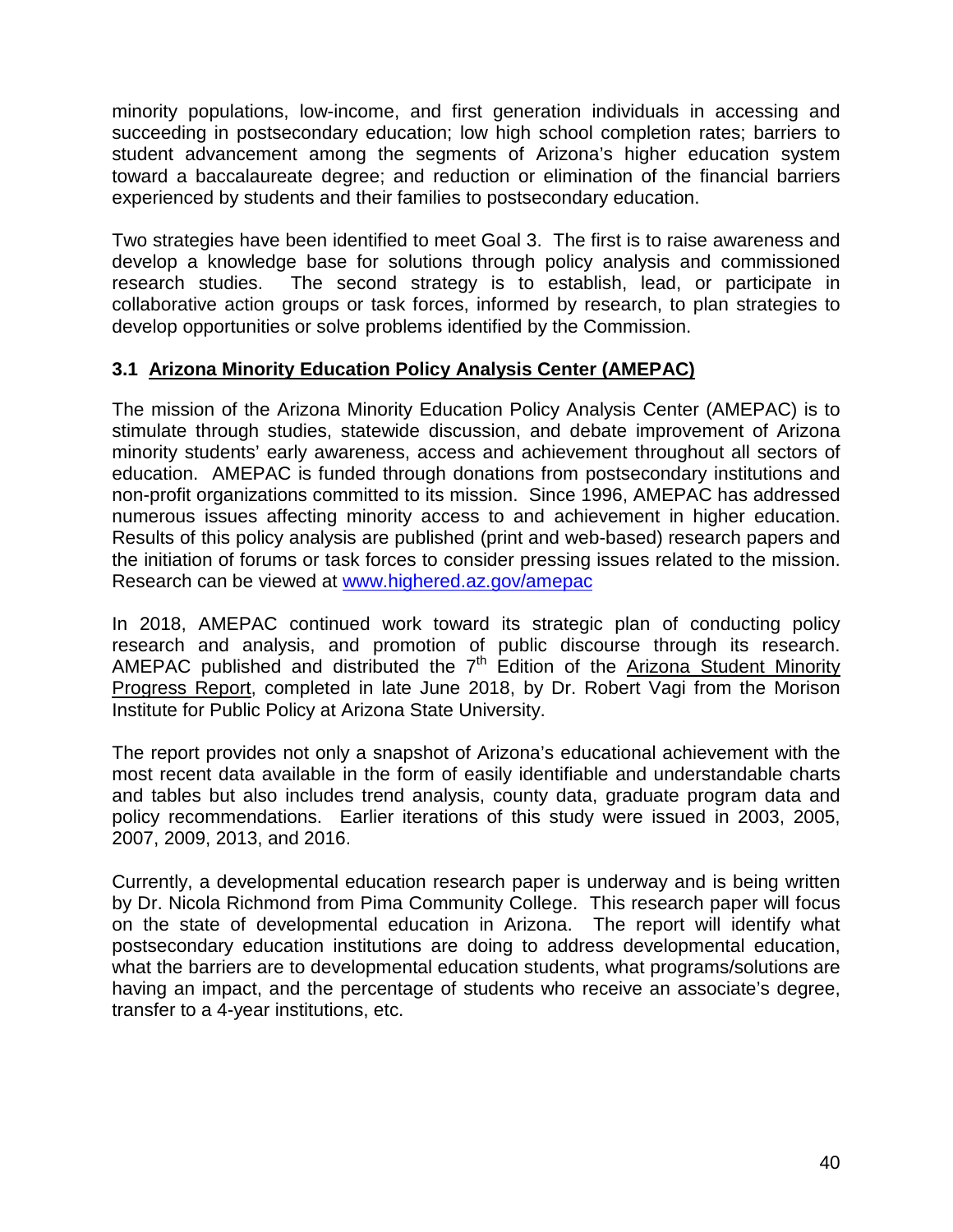minority populations, low-income, and first generation individuals in accessing and succeeding in postsecondary education; low high school completion rates; barriers to student advancement among the segments of Arizona's higher education system toward a baccalaureate degree; and reduction or elimination of the financial barriers experienced by students and their families to postsecondary education.

Two strategies have been identified to meet Goal 3. The first is to raise awareness and develop a knowledge base for solutions through policy analysis and commissioned research studies. The second strategy is to establish, lead, or participate in collaborative action groups or task forces, informed by research, to plan strategies to develop opportunities or solve problems identified by the Commission.

# **3.1 Arizona Minority Education Policy Analysis Center (AMEPAC)**

The mission of the Arizona Minority Education Policy Analysis Center (AMEPAC) is to stimulate through studies, statewide discussion, and debate improvement of Arizona minority students' early awareness, access and achievement throughout all sectors of education. AMEPAC is funded through donations from postsecondary institutions and non-profit organizations committed to its mission. Since 1996, AMEPAC has addressed numerous issues affecting minority access to and achievement in higher education. Results of this policy analysis are published (print and web-based) research papers and the initiation of forums or task forces to consider pressing issues related to the mission. Research can be viewed at [www.highered.az.gov/amepac](http://www.highered.az.gov/amepac)

In 2018, AMEPAC continued work toward its strategic plan of conducting policy research and analysis, and promotion of public discourse through its research. AMEPAC published and distributed the  $7<sup>th</sup>$  Edition of the Arizona Student Minority Progress Report, completed in late June 2018, by Dr. Robert Vagi from the Morison Institute for Public Policy at Arizona State University.

The report provides not only a snapshot of Arizona's educational achievement with the most recent data available in the form of easily identifiable and understandable charts and tables but also includes trend analysis, county data, graduate program data and policy recommendations. Earlier iterations of this study were issued in 2003, 2005, 2007, 2009, 2013, and 2016.

Currently, a developmental education research paper is underway and is being written by Dr. Nicola Richmond from Pima Community College. This research paper will focus on the state of developmental education in Arizona. The report will identify what postsecondary education institutions are doing to address developmental education, what the barriers are to developmental education students, what programs/solutions are having an impact, and the percentage of students who receive an associate's degree, transfer to a 4-year institutions, etc.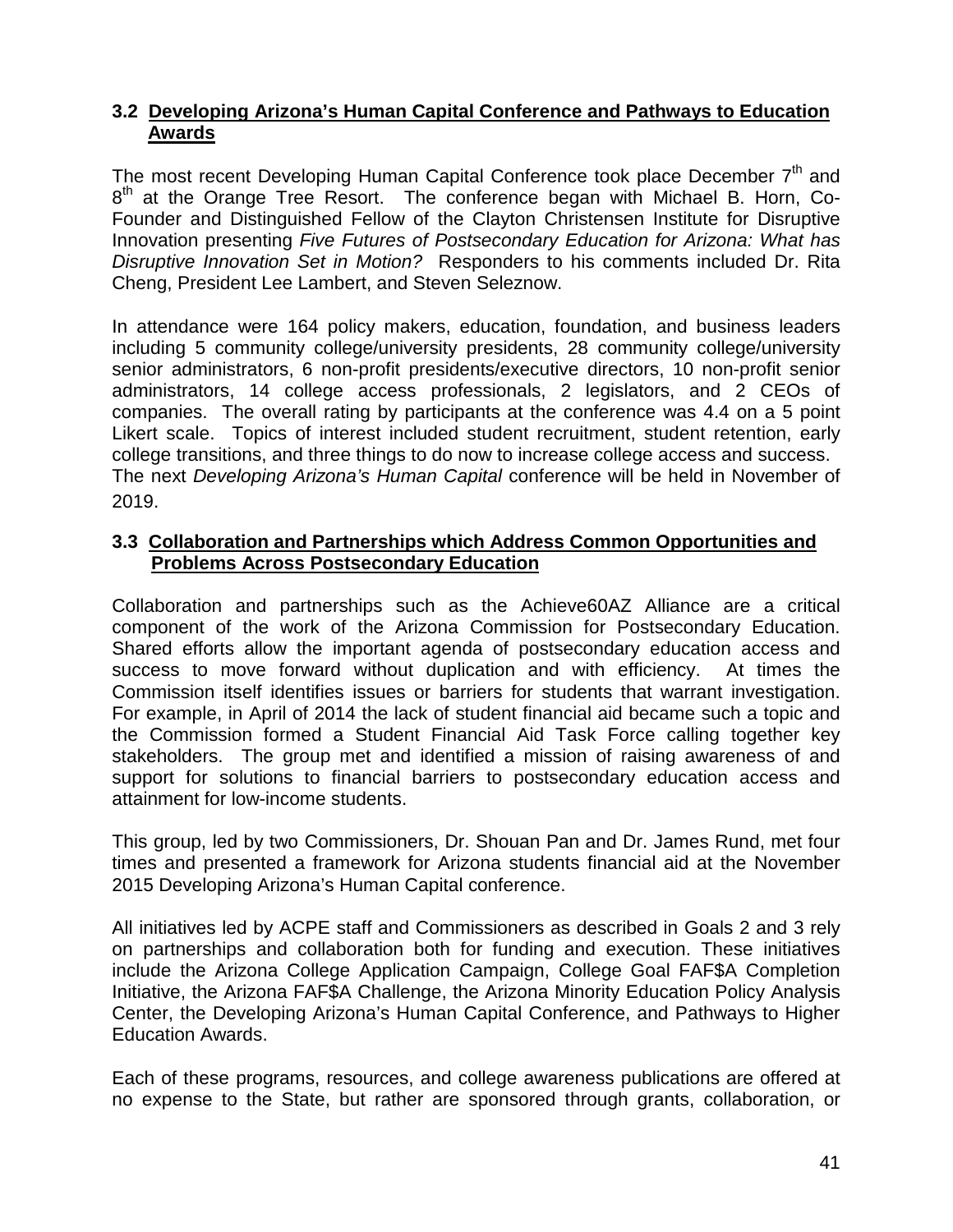# **3.2 Developing Arizona's Human Capital Conference and Pathways to Education Awards**

The most recent Developing Human Capital Conference took place December  $7<sup>th</sup>$  and 8<sup>th</sup> at the Orange Tree Resort. The conference began with Michael B. Horn, Co-Founder and Distinguished Fellow of the Clayton Christensen Institute for Disruptive Innovation presenting *Five Futures of Postsecondary Education for Arizona: What has Disruptive Innovation Set in Motion?* Responders to his comments included Dr. Rita Cheng, President Lee Lambert, and Steven Seleznow.

In attendance were 164 policy makers, education, foundation, and business leaders including 5 community college/university presidents, 28 community college/university senior administrators, 6 non-profit presidents/executive directors, 10 non-profit senior administrators, 14 college access professionals, 2 legislators, and 2 CEOs of companies. The overall rating by participants at the conference was 4.4 on a 5 point Likert scale. Topics of interest included student recruitment, student retention, early college transitions, and three things to do now to increase college access and success. The next *Developing Arizona's Human Capital* conference will be held in November of 2019.

# **3.3 Collaboration and Partnerships which Address Common Opportunities and Problems Across Postsecondary Education**

Collaboration and partnerships such as the Achieve60AZ Alliance are a critical component of the work of the Arizona Commission for Postsecondary Education. Shared efforts allow the important agenda of postsecondary education access and success to move forward without duplication and with efficiency. At times the Commission itself identifies issues or barriers for students that warrant investigation. For example, in April of 2014 the lack of student financial aid became such a topic and the Commission formed a Student Financial Aid Task Force calling together key stakeholders. The group met and identified a mission of raising awareness of and support for solutions to financial barriers to postsecondary education access and attainment for low-income students.

This group, led by two Commissioners, Dr. Shouan Pan and Dr. James Rund, met four times and presented a framework for Arizona students financial aid at the November 2015 Developing Arizona's Human Capital conference.

All initiatives led by ACPE staff and Commissioners as described in Goals 2 and 3 rely on partnerships and collaboration both for funding and execution. These initiatives include the Arizona College Application Campaign, College Goal FAF\$A Completion Initiative, the Arizona FAF\$A Challenge, the Arizona Minority Education Policy Analysis Center, the Developing Arizona's Human Capital Conference, and Pathways to Higher Education Awards.

Each of these programs, resources, and college awareness publications are offered at no expense to the State, but rather are sponsored through grants, collaboration, or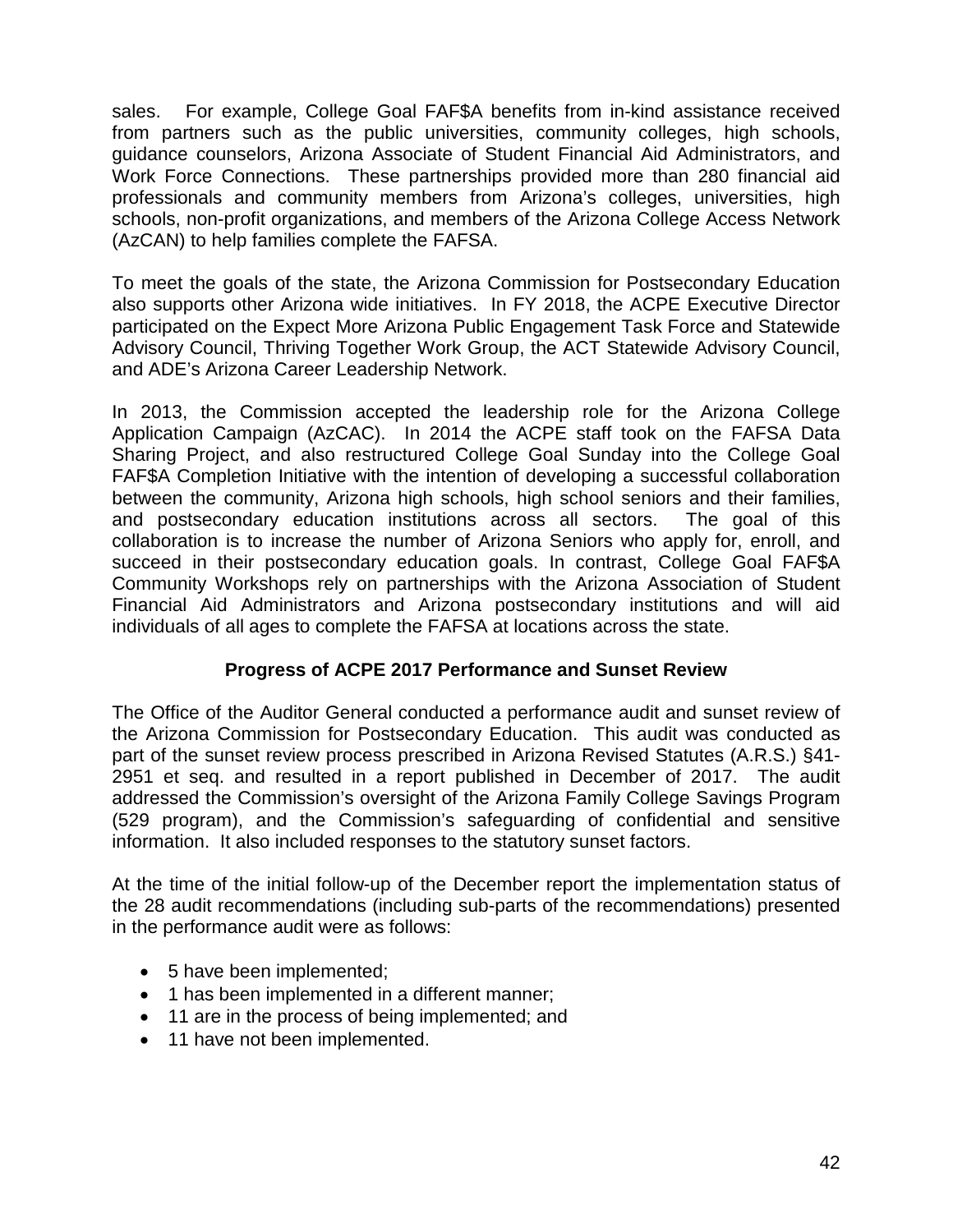sales. For example, College Goal FAF\$A benefits from in-kind assistance received from partners such as the public universities, community colleges, high schools, guidance counselors, Arizona Associate of Student Financial Aid Administrators, and Work Force Connections. These partnerships provided more than 280 financial aid professionals and community members from Arizona's colleges, universities, high schools, non-profit organizations, and members of the Arizona College Access Network (AzCAN) to help families complete the FAFSA.

To meet the goals of the state, the Arizona Commission for Postsecondary Education also supports other Arizona wide initiatives. In FY 2018, the ACPE Executive Director participated on the Expect More Arizona Public Engagement Task Force and Statewide Advisory Council, Thriving Together Work Group, the ACT Statewide Advisory Council, and ADE's Arizona Career Leadership Network.

In 2013, the Commission accepted the leadership role for the Arizona College Application Campaign (AzCAC). In 2014 the ACPE staff took on the FAFSA Data Sharing Project, and also restructured College Goal Sunday into the College Goal FAF\$A Completion Initiative with the intention of developing a successful collaboration between the community, Arizona high schools, high school seniors and their families, and postsecondary education institutions across all sectors. The goal of this collaboration is to increase the number of Arizona Seniors who apply for, enroll, and succeed in their postsecondary education goals. In contrast, College Goal FAF\$A Community Workshops rely on partnerships with the Arizona Association of Student Financial Aid Administrators and Arizona postsecondary institutions and will aid individuals of all ages to complete the FAFSA at locations across the state.

# **Progress of ACPE 2017 Performance and Sunset Review**

The Office of the Auditor General conducted a performance audit and sunset review of the Arizona Commission for Postsecondary Education. This audit was conducted as part of the sunset review process prescribed in Arizona Revised Statutes (A.R.S.) §41- 2951 et seq. and resulted in a report published in December of 2017. The audit addressed the Commission's oversight of the Arizona Family College Savings Program (529 program), and the Commission's safeguarding of confidential and sensitive information. It also included responses to the statutory sunset factors.

At the time of the initial follow-up of the December report the implementation status of the 28 audit recommendations (including sub-parts of the recommendations) presented in the performance audit were as follows:

- 5 have been implemented;
- 1 has been implemented in a different manner;
- 11 are in the process of being implemented; and
- 11 have not been implemented.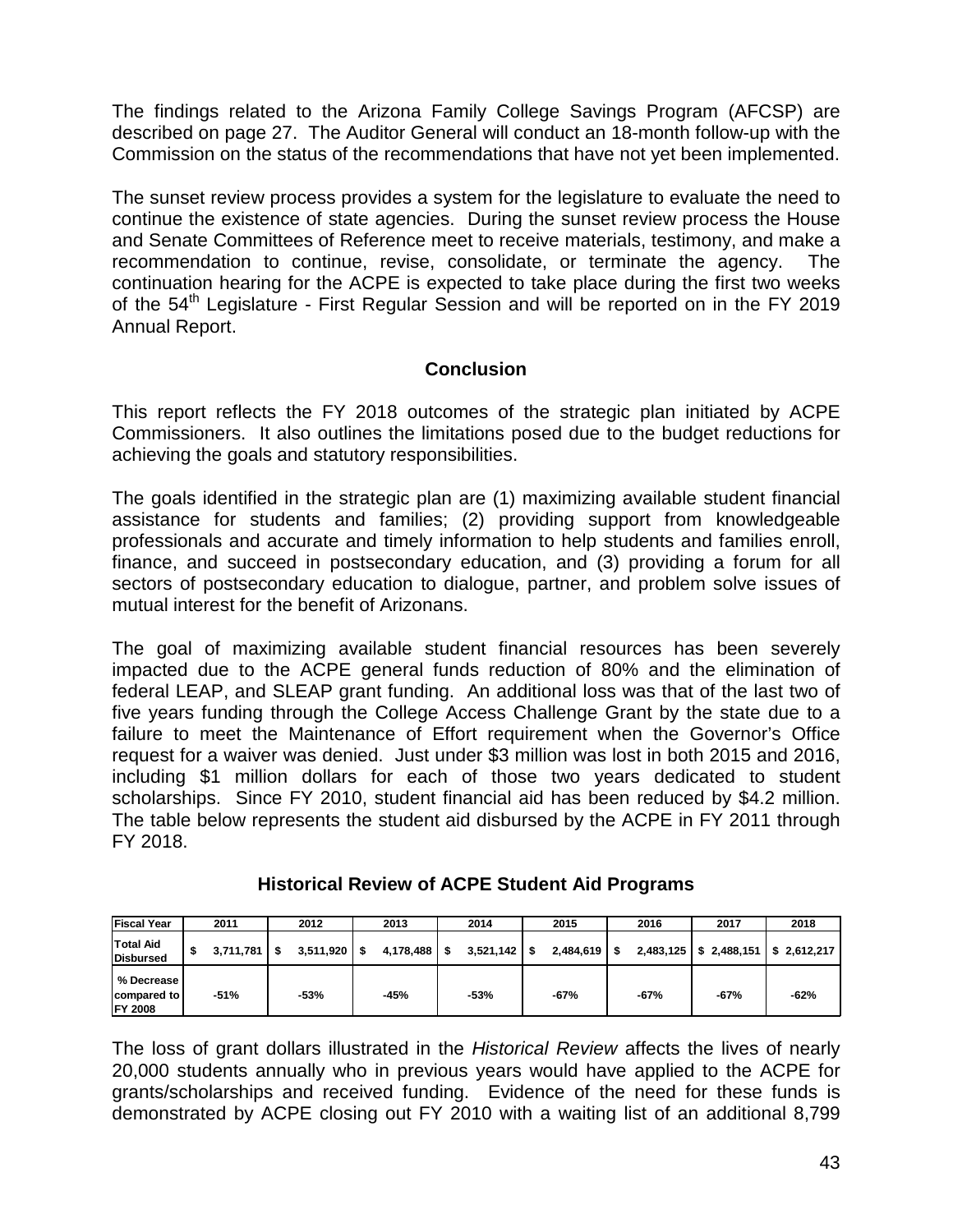The findings related to the Arizona Family College Savings Program (AFCSP) are described on page 27. The Auditor General will conduct an 18-month follow-up with the Commission on the status of the recommendations that have not yet been implemented.

The sunset review process provides a system for the legislature to evaluate the need to continue the existence of state agencies. During the sunset review process the House and Senate Committees of Reference meet to receive materials, testimony, and make a recommendation to continue, revise, consolidate, or terminate the agency. The continuation hearing for the ACPE is expected to take place during the first two weeks of the 54<sup>th</sup> Legislature - First Regular Session and will be reported on in the FY 2019 Annual Report.

# **Conclusion**

This report reflects the FY 2018 outcomes of the strategic plan initiated by ACPE Commissioners. It also outlines the limitations posed due to the budget reductions for achieving the goals and statutory responsibilities.

The goals identified in the strategic plan are (1) maximizing available student financial assistance for students and families; (2) providing support from knowledgeable professionals and accurate and timely information to help students and families enroll, finance, and succeed in postsecondary education, and (3) providing a forum for all sectors of postsecondary education to dialogue, partner, and problem solve issues of mutual interest for the benefit of Arizonans.

The goal of maximizing available student financial resources has been severely impacted due to the ACPE general funds reduction of 80% and the elimination of federal LEAP, and SLEAP grant funding. An additional loss was that of the last two of five years funding through the College Access Challenge Grant by the state due to a failure to meet the Maintenance of Effort requirement when the Governor's Office request for a waiver was denied. Just under \$3 million was lost in both 2015 and 2016, including \$1 million dollars for each of those two years dedicated to student scholarships. Since FY 2010, student financial aid has been reduced by \$4.2 million. The table below represents the student aid disbursed by the ACPE in FY 2011 through FY 2018.

| <b>Fiscal Year</b>                          | 2011            |    | 2012      |    | 2013           | 2014           | 2015           | 2016      | 2017                      | 2018   |
|---------------------------------------------|-----------------|----|-----------|----|----------------|----------------|----------------|-----------|---------------------------|--------|
| <b>Total Aid</b><br>Disbursed               | \$<br>3.711.781 | S. | 3,511,920 | IS | $4,178,488$ \$ | $3,521,142$ \$ | $2,484,619$ \$ | 2,483,125 | $$2,488,151$ $$2,612,217$ |        |
| % Decrease<br>compared to<br><b>FY 2008</b> | -51%            |    | $-53%$    |    | $-45%$         | $-53%$         | $-67%$         | $-67%$    | $-67%$                    | $-62%$ |

**Historical Review of ACPE Student Aid Programs**

The loss of grant dollars illustrated in the *Historical Review* affects the lives of nearly 20,000 students annually who in previous years would have applied to the ACPE for grants/scholarships and received funding. Evidence of the need for these funds is demonstrated by ACPE closing out FY 2010 with a waiting list of an additional 8,799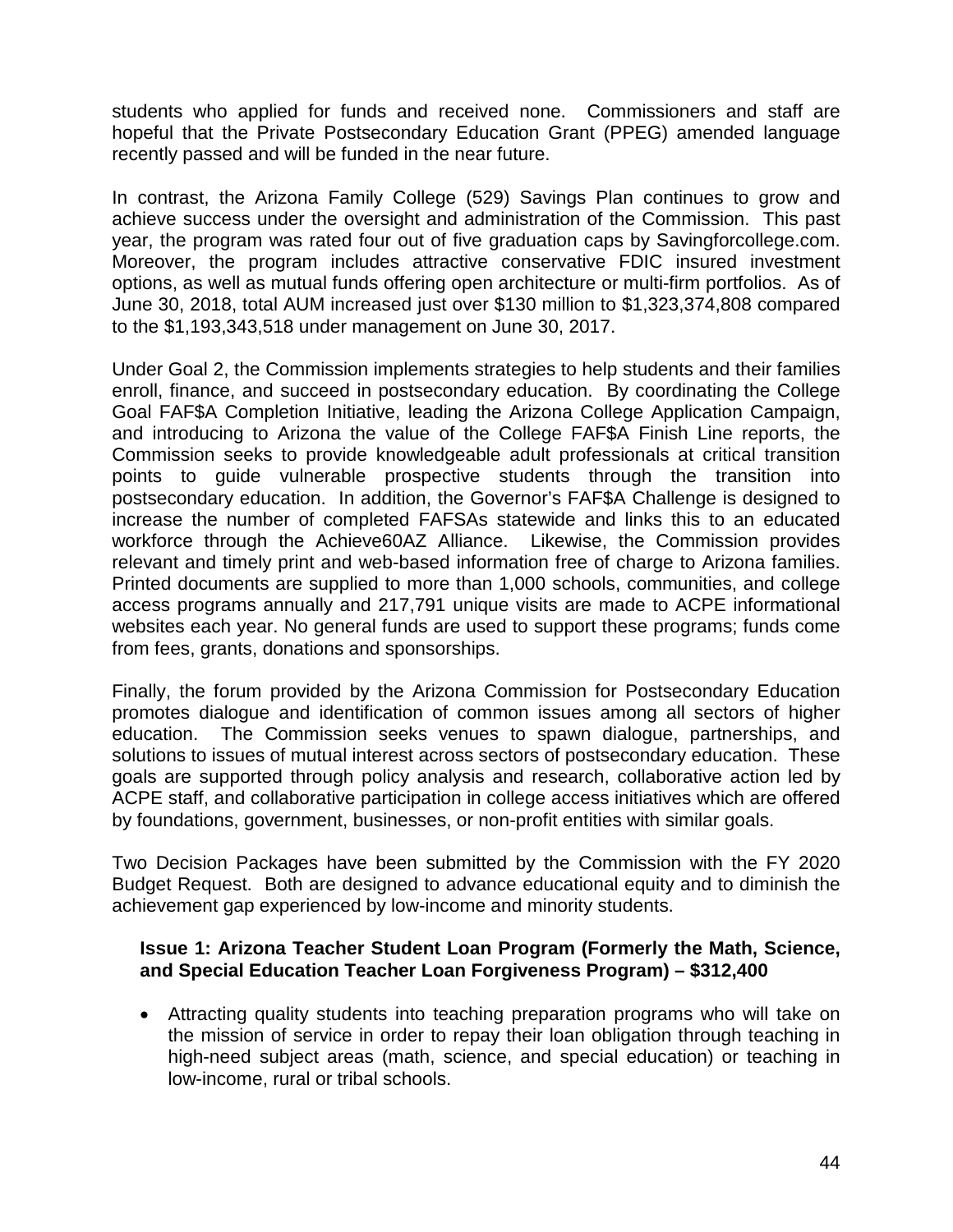students who applied for funds and received none. Commissioners and staff are hopeful that the Private Postsecondary Education Grant (PPEG) amended language recently passed and will be funded in the near future.

In contrast, the Arizona Family College (529) Savings Plan continues to grow and achieve success under the oversight and administration of the Commission. This past year, the program was rated four out of five graduation caps by Savingforcollege.com. Moreover, the program includes attractive conservative FDIC insured investment options, as well as mutual funds offering open architecture or multi-firm portfolios. As of June 30, 2018, total AUM increased just over \$130 million to \$1,323,374,808 compared to the \$1,193,343,518 under management on June 30, 2017.

Under Goal 2, the Commission implements strategies to help students and their families enroll, finance, and succeed in postsecondary education. By coordinating the College Goal FAF\$A Completion Initiative, leading the Arizona College Application Campaign, and introducing to Arizona the value of the College FAF\$A Finish Line reports, the Commission seeks to provide knowledgeable adult professionals at critical transition points to guide vulnerable prospective students through the transition into postsecondary education. In addition, the Governor's FAF\$A Challenge is designed to increase the number of completed FAFSAs statewide and links this to an educated workforce through the Achieve60AZ Alliance. Likewise, the Commission provides relevant and timely print and web-based information free of charge to Arizona families. Printed documents are supplied to more than 1,000 schools, communities, and college access programs annually and 217,791 unique visits are made to ACPE informational websites each year. No general funds are used to support these programs; funds come from fees, grants, donations and sponsorships.

Finally, the forum provided by the Arizona Commission for Postsecondary Education promotes dialogue and identification of common issues among all sectors of higher education. The Commission seeks venues to spawn dialogue, partnerships, and solutions to issues of mutual interest across sectors of postsecondary education. These goals are supported through policy analysis and research, collaborative action led by ACPE staff, and collaborative participation in college access initiatives which are offered by foundations, government, businesses, or non-profit entities with similar goals.

Two Decision Packages have been submitted by the Commission with the FY 2020 Budget Request. Both are designed to advance educational equity and to diminish the achievement gap experienced by low-income and minority students.

#### **Issue 1: Arizona Teacher Student Loan Program (Formerly the Math, Science, and Special Education Teacher Loan Forgiveness Program) – \$312,400**

• Attracting quality students into teaching preparation programs who will take on the mission of service in order to repay their loan obligation through teaching in high-need subject areas (math, science, and special education) or teaching in low-income, rural or tribal schools.